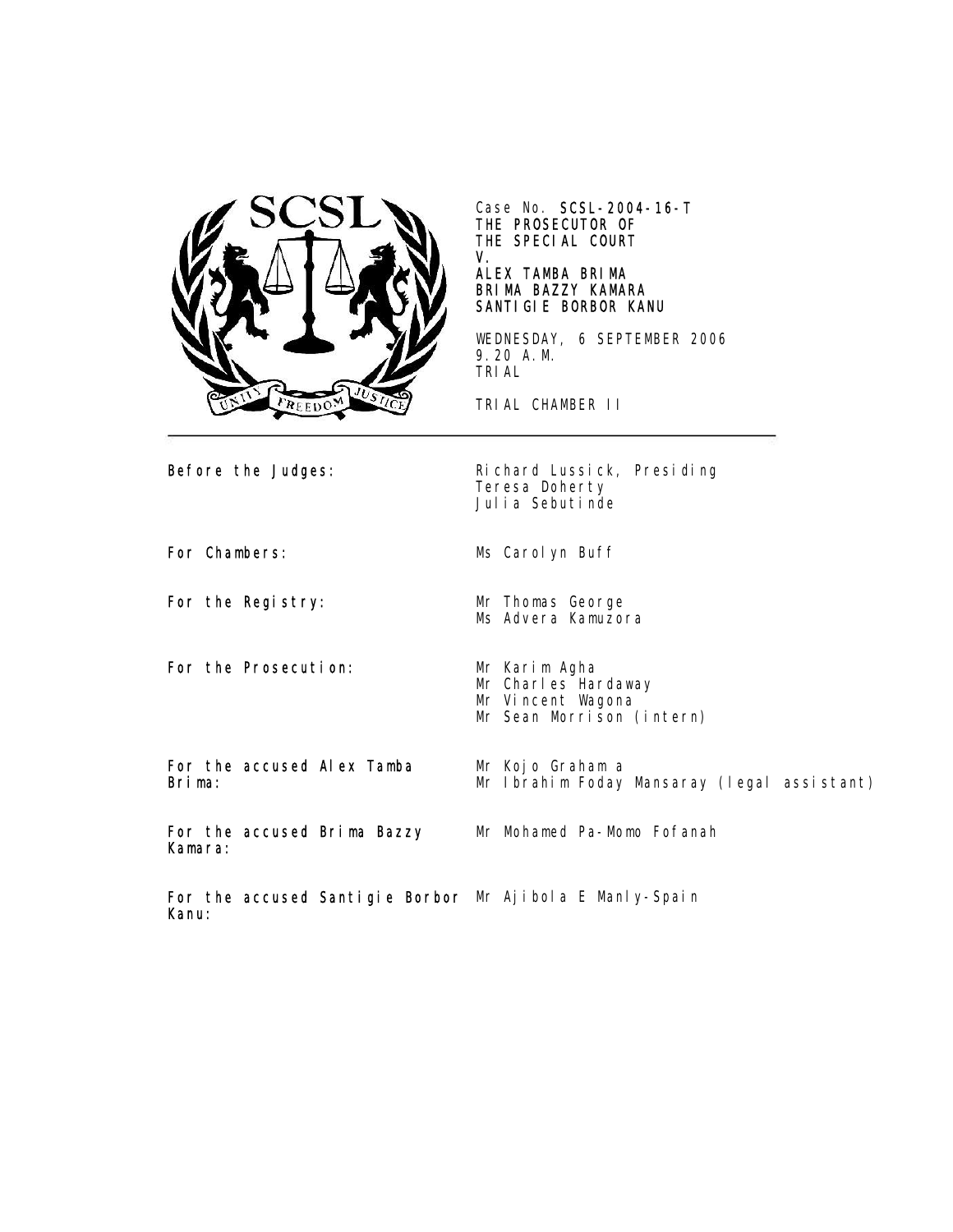

Case No. SCSL-2004-16-T THE PROSECUTOR OF THE SPECIAL COURT V.

## ALEX TAMBA BRIMA BRIMA BAZZY KAMARA SANTIGIE BORBOR KANU

WEDNESDAY, 6 SEPTEMBER 2006 9.20 A.M. TRIAL

TRIAL CHAMBER II

Before the Judges: Richard Lussick, Presiding Teresa Doherty Julia Sebutinde

For Chambers: Ms Carolyn Buff

For the Registry: Mr Thomas George

For the Prosecution: Mr Karim Agha

Mr Charles Hardaway Mr Vincent Wagona

Ms Advera Kamuzora

Mr Kojo Graham a

Mr Sean Morrison (intern)

For the accused Alex Tamba Brima:

For the accused Brima Bazzy Kamara:

Mr Mohamed Pa-Momo Fofanah

Mr Ibrahim Foday Mansaray (legal assistant)

For the accused Santigie Borbor Mr Ajibola E Manly-Spain Kanu: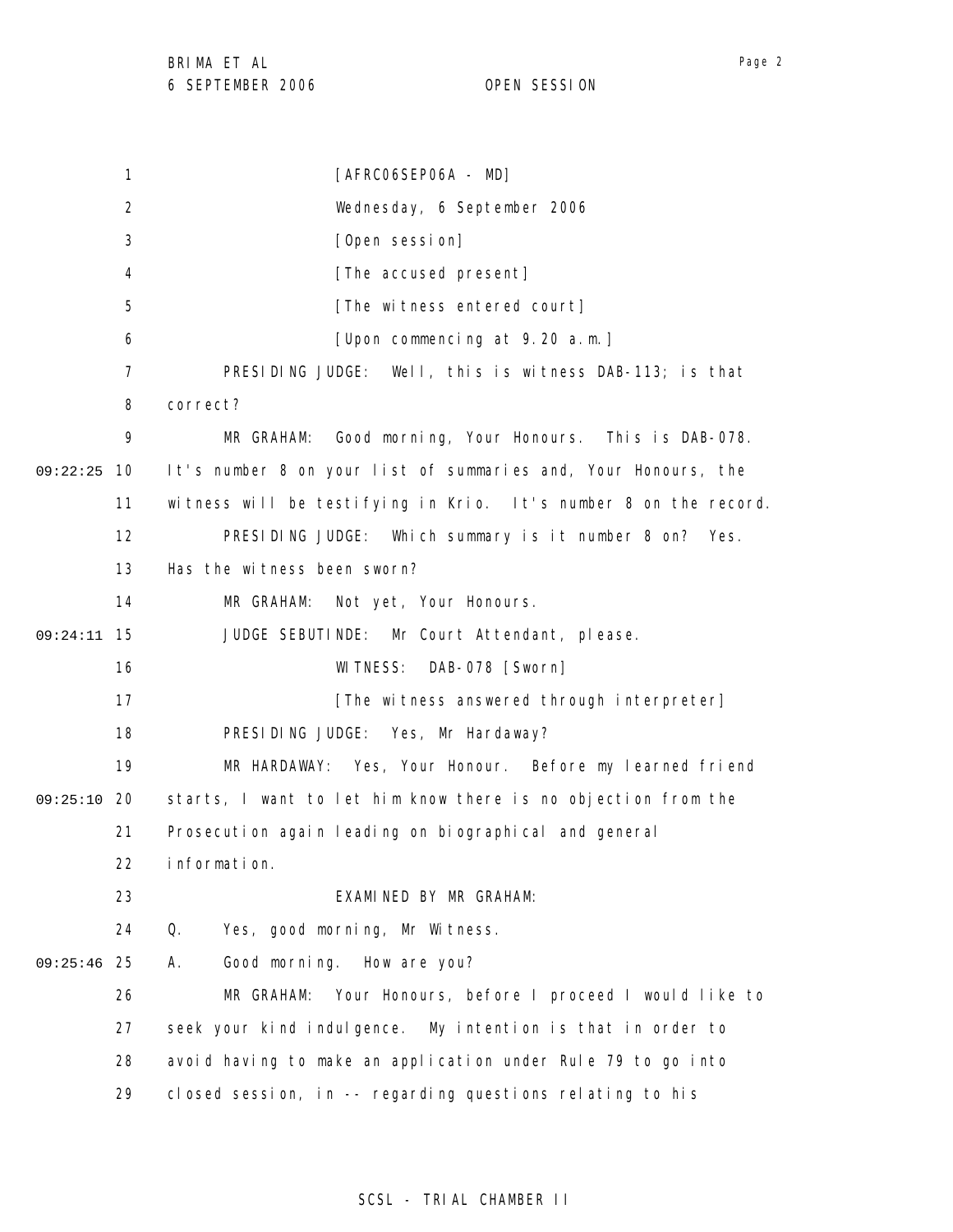1 2 3 4 5 6 7 8 9 09:22:25 10 11 12 13 14 15 09:24:11 16 17 18 19 09:25:10 20 21 22 23 24 25 09:25:46 26 27 28 29 [AFRC06SEP06A - MD] Wednesday, 6 September 2006 [Open session] [The accused present] [The witness entered court] [Upon commencing at 9.20 a.m.] PRESIDING JUDGE: Well, this is witness DAB-113; is that correct? MR GRAHAM: Good morning, Your Honours. This is DAB-078. It's number 8 on your list of summaries and, Your Honours, the witness will be testifying in Krio. It's number 8 on the record. PRESIDING JUDGE: Which summary is it number 8 on? Yes. Has the witness been sworn? MR GRAHAM: Not yet, Your Honours. JUDGE SEBUTINDE: Mr Court Attendant, please. WITNESS: DAB-078 [Sworn] [The witness answered through interpreter] PRESIDING JUDGE: Yes, Mr Hardaway? MR HARDAWAY: Yes, Your Honour. Before my learned friend starts, I want to let him know there is no objection from the Prosecution again leading on biographical and general information. EXAMINED BY MR GRAHAM: Q. Yes, good morning, Mr Witness. A. Good morning. How are you? MR GRAHAM: Your Honours, before I proceed I would like to seek your kind indulgence. My intention is that in order to avoid having to make an application under Rule 79 to go into closed session, in -- regarding questions relating to his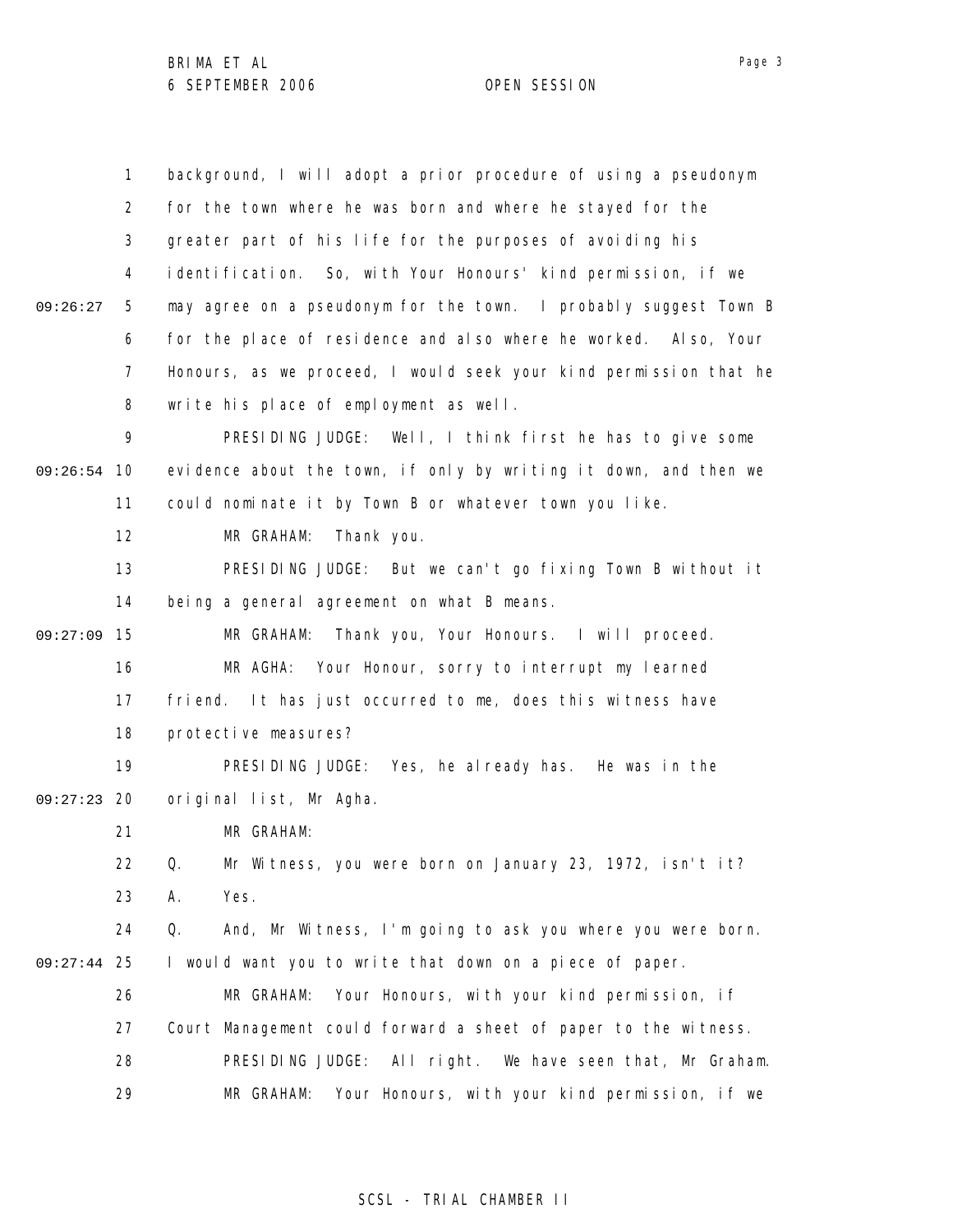|               | $\mathbf{1}$   | background, I will adopt a prior procedure of using a pseudonym   |
|---------------|----------------|-------------------------------------------------------------------|
|               | $\overline{2}$ | for the town where he was born and where he stayed for the        |
|               | 3              | greater part of his life for the purposes of avoiding his         |
|               | 4              | identification. So, with Your Honours' kind permission, if we     |
| 09:26:27      | 5              | may agree on a pseudonym for the town. I probably suggest Town B  |
|               | 6              | for the place of residence and also where he worked. Also, Your   |
|               | $\overline{7}$ | Honours, as we proceed, I would seek your kind permission that he |
|               | 8              | write his place of employment as well.                            |
|               | 9              | PRESIDING JUDGE: Well, I think first he has to give some          |
| 09:26:54      | -10            | evidence about the town, if only by writing it down, and then we  |
|               | 11             | could nominate it by Town B or whatever town you like.            |
|               | 12             | MR GRAHAM:<br>Thank you.                                          |
|               | 13             | PRESIDING JUDGE: But we can't go fixing Town B without it         |
|               | 14             | being a general agreement on what B means.                        |
| 09:27:09      | 15             | MR GRAHAM: Thank you, Your Honours. I will proceed.               |
|               | 16             | MR AGHA: Your Honour, sorry to interrupt my learned               |
|               | 17             | friend. It has just occurred to me, does this witness have        |
|               | 18             | protective measures?                                              |
|               | 19             | PRESIDING JUDGE: Yes, he already has. He was in the               |
| 09:27:23      | 20             | original list, Mr Agha.                                           |
|               | 21             | MR GRAHAM:                                                        |
|               | 22             | Mr Witness, you were born on January 23, 1972, isn't it?<br>Q.    |
|               | 23             | Yes.<br>Α.                                                        |
|               | 24             | Q.<br>And, Mr Witness, I'm going to ask you where you were born.  |
| $09:27:44$ 25 |                | I would want you to write that down on a piece of paper.          |
|               | 26             | Your Honours, with your kind permission, if<br>MR GRAHAM:         |
|               | 27             | Court Management could forward a sheet of paper to the witness.   |
|               | 28             | PRESIDING JUDGE:<br>All right. We have seen that, Mr Graham.      |
|               | 29             | MR GRAHAM:<br>Your Honours, with your kind permission, if we      |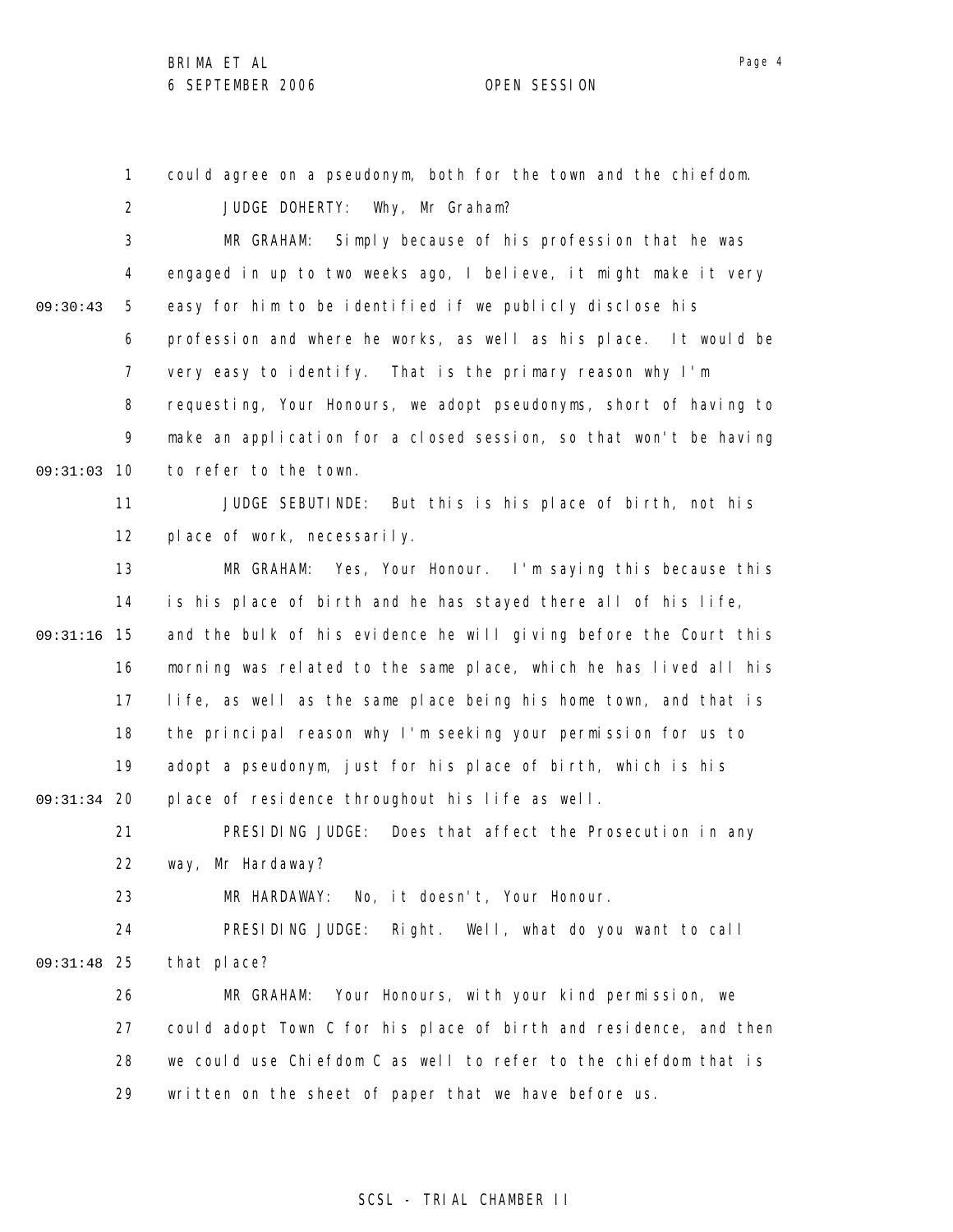Page 4

1 2 3 4 5 6 7 8 9 09:31:03 10 11 12 13 14 09:31:16 15 16 17 18 19 09:31:34 20 21 22 23 24 25 09:31:48 26 27 28 29 09:30:43 could agree on a pseudonym, both for the town and the chiefdom. JUDGE DOHERTY: Why, Mr Graham? MR GRAHAM: Simply because of his profession that he was engaged in up to two weeks ago, I believe, it might make it very easy for him to be identified if we publicly disclose his profession and where he works, as well as his place. It would be very easy to identify. That is the primary reason why I'm requesting, Your Honours, we adopt pseudonyms, short of having to make an application for a closed session, so that won't be having to refer to the town. JUDGE SEBUTINDE: But this is his place of birth, not his place of work, necessarily. MR GRAHAM: Yes, Your Honour. I'm saying this because this is his place of birth and he has stayed there all of his life, and the bulk of his evidence he will giving before the Court this morning was related to the same place, which he has lived all his life, as well as the same place being his home town, and that is the principal reason why I'm seeking your permission for us to adopt a pseudonym, just for his place of birth, which is his place of residence throughout his life as well. PRESIDING JUDGE: Does that affect the Prosecution in any way, Mr Hardaway? MR HARDAWAY: No, it doesn't, Your Honour. PRESIDING JUDGE: Right. Well, what do you want to call that place? MR GRAHAM: Your Honours, with your kind permission, we could adopt Town C for his place of birth and residence, and then we could use Chiefdom C as well to refer to the chiefdom that is written on the sheet of paper that we have before us.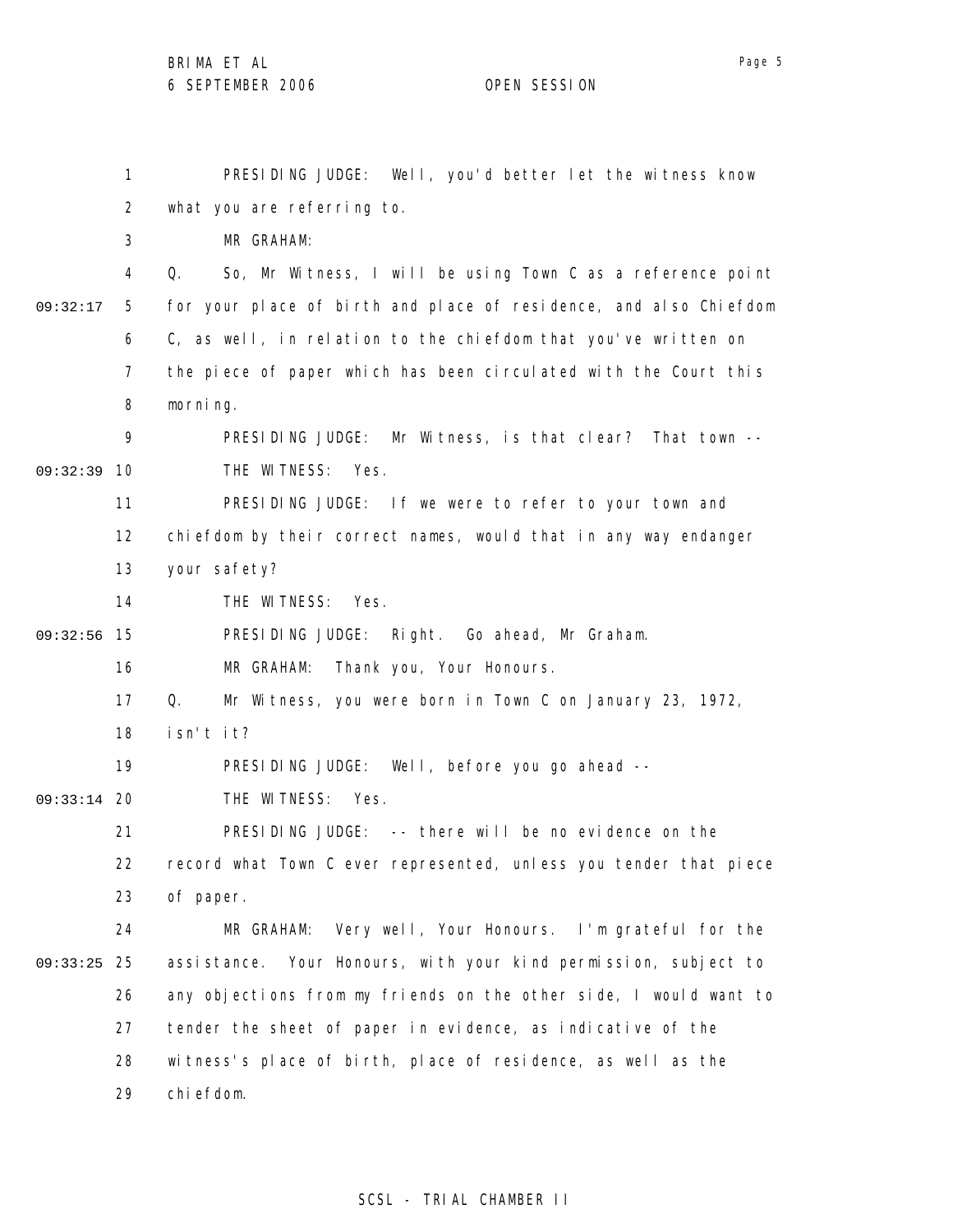1 2 3 4 5 6 7 8 9 09:32:39 10 11 12 13 14 09:32:56 15 16 17 18 19 09:33:14 20 21 22 23 24 25 09:33:25 26 27 28 29 09:32:17 PRESIDING JUDGE: Well, you'd better let the witness know what you are referring to. MR GRAHAM: Q. So, Mr Witness, I will be using Town C as a reference point for your place of birth and place of residence, and also Chiefdom C, as well, in relation to the chiefdom that you've written on the piece of paper which has been circulated with the Court this morning. PRESIDING JUDGE: Mr Witness, is that clear? That town -- THE WITNESS: Yes. PRESIDING JUDGE: If we were to refer to your town and chiefdom by their correct names, would that in any way endanger your safety? THE WITNESS: Yes. PRESIDING JUDGE: Right. Go ahead, Mr Graham. MR GRAHAM: Thank you, Your Honours. Q. Mr Witness, you were born in Town C on January 23, 1972, isn't it? PRESIDING JUDGE: Well, before you go ahead -- THE WITNESS: Yes. PRESIDING JUDGE: -- there will be no evidence on the record what Town C ever represented, unless you tender that piece of paper. MR GRAHAM: Very well, Your Honours. I'm grateful for the assistance. Your Honours, with your kind permission, subject to any objections from my friends on the other side, I would want to tender the sheet of paper in evidence, as indicative of the witness's place of birth, place of residence, as well as the chiefdom.

### SCSL - TRIAL CHAMBER II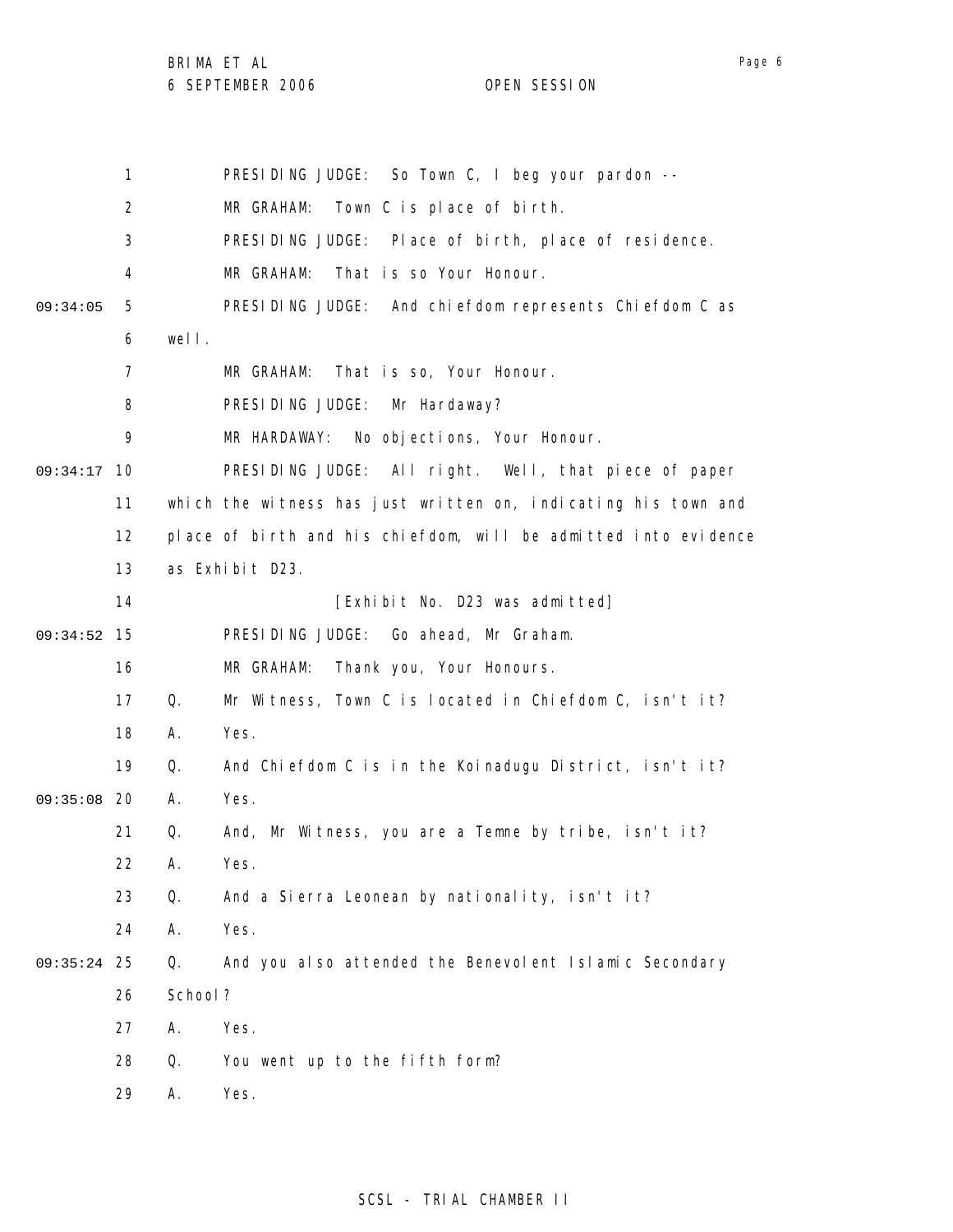|          | 1              |         | PRESIDING JUDGE: So Town C, I beg your pardon --                |
|----------|----------------|---------|-----------------------------------------------------------------|
|          | $\overline{2}$ |         | MR GRAHAM: Town C is place of birth.                            |
|          | 3              |         | PRESIDING JUDGE: Place of birth, place of residence.            |
|          | 4              |         | That is so Your Honour.<br>MR GRAHAM:                           |
| 09:34:05 | 5              |         | PRESIDING JUDGE: And chiefdom represents Chiefdom C as          |
|          | 6              | well.   |                                                                 |
|          | 7              |         | That is so, Your Honour.<br>MR GRAHAM:                          |
|          | 8              |         | PRESIDING JUDGE:<br>Mr Hardaway?                                |
|          | 9              |         | MR HARDAWAY: No objections, Your Honour.                        |
| 09:34:17 | 10             |         | PRESIDING JUDGE: All right. Well, that piece of paper           |
|          | 11             |         | which the witness has just written on, indicating his town and  |
|          | 12             |         | place of birth and his chiefdom, will be admitted into evidence |
|          | 13             |         | as Exhibit D23.                                                 |
|          | 14             |         | [Exhibit No. D23 was admitted]                                  |
| 09:34:52 | 15             |         | PRESIDING JUDGE: Go ahead, Mr Graham.                           |
|          | 16             |         | MR GRAHAM:<br>Thank you, Your Honours.                          |
|          | 17             | Q.      | Mr Witness, Town C is located in Chiefdom C, isn't it?          |
|          | 18             | Α.      | Yes.                                                            |
|          | 19             | Q.      | And Chiefdom C is in the Koinadugu District, isn't it?          |
| 09:35:08 | -20            | Α.      | Yes.                                                            |
|          | 21             | Q.      | And, Mr Witness, you are a Temne by tribe, isn't it?            |
|          | 22             | Α.      | Yes.                                                            |
|          | 23             | Q.      | And a Sierra Leonean by nationality, isn't it?                  |
|          | 24             | А.      | Yes.                                                            |
| 09:35:24 | 25             | Q.      | And you also attended the Benevolent Islamic Secondary          |
|          | 26             | School? |                                                                 |
|          | 27             | Α.      | Yes.                                                            |
|          | 28             | Q.      | You went up to the fifth form?                                  |
|          | 29             | А.      | Yes.                                                            |

# SCSL - TRIAL CHAMBER II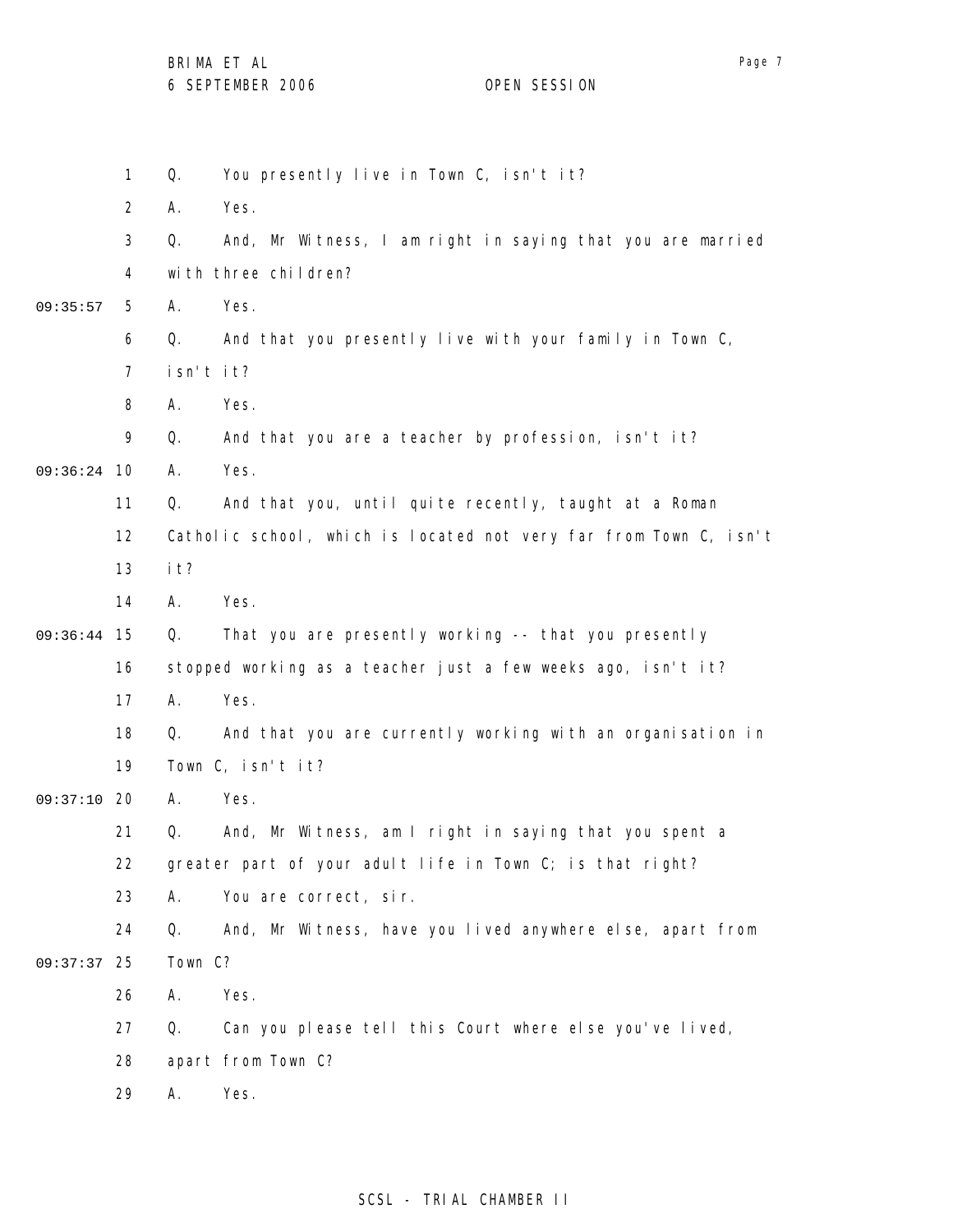BRIMA ET AL

6 SEPTEMBER 2006 OPEN SESSION

1 2 3 4 5 6 7 8 9 09:36:24 10 11 12 13 14 09:36:44 15 16 17 18 19 09:37:10 20 21 22 23 24 25 09:37:37 26 27 28 29 09:35:57 Q. You presently live in Town C, isn't it? A. Yes. Q. And, Mr Witness, I am right in saying that you are married with three children? A. Yes. Q. And that you presently live with your family in Town C, isn't it? A. Yes. Q. And that you are a teacher by profession, isn't it? A. Yes. Q. And that you, until quite recently, taught at a Roman Catholic school, which is located not very far from Town C, isn't it? A. Yes. Q. That you are presently working -- that you presently stopped working as a teacher just a few weeks ago, isn't it? A. Yes. Q. And that you are currently working with an organisation in Town C, isn't it? A. Yes. Q. And, Mr Witness, am I right in saying that you spent a greater part of your adult life in Town C; is that right? A. You are correct, sir. Q. And, Mr Witness, have you lived anywhere else, apart from Town C? A. Yes. Q. Can you please tell this Court where else you've lived, apart from Town C? A. Yes.

### SCSL - TRIAL CHAMBER II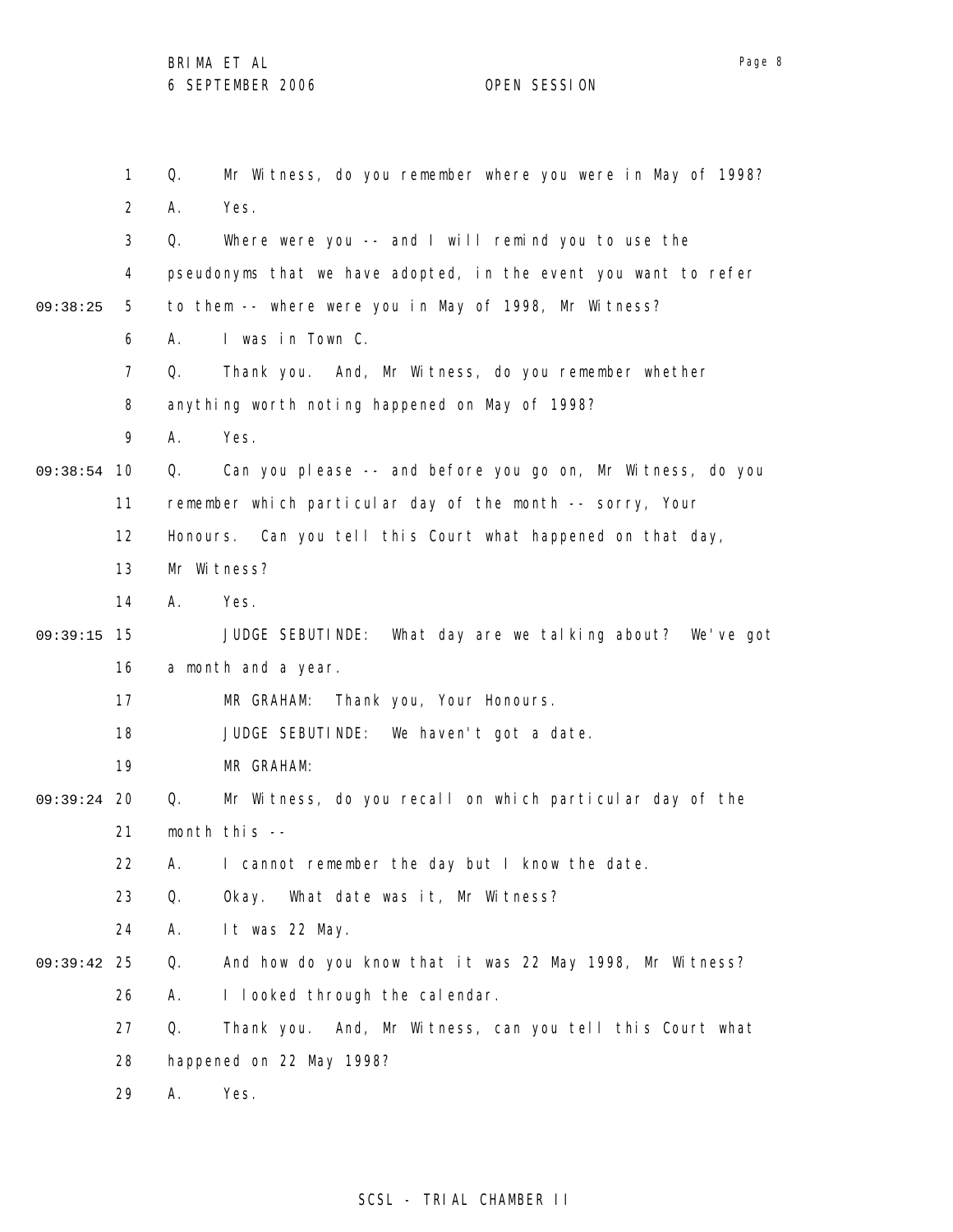|          | $\mathbf 1$    | Mr Witness, do you remember where you were in May of 1998?<br>Q. |  |
|----------|----------------|------------------------------------------------------------------|--|
|          | $\overline{2}$ | Yes.<br>А.                                                       |  |
|          | 3              | Q.<br>Where were you -- and I will remind you to use the         |  |
|          | 4              | pseudonyms that we have adopted, in the event you want to refer  |  |
| 09:38:25 | 5              | to them -- where were you in May of 1998, Mr Witness?            |  |
|          | 6              | I was in Town C.<br>А.                                           |  |
|          | $\overline{7}$ | Q.<br>Thank you. And, Mr Witness, do you remember whether        |  |
|          | 8              | anything worth noting happened on May of 1998?                   |  |
|          | 9              | Yes.<br>А.                                                       |  |
| 09:38:54 | 10             | Can you please -- and before you go on, Mr Witness, do you<br>Q. |  |
|          | 11             | remember which particular day of the month -- sorry, Your        |  |
|          | 12             | Honours. Can you tell this Court what happened on that day,      |  |
|          | 13             | Mr Witness?                                                      |  |
|          | 14             | Α.<br>Yes.                                                       |  |
| 09:39:15 | 15             | JUDGE SEBUTINDE:<br>What day are we talking about? We've got     |  |
|          | 16             | a month and a year.                                              |  |
|          | 17             | Thank you, Your Honours.<br>MR GRAHAM:                           |  |
|          | 18             | JUDGE SEBUTINDE: We haven't got a date.                          |  |
|          | 19             | MR GRAHAM:                                                       |  |
| 09:39:24 | 20             | Mr Witness, do you recall on which particular day of the<br>Q.   |  |
|          | 21             | month this --                                                    |  |
|          | 22             | А.<br>I cannot remember the day but I know the date.             |  |
|          | 23             | Q.<br>What date was it, Mr Witness?<br>0kay.                     |  |
|          | 24             | А.<br>It was 22 May.                                             |  |
| 09:39:42 | 25             | And how do you know that it was 22 May 1998, Mr Witness?<br>Q.   |  |
|          | 26             | I looked through the calendar.<br>Α.                             |  |
|          | 27             | Q.<br>Thank you. And, Mr Witness, can you tell this Court what   |  |
|          | 28             | happened on 22 May 1998?                                         |  |
|          | 29             | А.<br>Yes.                                                       |  |

SCSL - TRIAL CHAMBER II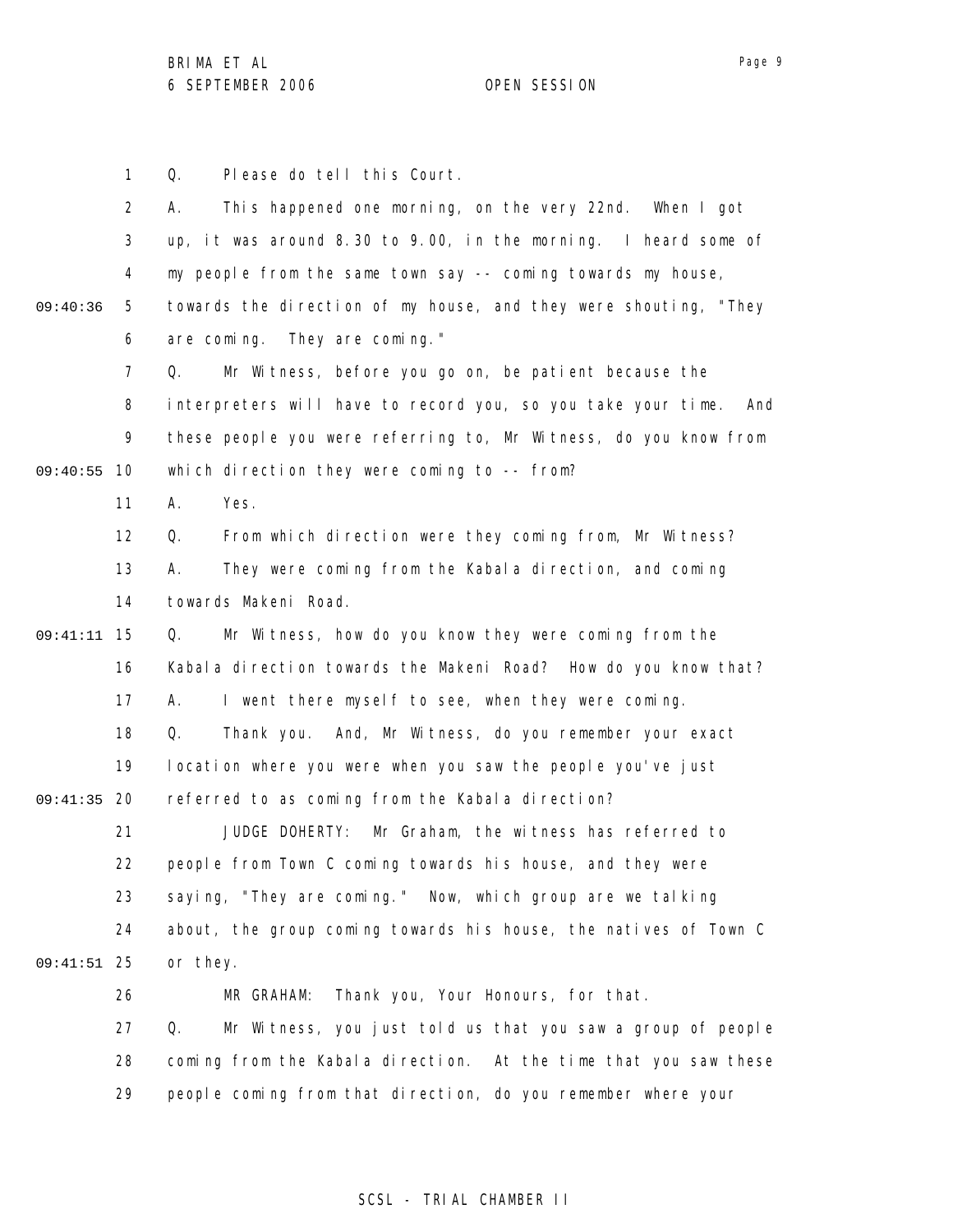Page 9

1 2 3 4 5 6 7 8 9 09:40:55 10 11 12 13 14 15 09:41:11 16 17 18 19 09:41:35 20 21 22 23 24 25 09:41:51 26 27 28 29 09:40:36 Q. Please do tell this Court. A. This happened one morning, on the very 22nd. When I got up, it was around 8.30 to 9.00, in the morning. I heard some of my people from the same town say -- coming towards my house, towards the direction of my house, and they were shouting, "They are coming. They are coming." Q. Mr Witness, before you go on, be patient because the interpreters will have to record you, so you take your time. And these people you were referring to, Mr Witness, do you know from which direction they were coming to -- from? A. Yes. Q. From which direction were they coming from, Mr Witness? A. They were coming from the Kabala direction, and coming towards Makeni Road. Q. Mr Witness, how do you know they were coming from the Kabala direction towards the Makeni Road? How do you know that? A. I went there myself to see, when they were coming. Q. Thank you. And, Mr Witness, do you remember your exact location where you were when you saw the people you've just referred to as coming from the Kabala direction? JUDGE DOHERTY: Mr Graham, the witness has referred to people from Town C coming towards his house, and they were saying, "They are coming." Now, which group are we talking about, the group coming towards his house, the natives of Town C or they. MR GRAHAM: Thank you, Your Honours, for that. Q. Mr Witness, you just told us that you saw a group of people coming from the Kabala direction. At the time that you saw these people coming from that direction, do you remember where your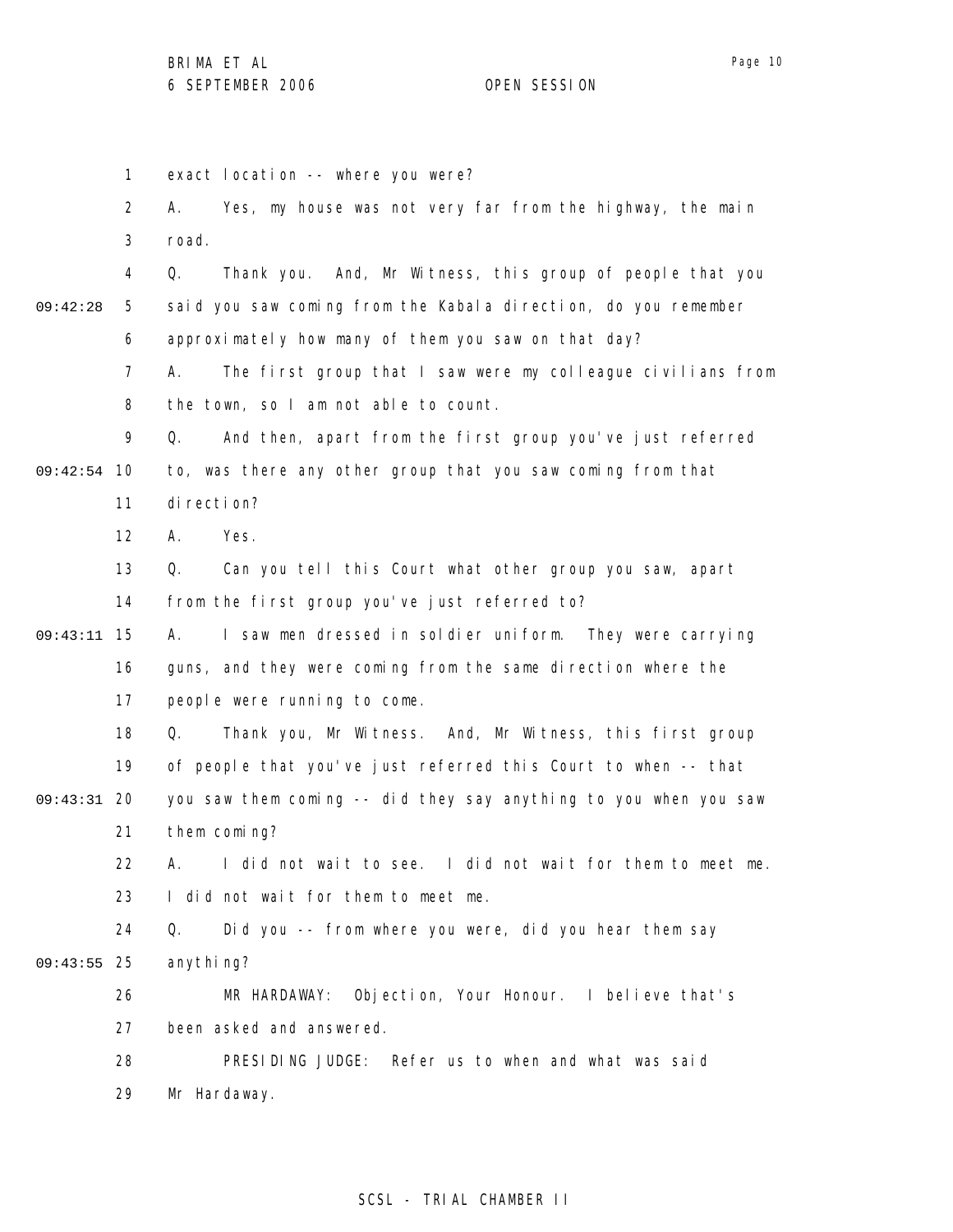1 2 3 4 5 6 7 8 9 09:42:54 10 11 12 13 14 15 09:43:11 16 17 18 19 09:43:31 20 21 22 23 24 25 09:43:55 26 27 28 29 09:42:28 exact location -- where you were? A. Yes, my house was not very far from the highway, the main road. Q. Thank you. And, Mr Witness, this group of people that you said you saw coming from the Kabala direction, do you remember approximately how many of them you saw on that day? A. The first group that I saw were my colleague civilians from the town, so I am not able to count. Q. And then, apart from the first group you've just referred to, was there any other group that you saw coming from that direction? A. Yes. Q. Can you tell this Court what other group you saw, apart from the first group you've just referred to? A. I saw men dressed in soldier uniform. They were carrying guns, and they were coming from the same direction where the people were running to come. Q. Thank you, Mr Witness. And, Mr Witness, this first group of people that you've just referred this Court to when -- that you saw them coming -- did they say anything to you when you saw them coming? A. I did not wait to see. I did not wait for them to meet me. I did not wait for them to meet me. Q. Did you -- from where you were, did you hear them say anything? MR HARDAWAY: Objection, Your Honour. I believe that's been asked and answered. PRESIDING JUDGE: Refer us to when and what was said Mr Hardaway.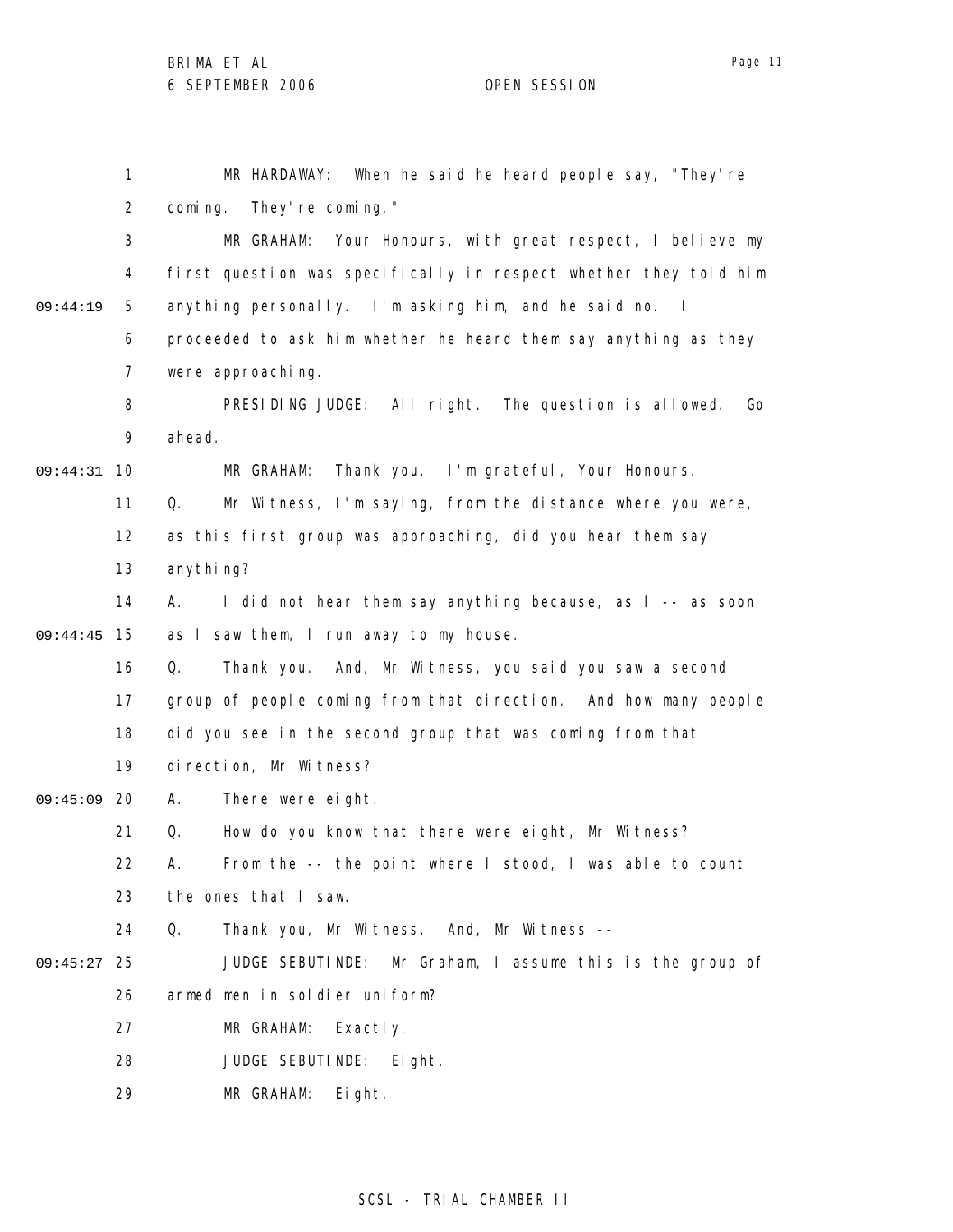1 2 3 4 5 6 7 8 9 10 09:44:31 11 12 13 14 15 09:44:45 16 17 18 19 09:45:09 20 21 22 23 24 25 09:45:27 26 27 28 29 09:44:19 MR HARDAWAY: When he said he heard people say, "They're coming. They're coming." MR GRAHAM: Your Honours, with great respect, I believe my first question was specifically in respect whether they told him anything personally. I'm asking him, and he said no. I proceeded to ask him whether he heard them say anything as they were approaching. PRESIDING JUDGE: All right. The question is allowed. Go ahead. MR GRAHAM: Thank you. I'm grateful, Your Honours. Q. Mr Witness, I'm saying, from the distance where you were, as this first group was approaching, did you hear them say anythi ng? A. I did not hear them say anything because, as I -- as soon as I saw them, I run away to my house. Q. Thank you. And, Mr Witness, you said you saw a second group of people coming from that direction. And how many people did you see in the second group that was coming from that direction, Mr Witness? A. There were eight. Q. How do you know that there were eight, Mr Witness? A. From the -- the point where I stood, I was able to count the ones that I saw. Q. Thank you, Mr Witness. And, Mr Witness -- JUDGE SEBUTINDE: Mr Graham, I assume this is the group of armed men in soldier uniform? MR GRAHAM: Exactly. JUDGE SEBUTINDE: Eight. MR GRAHAM: Eight.

Page 11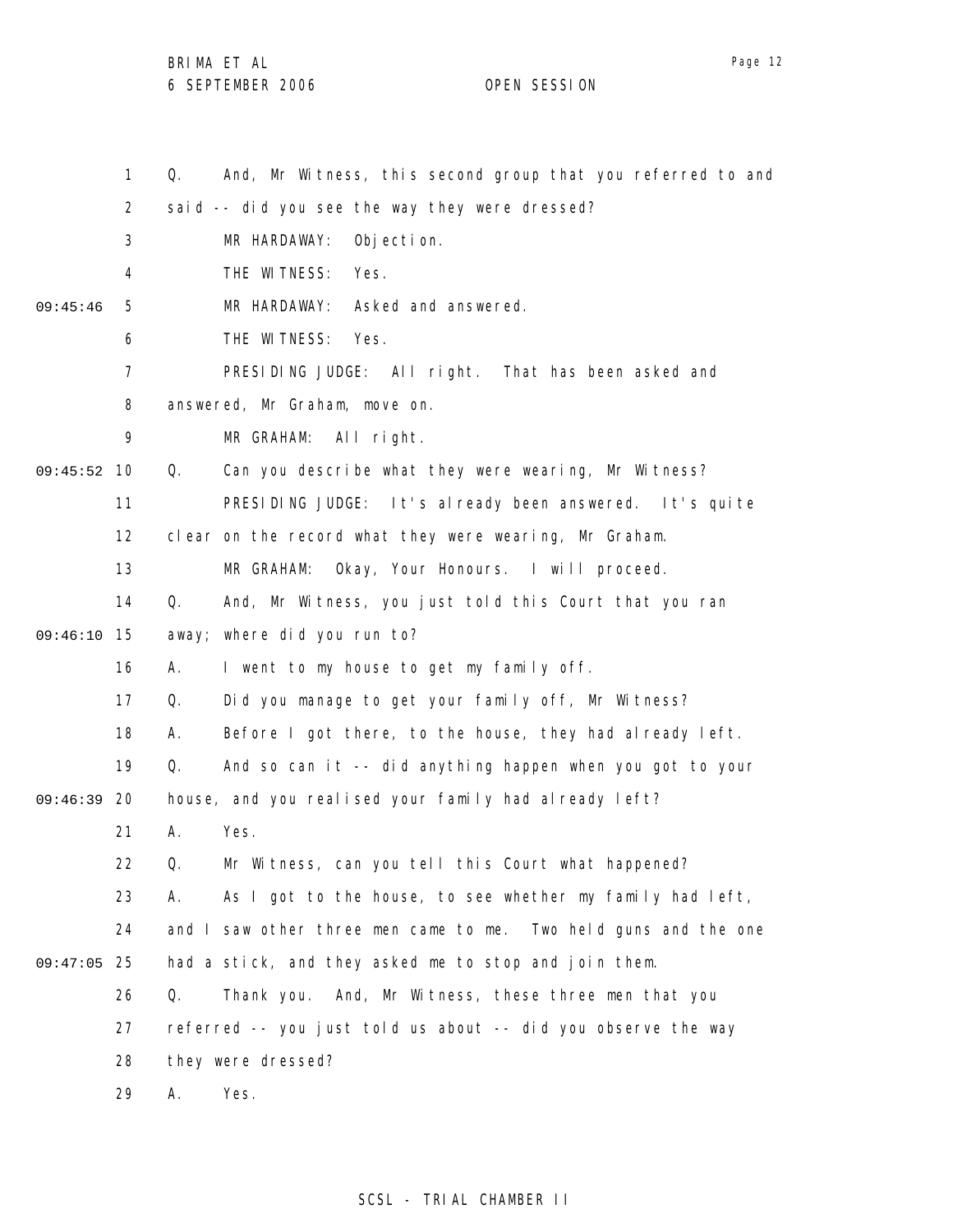BRIMA ET AL

1 2 3 4 5 6 7 8 9 09:45:52 10 11 12 13 14 15 09:46:10 16 17 18 19 09:46:39 20 21 22 23 24 25 09:47:05 26 27 28 29 09:45:46 Q. And, Mr Witness, this second group that you referred to and said -- did you see the way they were dressed? MR HARDAWAY: Objection. THE WITNESS: Yes. MR HARDAWAY: Asked and answered. THE WITNESS: Yes. PRESIDING JUDGE: All right. That has been asked and answered, Mr Graham, move on. MR GRAHAM: All right. Q. Can you describe what they were wearing, Mr Witness? PRESIDING JUDGE: It's already been answered. It's quite clear on the record what they were wearing, Mr Graham. MR GRAHAM: Okay, Your Honours. I will proceed. Q. And, Mr Witness, you just told this Court that you ran away; where did you run to? A. I went to my house to get my family off. Q. Did you manage to get your family off, Mr Witness? A. Before I got there, to the house, they had already left. Q. And so can it -- did anything happen when you got to your house, and you realised your family had already left? A. Yes. Q. Mr Witness, can you tell this Court what happened? A. As I got to the house, to see whether my family had left, and I saw other three men came to me. Two held guns and the one had a stick, and they asked me to stop and join them. Q. Thank you. And, Mr Witness, these three men that you referred -- you just told us about -- did you observe the way they were dressed? A. Yes.

Page 12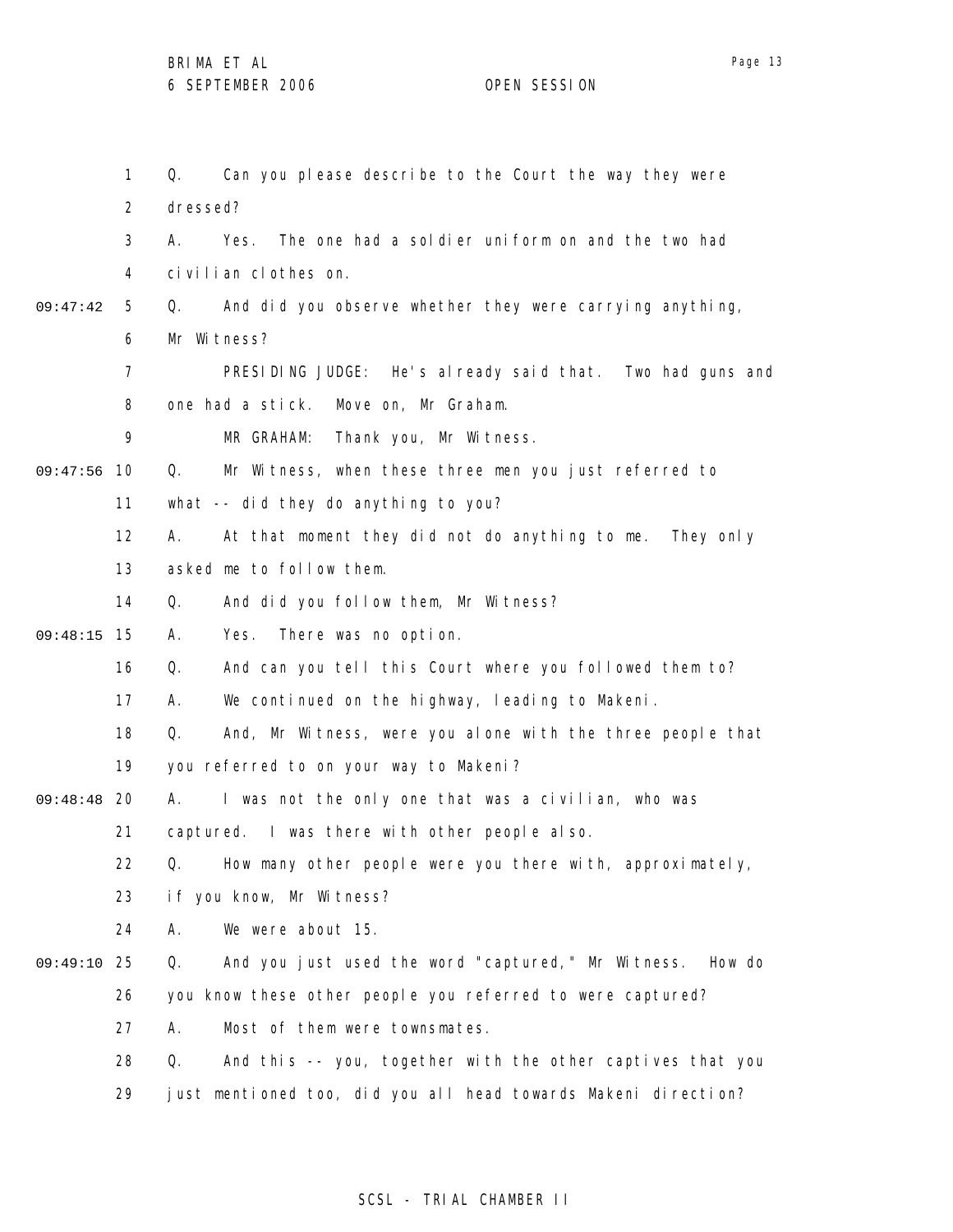|          | 1              | Can you please describe to the Court the way they were<br>Q.       |
|----------|----------------|--------------------------------------------------------------------|
|          | $\overline{2}$ | dressed?                                                           |
|          | 3              | А.<br>The one had a soldier uniform on and the two had<br>Yes.     |
|          | 4              | civilian clothes on.                                               |
| 09:47:42 | 5              | And did you observe whether they were carrying anything,<br>Q.     |
|          | 6              | Mr Witness?                                                        |
|          | 7              | PRESIDING JUDGE: He's already said that. Two had guns and          |
|          | 8              | one had a stick.<br>Move on, Mr Graham.                            |
|          | 9              | Thank you, Mr Witness.<br>MR GRAHAM:                               |
| 09:47:56 | 10             | Mr Witness, when these three men you just referred to<br>Q.        |
|          | 11             | what -- did they do anything to you?                               |
|          | 12             | At that moment they did not do anything to me. They only<br>А.     |
|          | 13             | asked me to follow them.                                           |
|          | 14             | Q.<br>And did you follow them, Mr Witness?                         |
| 09:48:15 | 15             | There was no option.<br>А.<br>Yes.                                 |
|          | 16             | Q.<br>And can you tell this Court where you followed them to?      |
|          | 17             | We continued on the highway, leading to Makeni.<br>А.              |
|          | 18             | And, Mr Witness, were you alone with the three people that<br>Q.   |
|          | 19             | you referred to on your way to Makeni?                             |
| 09:48:48 | 20             | I was not the only one that was a civilian, who was<br>А.          |
|          | 21             | captured. I was there with other people also.                      |
|          | 22             | Q.<br>How many other people were you there with, approximately,    |
|          | 23             | if you know, Mr Witness?                                           |
|          | 24             | We were about 15.<br>Α.                                            |
| 09:49:10 | 25             | And you just used the word "captured," Mr Witness.<br>How do<br>Q. |
|          | 26             | you know these other people you referred to were captured?         |
|          | 27             | Α.<br>Most of them were townsmates.                                |
|          | 28             | And this -- you, together with the other captives that you<br>Q.   |
|          | 29             | just mentioned too, did you all head towards Makeni direction?     |

# SCSL - TRIAL CHAMBER II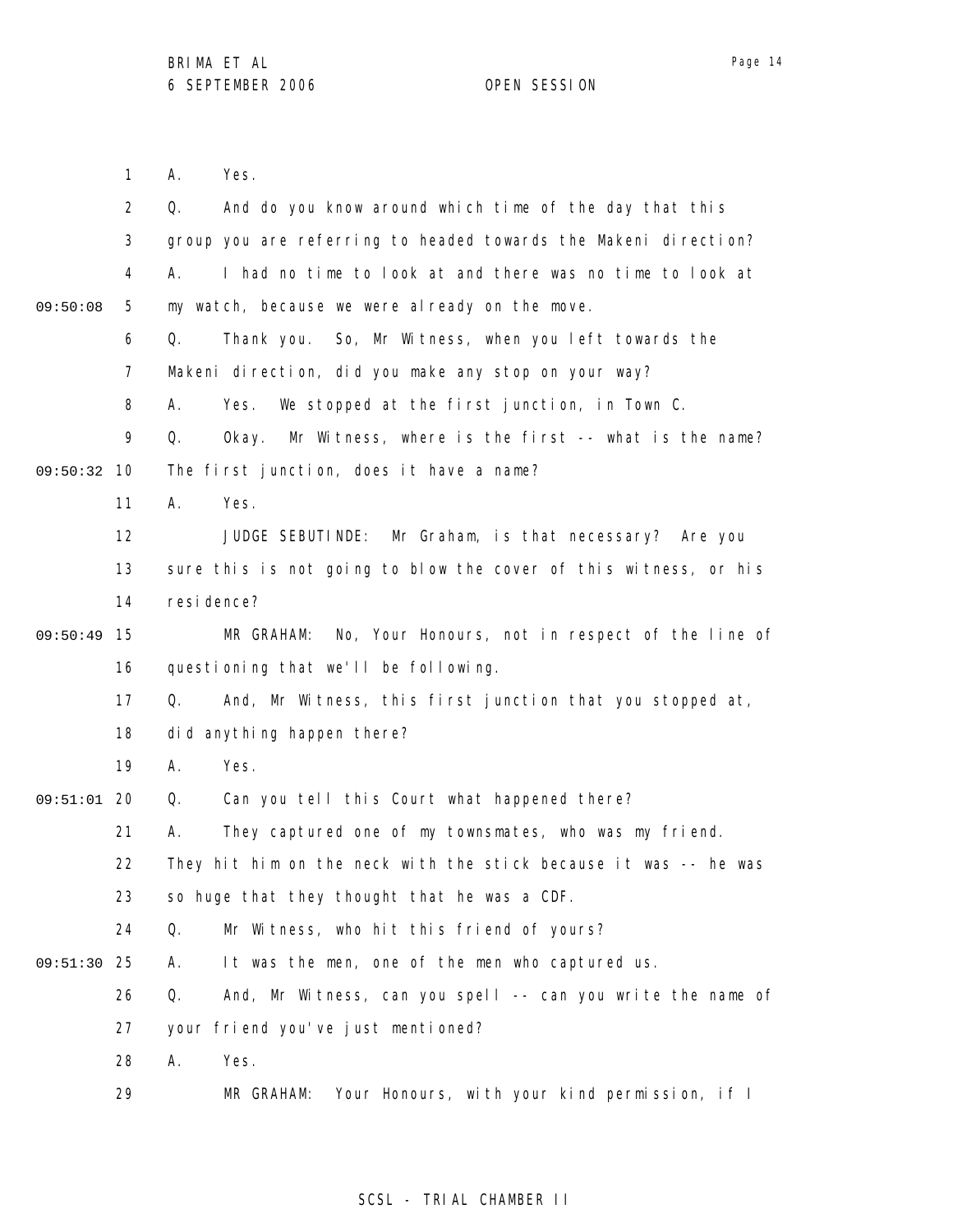A. Yes.

1

Page 14

2 3 4 5 6 7 8 9 09:50:32 10 11 12 13 14 09:50:49 15 16 17 18 19 09:51:01 20 21 22 23 24 25 09:51:30 26 27 28 29 09:50:08 Q. And do you know around which time of the day that this group you are referring to headed towards the Makeni direction? A. I had no time to look at and there was no time to look at my watch, because we were already on the move. Q. Thank you. So, Mr Witness, when you left towards the Makeni direction, did you make any stop on your way? A. Yes. We stopped at the first junction, in Town C. Q. Okay. Mr Witness, where is the first -- what is the name? The first junction, does it have a name? A. Yes. JUDGE SEBUTINDE: Mr Graham, is that necessary? Are you sure this is not going to blow the cover of this witness, or his resi dence? MR GRAHAM: No, Your Honours, not in respect of the line of questioning that we'll be following. Q. And, Mr Witness, this first junction that you stopped at, did anything happen there? A. Yes. Q. Can you tell this Court what happened there? A. They captured one of my townsmates, who was my friend. They hit him on the neck with the stick because it was -- he was so huge that they thought that he was a CDF. Q. Mr Witness, who hit this friend of yours? A. It was the men, one of the men who captured us. Q. And, Mr Witness, can you spell -- can you write the name of your friend you've just mentioned? A. Yes. MR GRAHAM: Your Honours, with your kind permission, if I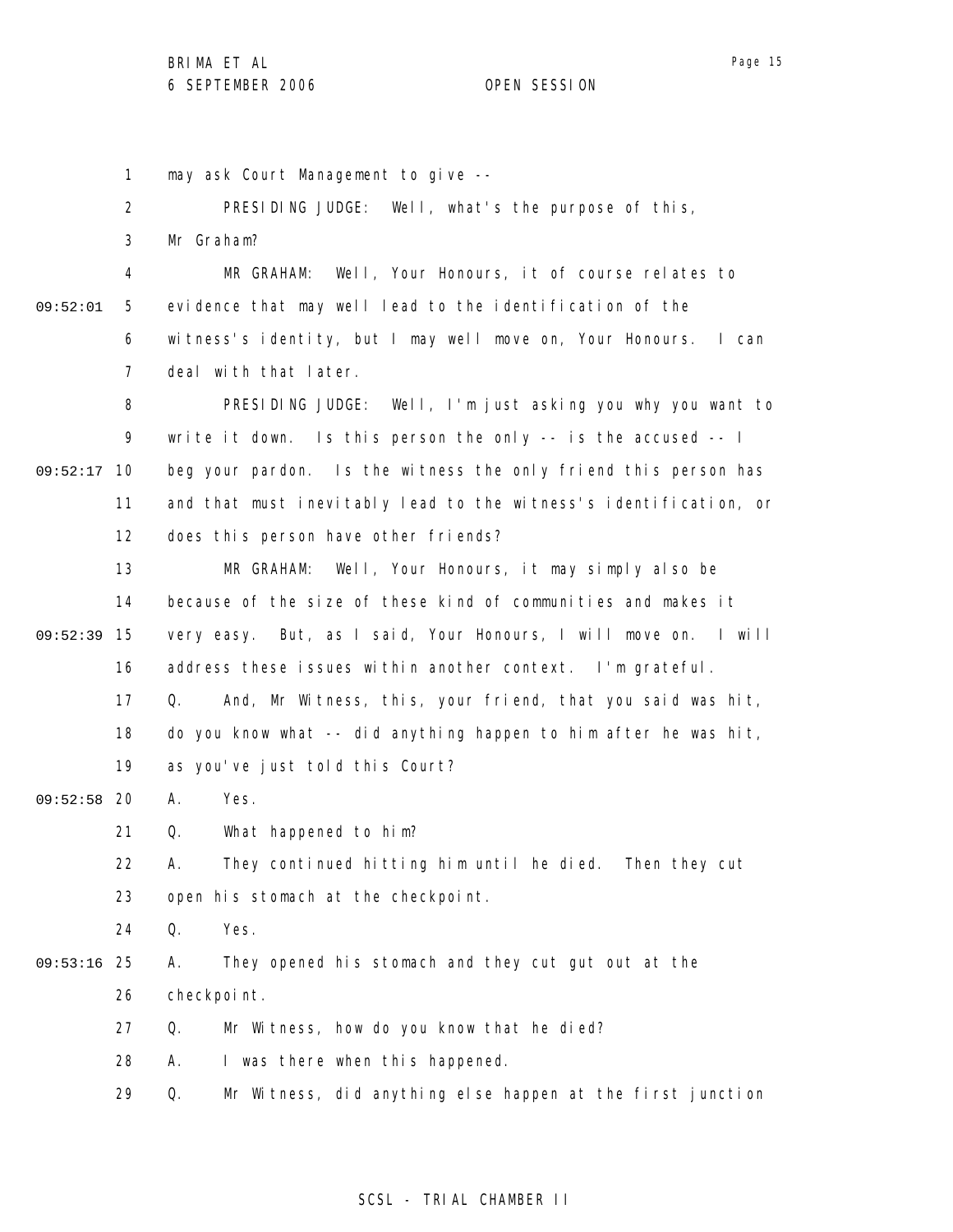1 may ask Court Management to give --

2 3 4 5 6 7 8 9 09:52:17 10 11 12 13 14 15 09:52:39 16 17 18 19 09:52:58 20 21 22 23 24 25 09:53:16 26 27 28 29 09:52:01 PRESIDING JUDGE: Well, what's the purpose of this, Mr Graham? MR GRAHAM: Well, Your Honours, it of course relates to evidence that may well lead to the identification of the witness's identity, but I may well move on, Your Honours. I can deal with that later. PRESIDING JUDGE: Well, I'm just asking you why you want to write it down. Is this person the only -- is the accused -- I beg your pardon. Is the witness the only friend this person has and that must inevitably lead to the witness's identification, or does this person have other friends? MR GRAHAM: Well, Your Honours, it may simply also be because of the size of these kind of communities and makes it very easy. But, as I said, Your Honours, I will move on. I will address these issues within another context. I'm grateful. Q. And, Mr Witness, this, your friend, that you said was hit, do you know what -- did anything happen to him after he was hit, as you've just told this Court? A. Yes. Q. What happened to him? A. They continued hitting him until he died. Then they cut open his stomach at the checkpoint. Q. Yes. A. They opened his stomach and they cut gut out at the checkpoint. Q. Mr Witness, how do you know that he died? A. I was there when this happened. Q. Mr Witness, did anything else happen at the first junction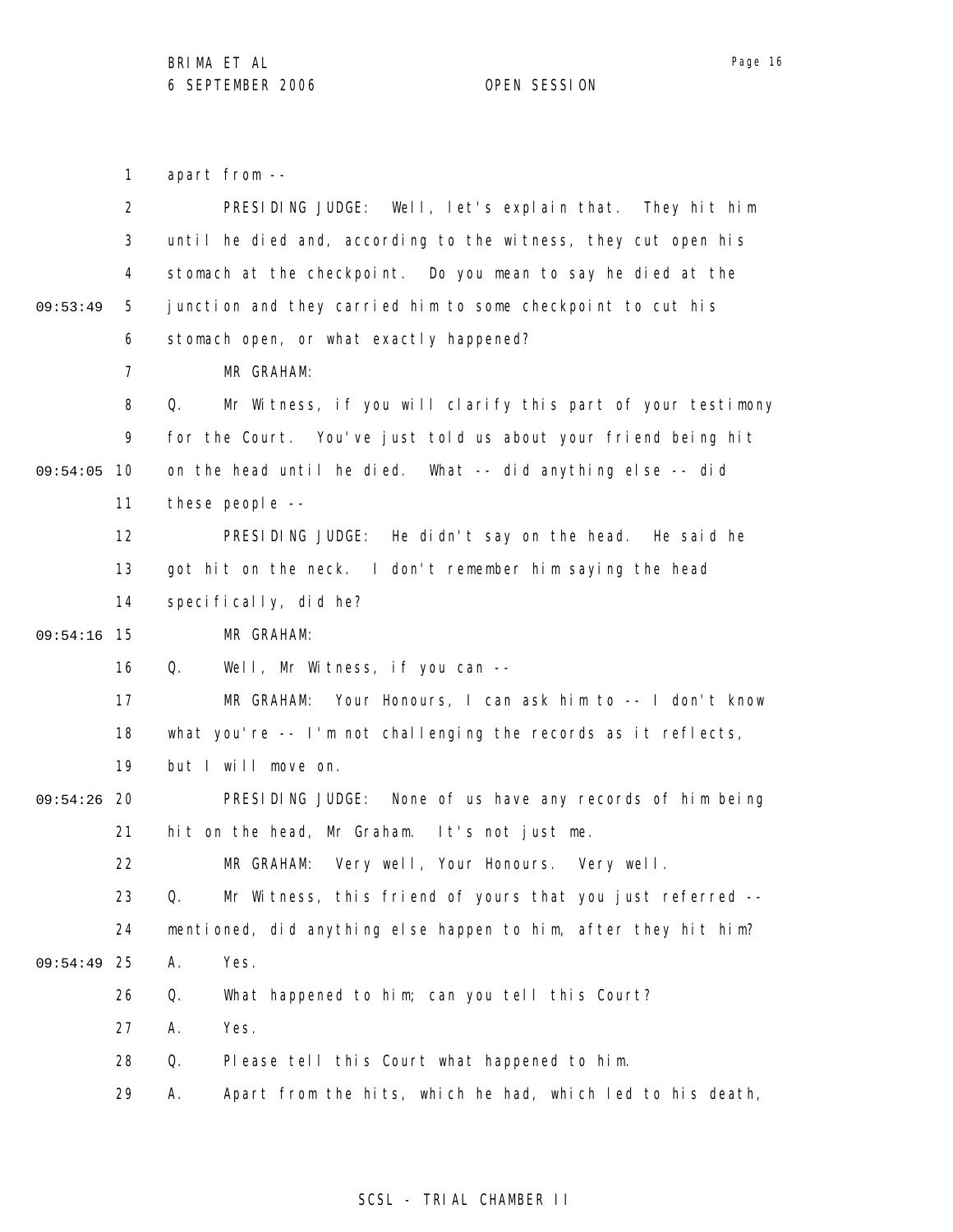Page 16

1 2 3 4 5 6 7 8 9 09:54:05 10 11 12 13 14 09:54:16 15 16 17 18 19 09:54:26 20 21 22 23 24 25 09:54:49 26 27 28 29 09:53:49 apart from -- PRESIDING JUDGE: Well, let's explain that. They hit him until he died and, according to the witness, they cut open his stomach at the checkpoint. Do you mean to say he died at the junction and they carried him to some checkpoint to cut his stomach open, or what exactly happened? MR GRAHAM: Q. Mr Witness, if you will clarify this part of your testimony for the Court. You've just told us about your friend being hit on the head until he died. What -- did anything else -- did these people -- PRESIDING JUDGE: He didn't say on the head. He said he got hit on the neck. I don't remember him saying the head specifically, did he? MR GRAHAM: Q. Well, Mr Witness, if you can -- MR GRAHAM: Your Honours, I can ask him to -- I don't know what you're -- I'm not challenging the records as it reflects, but I will move on. PRESIDING JUDGE: None of us have any records of him being hit on the head, Mr Graham. It's not just me. MR GRAHAM: Very well, Your Honours. Very well. Q. Mr Witness, this friend of yours that you just referred - mentioned, did anything else happen to him, after they hit him? A. Yes. Q. What happened to him; can you tell this Court? A. Yes. Q. Please tell this Court what happened to him. A. Apart from the hits, which he had, which led to his death,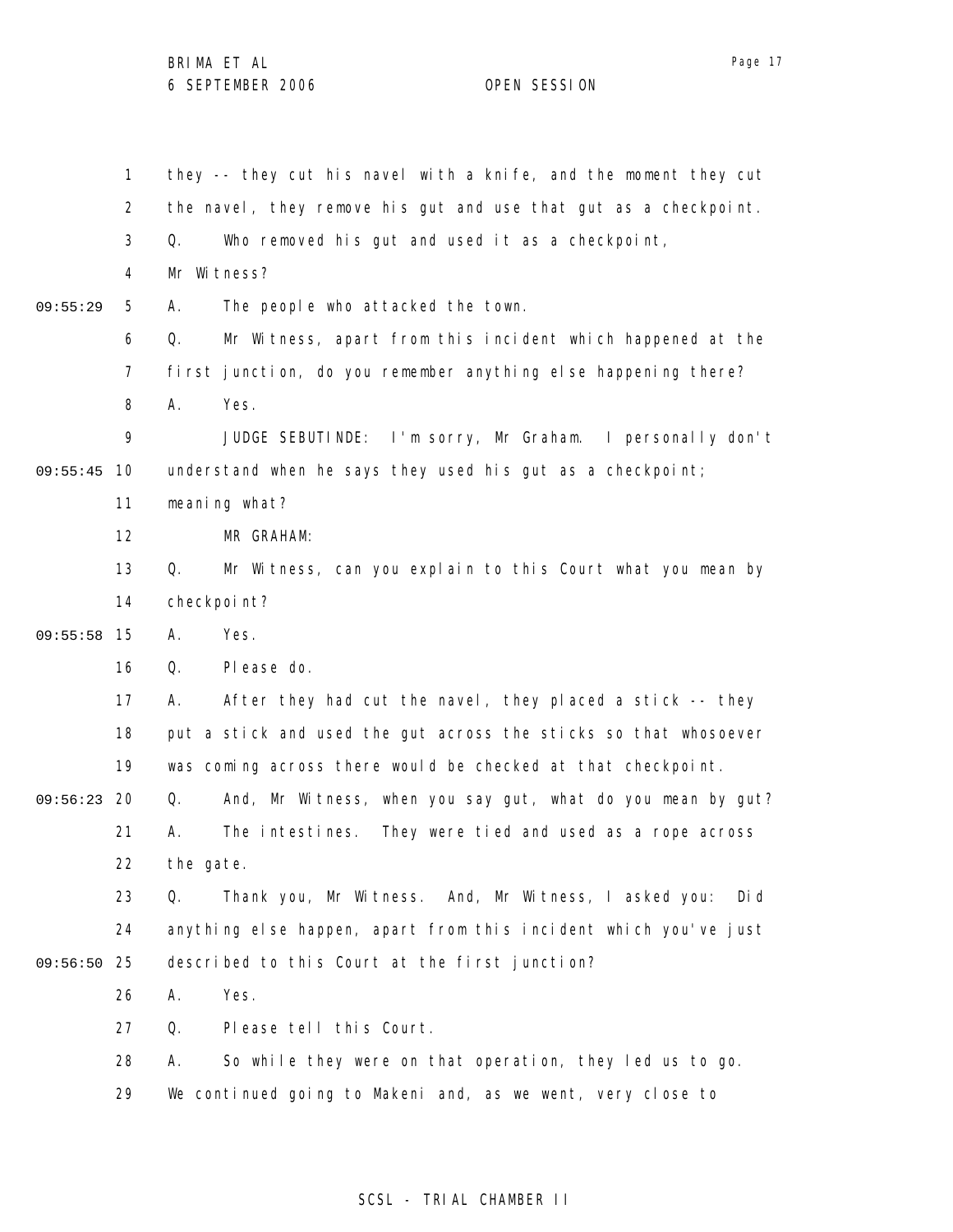|          | 1  | they -- they cut his navel with a knife, and the moment they cut   |
|----------|----|--------------------------------------------------------------------|
|          | 2  | the navel, they remove his gut and use that gut as a checkpoint.   |
|          | 3  | Who removed his gut and used it as a checkpoint,<br>Q.             |
|          | 4  | Mr Witness?                                                        |
| 09:55:29 | 5  | The people who attacked the town.<br>А.                            |
|          | 6  | Mr Witness, apart from this incident which happened at the<br>Q.   |
|          | 7  | first junction, do you remember anything else happening there?     |
|          | 8  | Yes.<br>Α.                                                         |
|          | 9  | JUDGE SEBUTINDE: I'm sorry, Mr Graham. I personally don't          |
| 09:55:45 | 10 | understand when he says they used his gut as a checkpoint;         |
|          | 11 | meaning what?                                                      |
|          | 12 | MR GRAHAM:                                                         |
|          | 13 | Mr Witness, can you explain to this Court what you mean by<br>Q.   |
|          | 14 | checkpoint?                                                        |
| 09:55:58 | 15 | Yes.<br>А.                                                         |
|          | 16 | Please do.<br>Q.                                                   |
|          | 17 | After they had cut the navel, they placed a stick -- they<br>А.    |
|          | 18 | put a stick and used the gut across the sticks so that whosoever   |
|          | 19 | was coming across there would be checked at that checkpoint.       |
| 09:56:23 | 20 | And, Mr Witness, when you say gut, what do you mean by gut?<br>Q.  |
|          | 21 | They were tied and used as a rope across<br>The intestines.<br>Α.  |
|          | 22 | the gate.                                                          |
|          | 23 | Thank you, Mr Witness. And, Mr Witness, I asked you:<br>Di d<br>Q. |
|          | 24 | anything else happen, apart from this incident which you've just   |
| 09:56:50 | 25 | described to this Court at the first junction?                     |
|          | 26 | Yes.<br>Α.                                                         |
|          | 27 | Please tell this Court.<br>Q.                                      |
|          | 28 | So while they were on that operation, they led us to go.<br>А.     |
|          | 29 | We continued going to Makeni and, as we went, very close to        |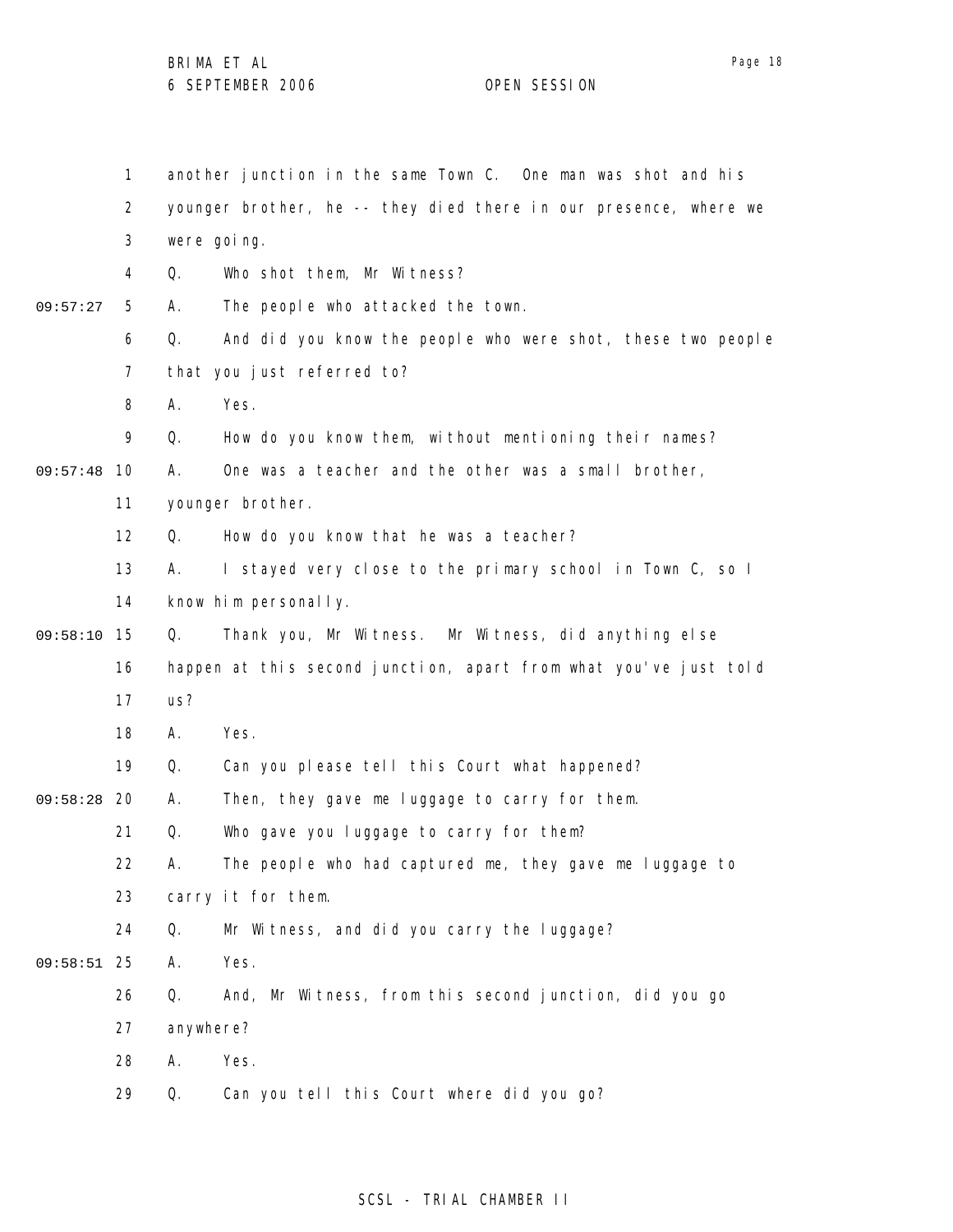1 2 3 4 5 6 7 8 9 09:57:48 10 11 12 13 14 09:58:10 15 16 17 18 19 09:58:28 20 21 22 23 24 25 09:58:51 26 27 28 29 09:57:27 another junction in the same Town C. One man was shot and his younger brother, he -- they died there in our presence, where we were going. Q. Who shot them, Mr Witness? A. The people who attacked the town. Q. And did you know the people who were shot, these two people that you just referred to? A. Yes. Q. How do you know them, without mentioning their names? A. One was a teacher and the other was a small brother, younger brother. Q. How do you know that he was a teacher? A. I stayed very close to the primary school in Town C, so I know him personally. Q. Thank you, Mr Witness. Mr Witness, did anything else happen at this second junction, apart from what you've just told us? A. Yes. Q. Can you please tell this Court what happened? A. Then, they gave me luggage to carry for them. Q. Who gave you luggage to carry for them? A. The people who had captured me, they gave me luggage to carry it for them. Q. Mr Witness, and did you carry the luggage? A. Yes. Q. And, Mr Witness, from this second junction, did you go anywhere? A. Yes. Q. Can you tell this Court where did you go?

### SCSL - TRIAL CHAMBER II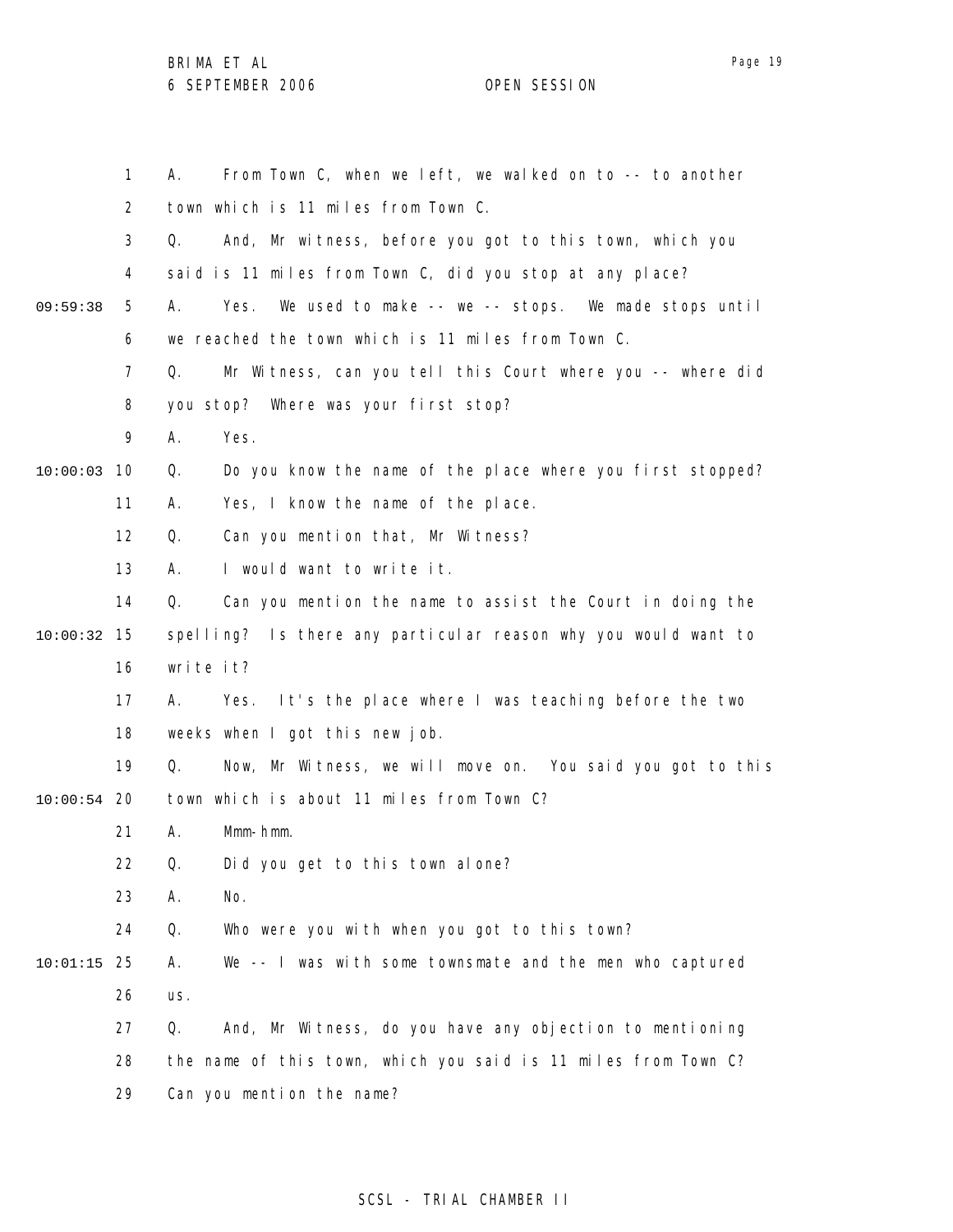|          | $\mathbf 1$ | From Town C, when we left, we walked on to -- to another<br>А.    |
|----------|-------------|-------------------------------------------------------------------|
|          | 2           | town which is 11 miles from Town C.                               |
|          | 3           | Q.<br>And, Mr witness, before you got to this town, which you     |
|          | 4           | said is 11 miles from Town C, did you stop at any place?          |
| 09:59:38 | 5           | Yes.<br>We used to make -- we -- stops. We made stops until<br>А. |
|          | 6           | we reached the town which is 11 miles from Town C.                |
|          | 7           | Mr Witness, can you tell this Court where you -- where did<br>Q.  |
|          | 8           | you stop? Where was your first stop?                              |
|          | 9           | Α.<br>Yes.                                                        |
| 10:00:03 | 10          | Do you know the name of the place where you first stopped?<br>Q.  |
|          | 11          | Yes, I know the name of the place.<br>А.                          |
|          | 12          | Can you mention that, Mr Witness?<br>Q.                           |
|          | 13          | I would want to write it.<br>А.                                   |
|          | 14          | Q.<br>Can you mention the name to assist the Court in doing the   |
| 10:00:32 | 15          | spelling? Is there any particular reason why you would want to    |
|          | 16          | write it?                                                         |
|          | 17          | Α.<br>It's the place where I was teaching before the two<br>Yes.  |
|          | 18          | weeks when I got this new job.                                    |
|          | 19          | Now, Mr Witness, we will move on. You said you got to this<br>Q.  |
| 10:00:54 | 20          | town which is about 11 miles from Town C?                         |
|          | 21          | Mmm-hmm.<br>Α.                                                    |
|          | 22          | Q.<br>Did you get to this town alone?                             |
|          | 23          | Α.<br>No.                                                         |
|          | 24          | Who were you with when you got to this town?<br>Q.                |
| 10:01:15 | 25          | We -- I was with some townsmate and the men who captured<br>Α.    |
|          | 26          | us.                                                               |
|          | 27          | Q.<br>And, Mr Witness, do you have any objection to mentioning    |
|          | 28          | the name of this town, which you said is 11 miles from Town C?    |
|          | 29          | Can you mention the name?                                         |

# SCSL - TRIAL CHAMBER II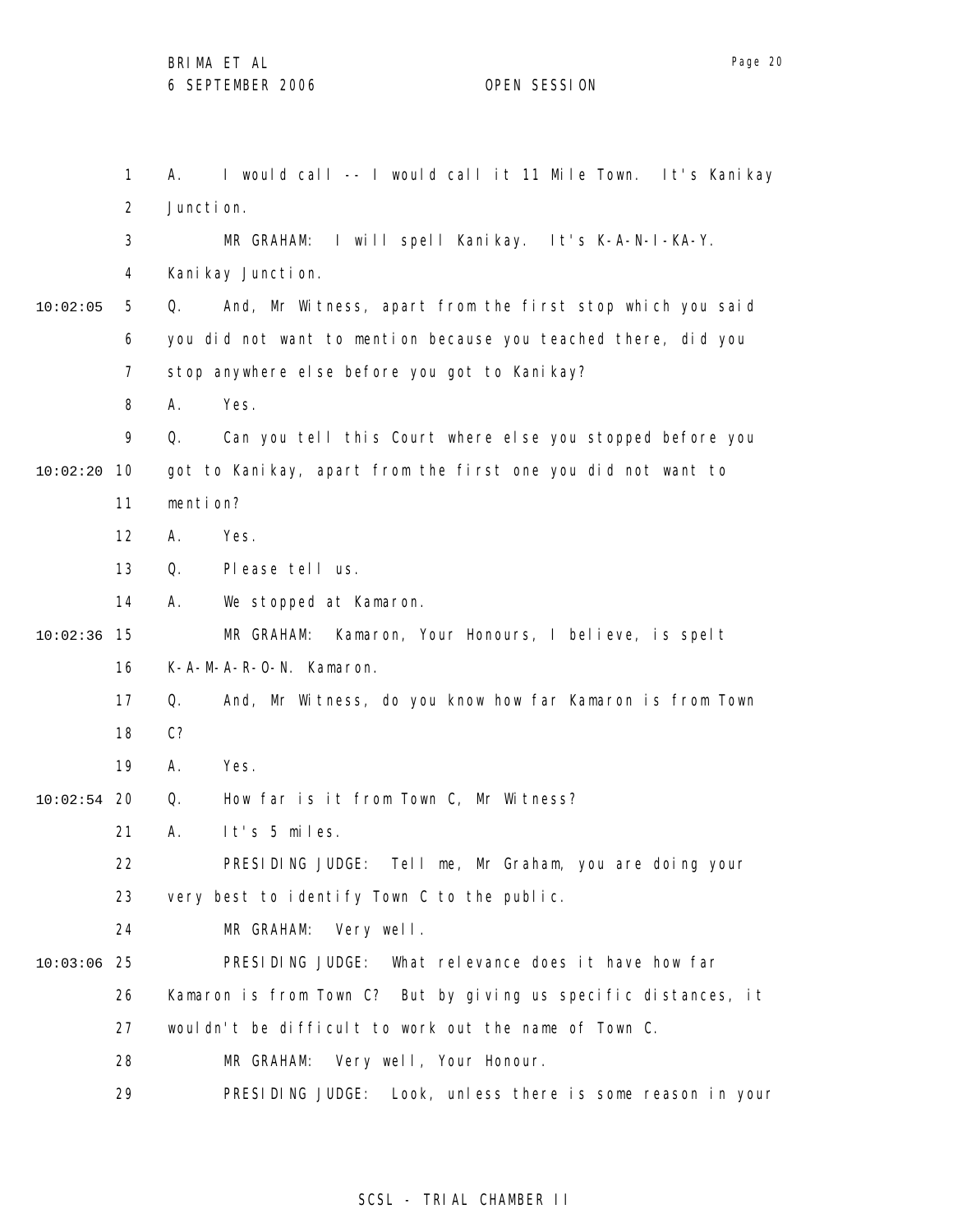1 2 3 4 5 6 7 8 9 10 10:02:20 11 12 13 14 15 10:02:36 16 17 18 19 20 10:02:54 21 22 23 24 25 10:03:06 26 27 28 29 10:02:05 A. I would call -- I would call it 11 Mile Town. It's Kanikay Juncti on. MR GRAHAM: I will spell Kanikay. It's K-A-N-I-KA-Y. Kani kay Juncti on. Q. And, Mr Witness, apart from the first stop which you said you did not want to mention because you teached there, did you stop anywhere else before you got to Kanikay? A. Yes. Q. Can you tell this Court where else you stopped before you got to Kanikay, apart from the first one you did not want to mention? A. Yes. Q. Please tell us. A. We stopped at Kamaron. MR GRAHAM: Kamaron, Your Honours, I believe, is spelt K-A-M-A-R-O-N. Kamaron. Q. And, Mr Witness, do you know how far Kamaron is from Town C? A. Yes. Q. How far is it from Town C, Mr Witness? A. It's 5 miles. PRESIDING JUDGE: Tell me, Mr Graham, you are doing your very best to identify Town C to the public. MR GRAHAM: Very well. PRESIDING JUDGE: What relevance does it have how far Kamaron is from Town C? But by giving us specific distances, it wouldn't be difficult to work out the name of Town C. MR GRAHAM: Very well, Your Honour. PRESIDING JUDGE: Look, unless there is some reason in your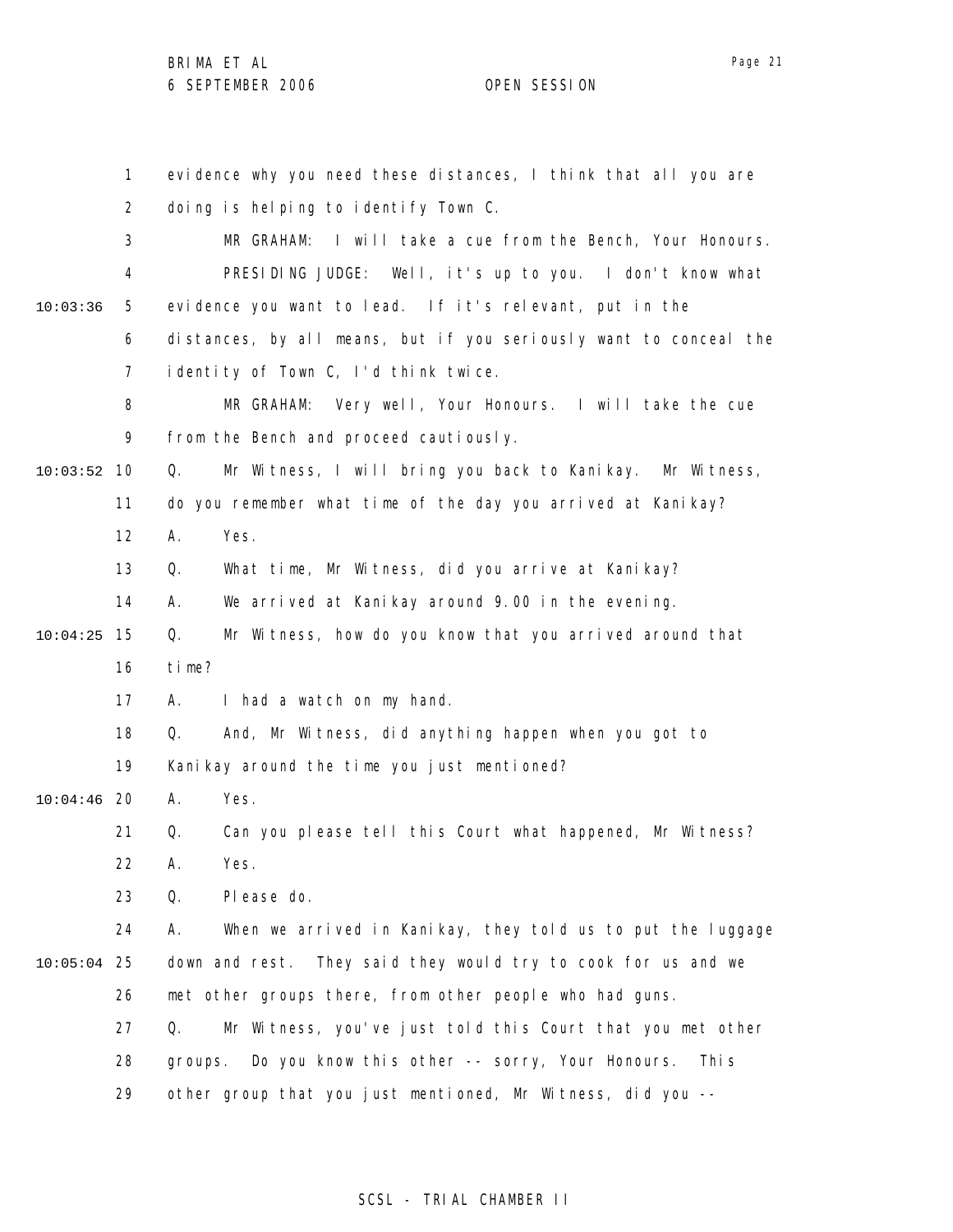1 2 3 4 5 6 7 8 9 10 10:03:52 11 12 13 14 15 10:04:25 16 17 18 19 20 10:04:46 21 22 23 24 25 10:05:04 26 27 28 29 10:03:36 evidence why you need these distances, I think that all you are doing is helping to identify Town C. MR GRAHAM: I will take a cue from the Bench, Your Honours. PRESIDING JUDGE: Well, it's up to you. I don't know what evidence you want to lead. If it's relevant, put in the distances, by all means, but if you seriously want to conceal the identity of Town C, I'd think twice. MR GRAHAM: Very well, Your Honours. I will take the cue from the Bench and proceed cautiously. Q. Mr Witness, I will bring you back to Kanikay. Mr Witness, do you remember what time of the day you arrived at Kanikay? A. Yes. Q. What time, Mr Witness, did you arrive at Kanikay? A. We arrived at Kanikay around 9.00 in the evening. Q. Mr Witness, how do you know that you arrived around that time? A. I had a watch on my hand. Q. And, Mr Witness, did anything happen when you got to Kanikay around the time you just mentioned? A. Yes. Q. Can you please tell this Court what happened, Mr Witness? A. Yes. Q. Please do. A. When we arrived in Kanikay, they told us to put the luggage down and rest. They said they would try to cook for us and we met other groups there, from other people who had guns. Q. Mr Witness, you've just told this Court that you met other groups. Do you know this other -- sorry, Your Honours. This other group that you just mentioned, Mr Witness, did you --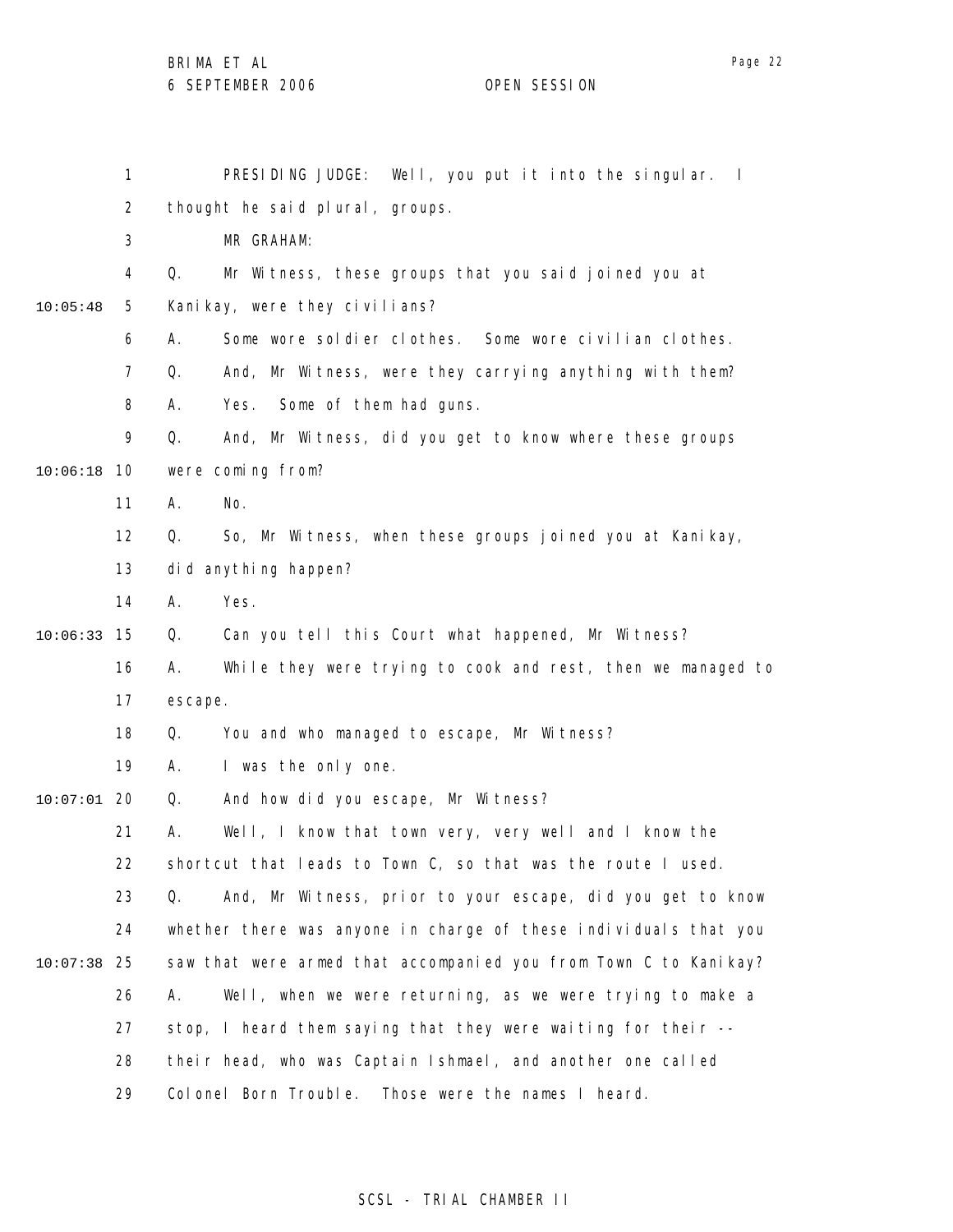|          | $\mathbf{1}$   | PRESIDING JUDGE: Well, you put it into the singular. I            |
|----------|----------------|-------------------------------------------------------------------|
|          | $\overline{2}$ | thought he said plural, groups.                                   |
|          | 3              | MR GRAHAM:                                                        |
|          | 4              | Q.<br>Mr Witness, these groups that you said joined you at        |
| 10:05:48 | 5              | Kanikay, were they civilians?                                     |
|          | 6              | Some wore soldier clothes. Some wore civilian clothes.<br>А.      |
|          | 7              | And, Mr Witness, were they carrying anything with them?<br>Q.     |
|          | 8              | Some of them had guns.<br>А.<br>Yes.                              |
|          | 9              | Q.<br>And, Mr Witness, did you get to know where these groups     |
| 10:06:18 | 10             | were coming from?                                                 |
|          | 11             | No.<br>А.                                                         |
|          | 12             | Q.<br>So, Mr Witness, when these groups joined you at Kanikay,    |
|          | 13             | did anything happen?                                              |
|          | 14             | Yes.<br>А.                                                        |
| 10:06:33 | 15             | Can you tell this Court what happened, Mr Witness?<br>Q.          |
|          | 16             | While they were trying to cook and rest, then we managed to<br>А. |
|          | 17             | escape.                                                           |
|          | 18             | You and who managed to escape, Mr Witness?<br>Q.                  |
|          | 19             | I was the only one.<br>А.                                         |
| 10:07:01 | 20             | Q.<br>And how did you escape, Mr Witness?                         |
|          | 21             | Well, I know that town very, very well and I know the<br>Α.       |
|          | 22             | shortcut that leads to Town C, so that was the route I used.      |
|          | 23             | And, Mr Witness, prior to your escape, did you get to know<br>Q.  |
|          | 24             | whether there was anyone in charge of these individuals that you  |
| 10:07:38 | 25             | saw that were armed that accompanied you from Town C to Kanikay?  |
|          | 26             | Well, when we were returning, as we were trying to make a<br>А.   |
|          | 27             | stop, I heard them saying that they were waiting for their --     |
|          | 28             | their head, who was Captain Ishmael, and another one called       |
|          | 29             | Colonel Born Trouble. Those were the names I heard.               |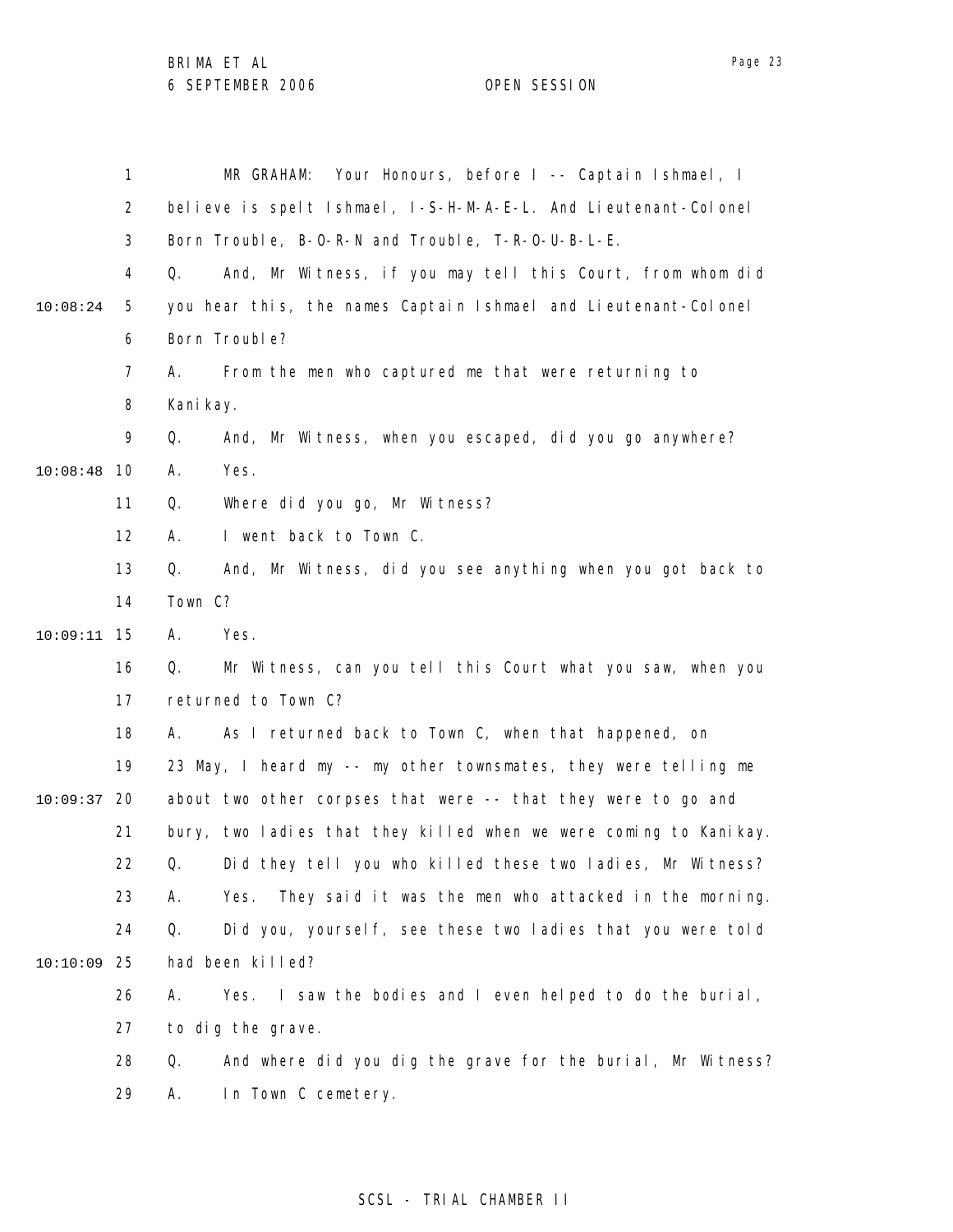|          | 1              | Your Honours, before I -- Captain Ishmael, I<br>MR GRAHAM:          |
|----------|----------------|---------------------------------------------------------------------|
|          | $\overline{2}$ | believe is spelt Ishmael, I-S-H-M-A-E-L. And Lieutenant-Colonel     |
|          | 3              | Born Trouble, B-0-R-N and Trouble, T-R-0-U-B-L-E.                   |
|          | 4              | And, Mr Witness, if you may tell this Court, from whom did<br>Q.    |
| 10:08:24 | 5              | you hear this, the names Captain Ishmael and Lieutenant-Colonel     |
|          | 6              | Born Trouble?                                                       |
|          | 7              | From the men who captured me that were returning to<br>А.           |
|          | 8              | Kani kay.                                                           |
|          | 9              | And, Mr Witness, when you escaped, did you go anywhere?<br>Q.       |
| 10:08:48 | 10             | Yes.<br>А.                                                          |
|          | 11             | Where did you go, Mr Witness?<br>Q.                                 |
|          | 12             | I went back to Town C.<br>А.                                        |
|          | 13             | And, Mr Witness, did you see anything when you got back to<br>Q.    |
|          | 14             | Town C?                                                             |
| 10:09:11 | 15             | Α.<br>Yes.                                                          |
|          | 16             | Mr Witness, can you tell this Court what you saw, when you<br>Q.    |
|          | 17             | returned to Town C?                                                 |
|          | 18             | As I returned back to Town C, when that happened, on<br>А.          |
|          | 19             | 23 May, I heard my -- my other townsmates, they were telling me     |
| 10:09:37 | 20             | about two other corpses that were -- that they were to go and       |
|          | 21             | bury, two ladies that they killed when we were coming to Kanikay.   |
|          | 22             | Did they tell you who killed these two ladies, Mr Witness?<br>Q.    |
|          | 23             | They said it was the men who attacked in the morning.<br>А.<br>Yes. |
|          | 24             | Did you, yourself, see these two ladies that you were told<br>Q.    |
| 10:10:09 | 25             | had been killed?                                                    |
|          | 26             | Yes. I saw the bodies and I even helped to do the burial,<br>Α.     |
|          | 27             | to dig the grave.                                                   |
|          | 28             | And where did you dig the grave for the burial, Mr Witness?<br>Q.   |
|          | 29             | In Town C cemetery.<br>А.                                           |

# SCSL - TRIAL CHAMBER II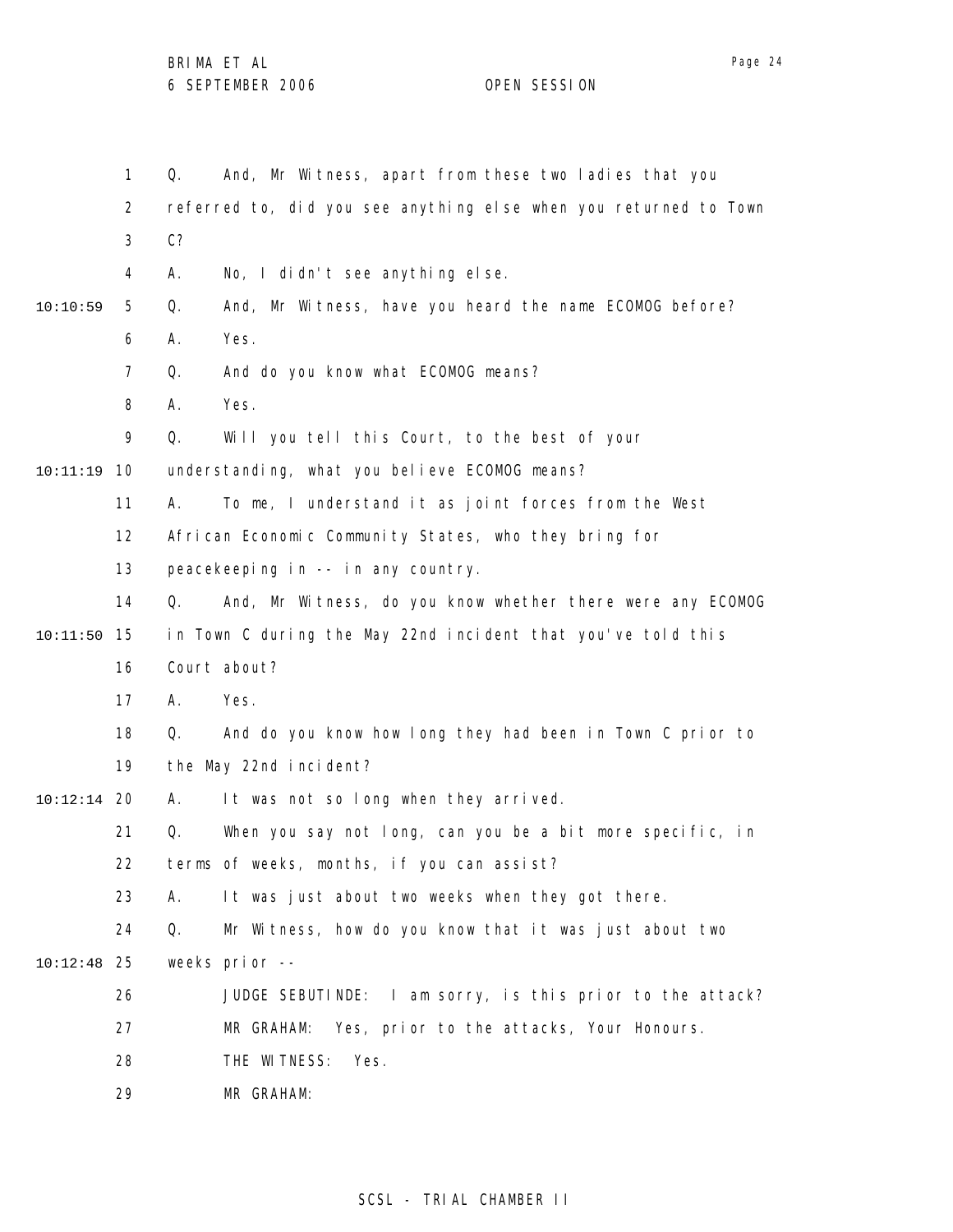1 2 3 4 5 6 7 8 9 10 10:11:19 11 12 13 14 15 10:11:50 16 17 18 19 20 10:12:14 21 22 23 24 25 10:12:48 26 27 28 29 10:10:59 Q. And, Mr Witness, apart from these two ladies that you referred to, did you see anything else when you returned to Town C? A. No, I didn't see anything else. Q. And, Mr Witness, have you heard the name ECOMOG before? A. Yes. Q. And do you know what ECOMOG means? A. Yes. Q. Will you tell this Court, to the best of your understanding, what you believe ECOMOG means? A. To me, I understand it as joint forces from the West African Economic Community States, who they bring for peacekeeping in -- in any country. Q. And, Mr Witness, do you know whether there were any ECOMOG in Town C during the May 22nd incident that you've told this Court about? A. Yes. Q. And do you know how long they had been in Town C prior to the May 22nd incident? A. It was not so long when they arrived. Q. When you say not long, can you be a bit more specific, in terms of weeks, months, if you can assist? A. It was just about two weeks when they got there. Q. Mr Witness, how do you know that it was just about two weeks prior -- JUDGE SEBUTINDE: I am sorry, is this prior to the attack? MR GRAHAM: Yes, prior to the attacks, Your Honours. THE WITNESS: Yes. MR GRAHAM: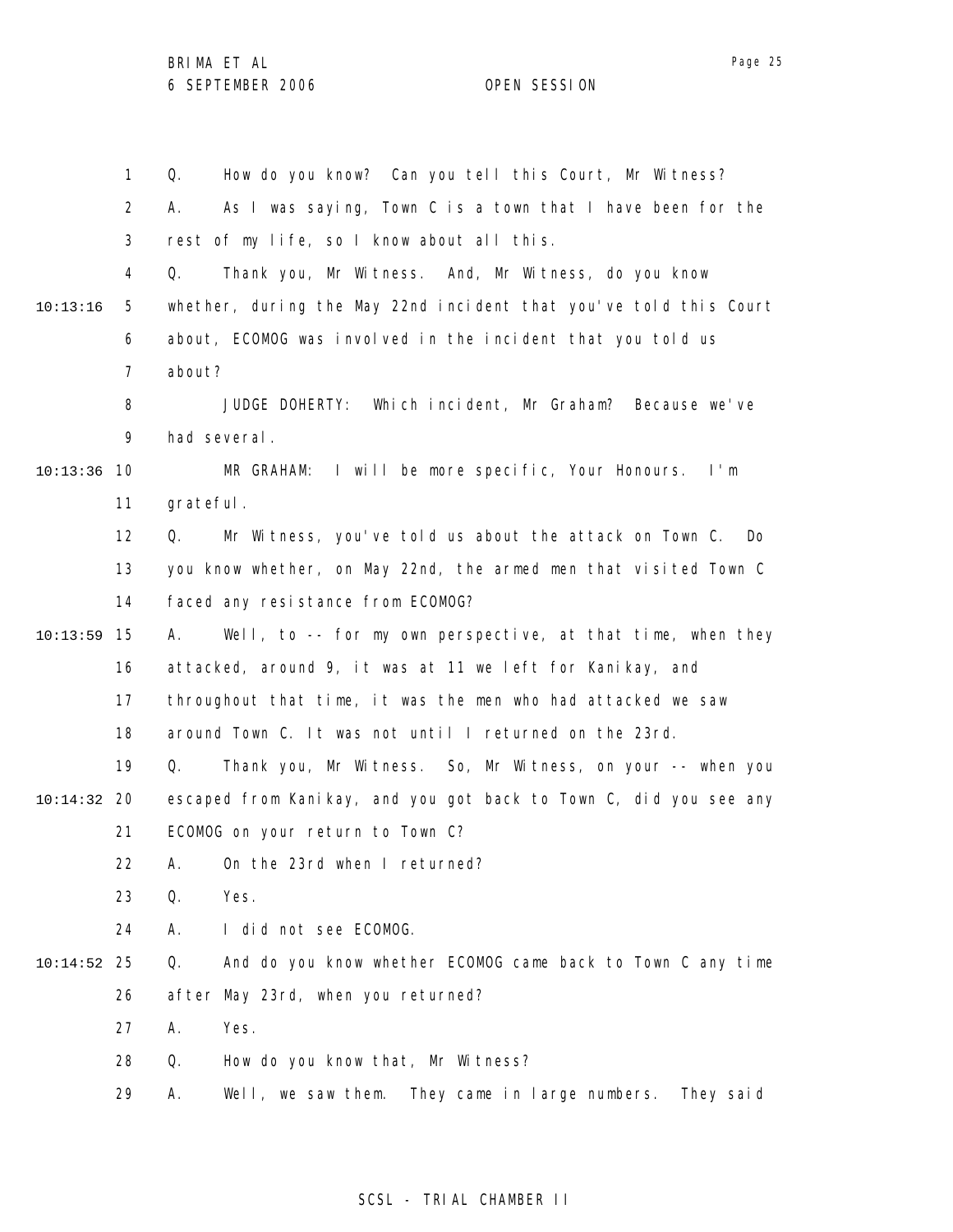1 2 3 4 5 6 7 8 9 10 10:13:36 11 12 13 14 15 10:13:59 16 17 18 19 20 10:14:32 21 22 23 24 25 10:14:52 26 27 28 29 10:13:16 Q. How do you know? Can you tell this Court, Mr Witness? A. As I was saying, Town C is a town that I have been for the rest of my life, so I know about all this. Q. Thank you, Mr Witness. And, Mr Witness, do you know whether, during the May 22nd incident that you've told this Court about, ECOMOG was involved in the incident that you told us about? JUDGE DOHERTY: Which incident, Mr Graham? Because we've had several. MR GRAHAM: I will be more specific, Your Honours. I'm grateful. Q. Mr Witness, you've told us about the attack on Town C. Do you know whether, on May 22nd, the armed men that visited Town C faced any resistance from ECOMOG? A. Well, to -- for my own perspective, at that time, when they attacked, around 9, it was at 11 we left for Kanikay, and throughout that time, it was the men who had attacked we saw around Town C. It was not until I returned on the 23rd. Q. Thank you, Mr Witness. So, Mr Witness, on your -- when you escaped from Kanikay, and you got back to Town C, did you see any ECOMOG on your return to Town C? A. On the 23rd when I returned? Q. Yes. A. I did not see ECOMOG. Q. And do you know whether ECOMOG came back to Town C any time after May 23rd, when you returned? A. Yes. Q. How do you know that, Mr Witness? A. Well, we saw them. They came in large numbers. They said

### SCSL - TRIAL CHAMBER II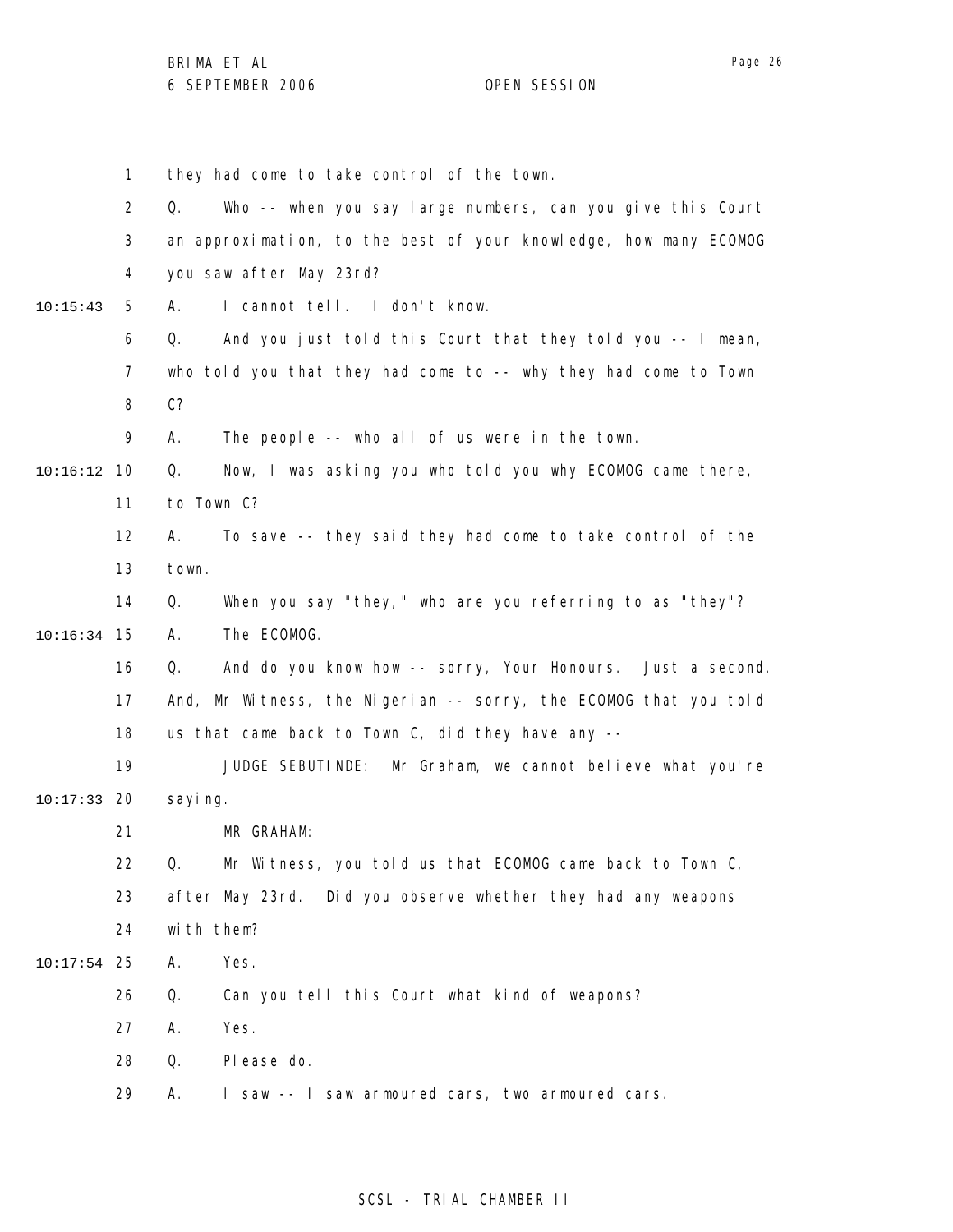|               | 1              | they had come to take control of the town.                       |
|---------------|----------------|------------------------------------------------------------------|
|               | $\overline{2}$ | Who -- when you say large numbers, can you give this Court<br>Q. |
|               | 3              | an approximation, to the best of your knowledge, how many ECOMOG |
|               | 4              | you saw after May 23rd?                                          |
| 10:15:43      | 5              | I cannot tell. I don't know.<br>А.                               |
|               | 6              | And you just told this Court that they told you -- I mean,<br>Q. |
|               | 7              | who told you that they had come to -- why they had come to Town  |
|               | 8              | C <sub>2</sub>                                                   |
|               | 9              | The people -- who all of us were in the town.<br>А.              |
| $10:16:12$ 10 |                | Now, I was asking you who told you why ECOMOG came there,<br>Q.  |
|               | 11             | to Town C?                                                       |
|               | 12             | To save -- they said they had come to take control of the<br>А.  |
|               | 13             | town.                                                            |
|               | 14             | When you say "they," who are you referring to as "they"?<br>Q.   |
| 10:16:34      | 15             | The ECOMOG.<br>А.                                                |
|               | 16             | And do you know how -- sorry, Your Honours. Just a second.<br>Q. |
|               | 17             | And, Mr Witness, the Nigerian -- sorry, the ECOMOG that you told |
|               | 18             | us that came back to Town C, did they have any --                |
|               | 19             | JUDGE SEBUTI NDE:<br>Mr Graham, we cannot believe what you're    |
| 10:17:33      | -20            | sayi ng.                                                         |
|               | 21             | MR GRAHAM:                                                       |
|               | 22             | Mr Witness, you told us that ECOMOG came back to Town C,<br>Q.   |
|               | 23             | after May 23rd. Did you observe whether they had any weapons     |
|               | 24             | with them?                                                       |
| $10:17:54$ 25 |                | Yes.<br>Α.                                                       |
|               | 26             | Q.<br>Can you tell this Court what kind of weapons?              |
|               | 27             | Yes.<br>Α.                                                       |
|               | 28             | Q.<br>Please do.                                                 |
|               | 29             | I saw -- I saw armoured cars, two armoured cars.<br>Α.           |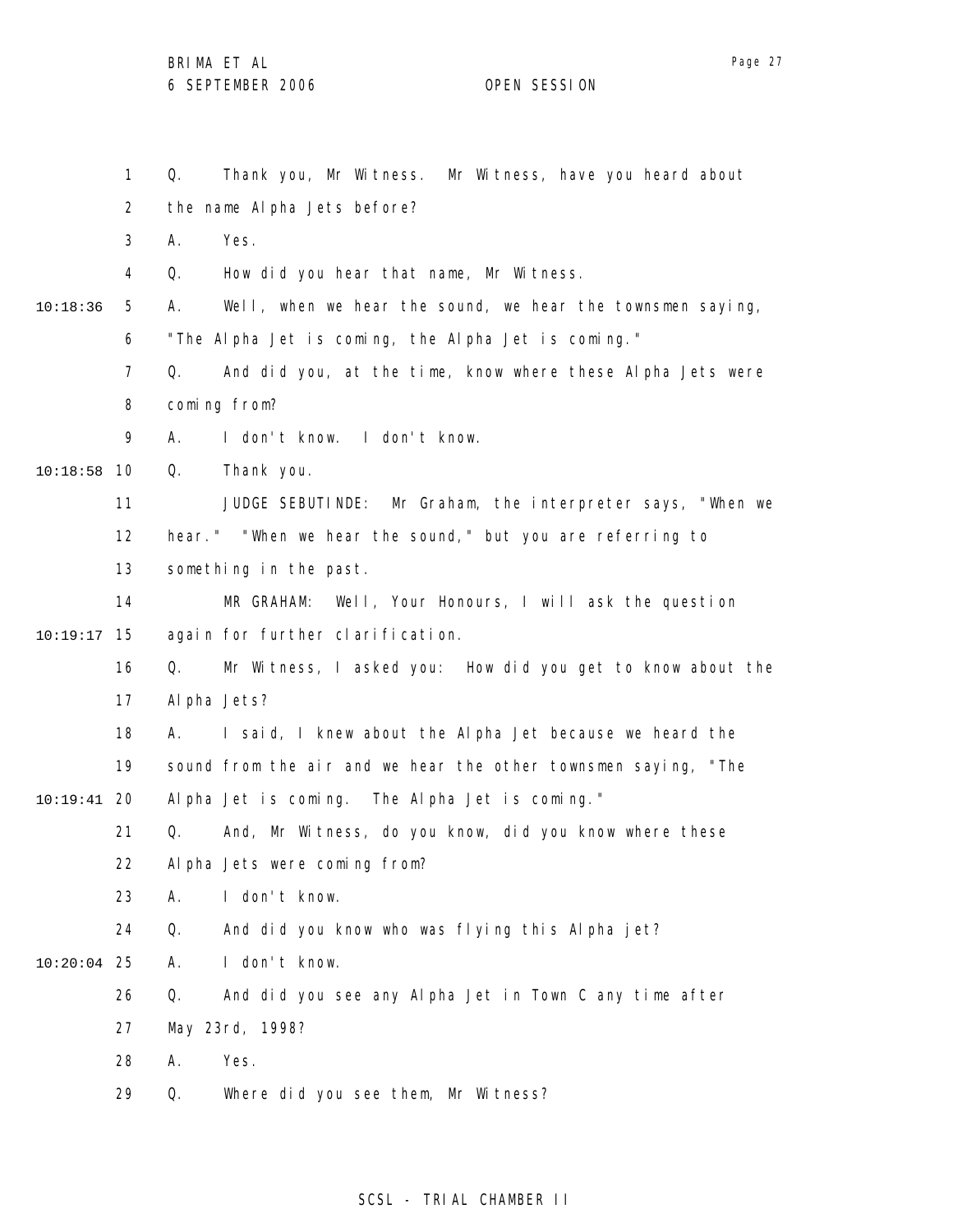Page 27

1 2 3 4 5 6 7 8 9 10 10:18:58 11 12 13 14 15 10:19:17 16 17 18 19 20 10:19:41 21 22 23 24 25 10:20:04 26 27 28 29 10:18:36 Q. Thank you, Mr Witness. Mr Witness, have you heard about the name Alpha Jets before? A. Yes. Q. How did you hear that name, Mr Witness. A. Well, when we hear the sound, we hear the townsmen saying, "The Alpha Jet is coming, the Alpha Jet is coming." Q. And did you, at the time, know where these Alpha Jets were coming from? A. I don't know. I don't know. Q. Thank you. JUDGE SEBUTINDE: Mr Graham, the interpreter says, "When we hear." "When we hear the sound," but you are referring to something in the past. MR GRAHAM: Well, Your Honours, I will ask the question again for further clarification. Q. Mr Witness, I asked you: How did you get to know about the Alpha Jets? A. I said, I knew about the Alpha Jet because we heard the sound from the air and we hear the other townsmen saying, "The Alpha Jet is coming. The Alpha Jet is coming." Q. And, Mr Witness, do you know, did you know where these Alpha Jets were coming from? A. I don't know. Q. And did you know who was flying this Alpha jet? A. I don't know. Q. And did you see any Alpha Jet in Town C any time after May 23rd, 1998? A. Yes. Q. Where did you see them, Mr Witness?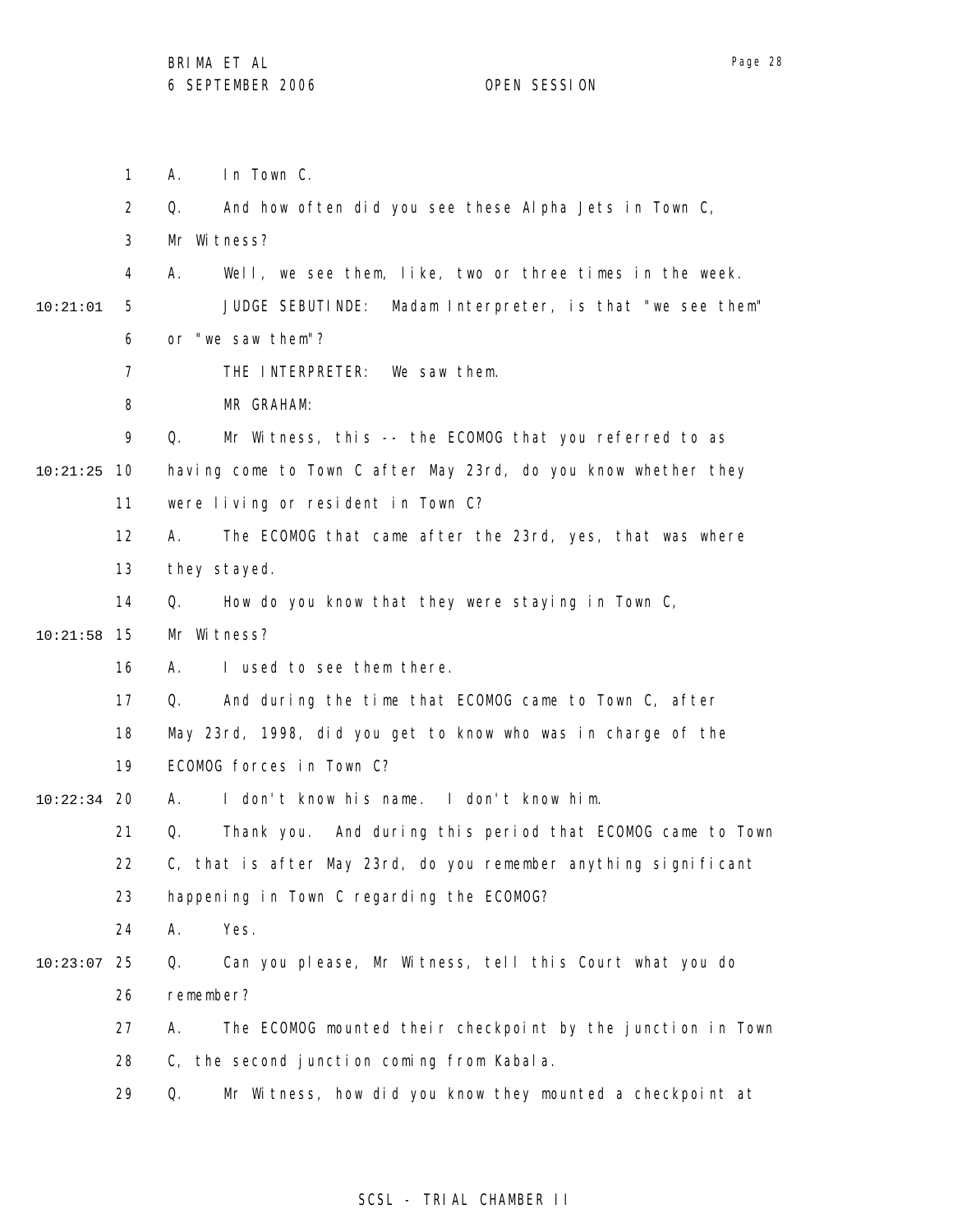Page 28

1 2 3 4 5 6 7 8 9 10 10:21:25 11 12 13 14 15 10:21:58 16 17 18 19 20 10:22:34 21 22 23 24 25 10:23:07 26 27 28 29 10:21:01 A. In Town C. Q. And how often did you see these Alpha Jets in Town C, Mr Witness? A. Well, we see them, like, two or three times in the week. JUDGE SEBUTINDE: Madam Interpreter, is that "we see them" or "we saw them"? THE INTERPRETER: We saw them. MR GRAHAM: Q. Mr Witness, this -- the ECOMOG that you referred to as having come to Town C after May 23rd, do you know whether they were living or resident in Town C? A. The ECOMOG that came after the 23rd, yes, that was where they stayed. Q. How do you know that they were staying in Town C, Mr Witness? A. I used to see them there. Q. And during the time that ECOMOG came to Town C, after May 23rd, 1998, did you get to know who was in charge of the ECOMOG forces in Town C? A. I don't know his name. I don't know him. Q. Thank you. And during this period that ECOMOG came to Town C, that is after May 23rd, do you remember anything significant happening in Town C regarding the ECOMOG? A. Yes. Q. Can you please, Mr Witness, tell this Court what you do remember? A. The ECOMOG mounted their checkpoint by the junction in Town C, the second junction coming from Kabala. Q. Mr Witness, how did you know they mounted a checkpoint at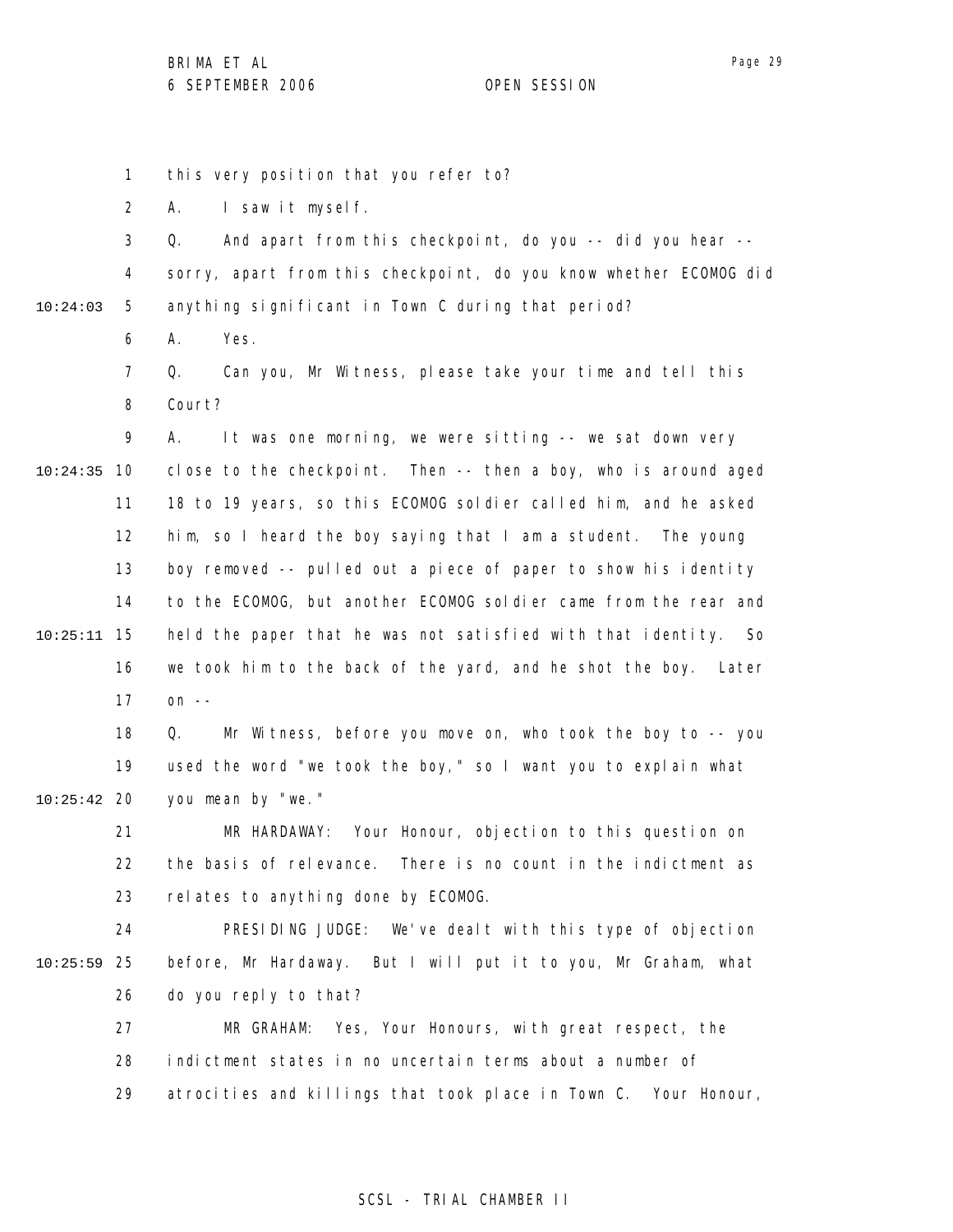1 2 3 4 5 6 7 8 9 10 10:24:35 11 12 13 14 15 10:25:11 16 17 18 19 20 10:25:42 21 22 23 24 25 10:25:59 26 27 28 29 10:24:03 this very position that you refer to? A. I saw it myself. Q. And apart from this checkpoint, do you -- did you hear - sorry, apart from this checkpoint, do you know whether ECOMOG did anything significant in Town C during that period? A. Yes. Q. Can you, Mr Witness, please take your time and tell this Court? A. It was one morning, we were sitting -- we sat down very close to the checkpoint. Then -- then a boy, who is around aged 18 to 19 years, so this ECOMOG soldier called him, and he asked him, so I heard the boy saying that I am a student. The young boy removed -- pulled out a piece of paper to show his identity to the ECOMOG, but another ECOMOG soldier came from the rear and held the paper that he was not satisfied with that identity. So we took him to the back of the yard, and he shot the boy. Later on  $-$ Q. Mr Witness, before you move on, who took the boy to -- you used the word "we took the boy," so I want you to explain what you mean by "we." MR HARDAWAY: Your Honour, objection to this question on the basis of relevance. There is no count in the indictment as relates to anything done by ECOMOG. PRESIDING JUDGE: We've dealt with this type of objection before, Mr Hardaway. But I will put it to you, Mr Graham, what do you reply to that? MR GRAHAM: Yes, Your Honours, with great respect, the indictment states in no uncertain terms about a number of atrocities and killings that took place in Town C. Your Honour,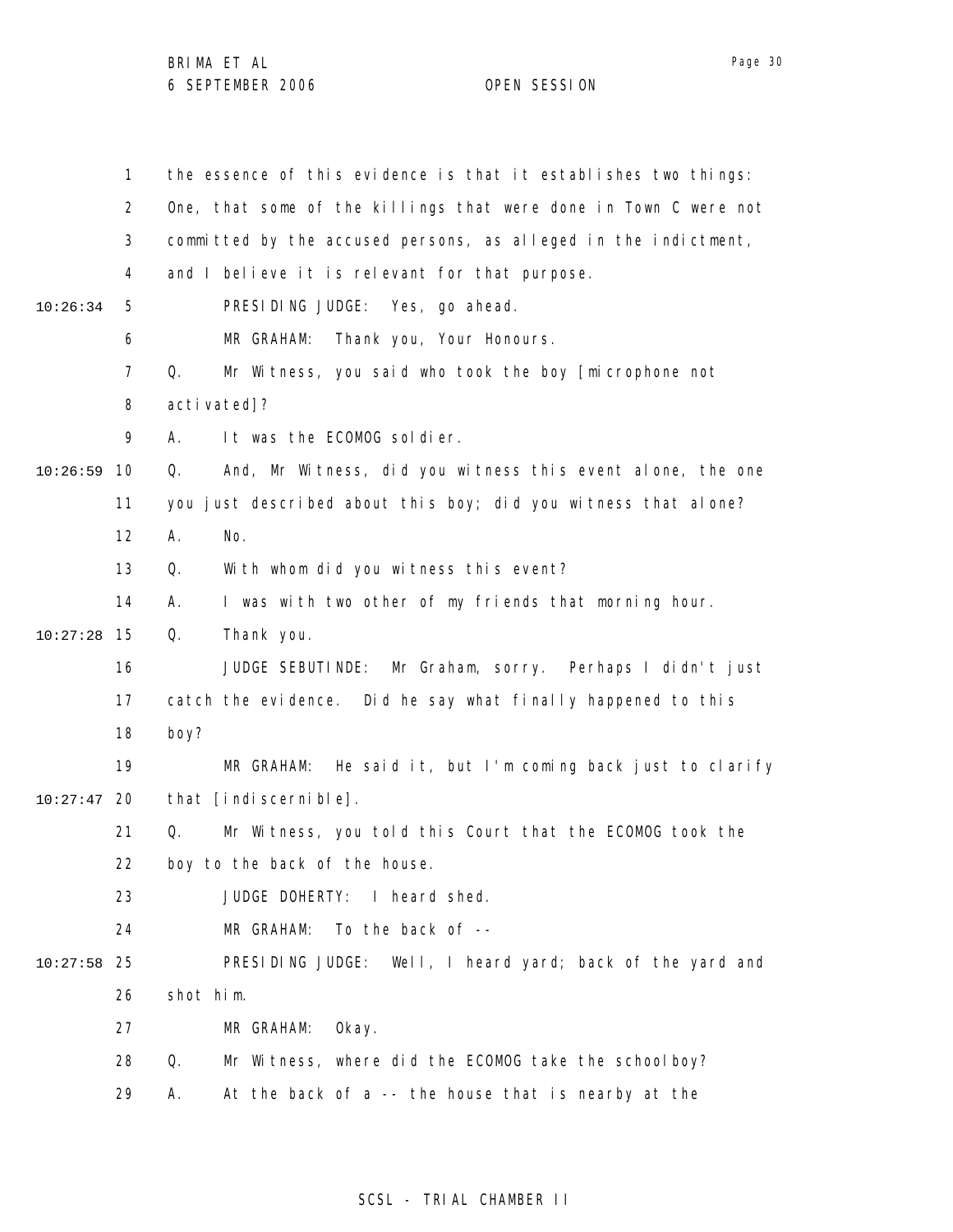|          | 1              | the essence of this evidence is that it establishes two things:  |
|----------|----------------|------------------------------------------------------------------|
|          | $\overline{2}$ | One, that some of the killings that were done in Town C were not |
|          | 3              | committed by the accused persons, as alleged in the indictment,  |
|          | 4              | and I believe it is relevant for that purpose.                   |
| 10:26:34 | 5              | PRESIDING JUDGE: Yes, go ahead.                                  |
|          | 6              | Thank you, Your Honours.<br>MR GRAHAM:                           |
|          | $\overline{7}$ | Mr Witness, you said who took the boy [microphone not<br>Q.      |
|          | 8              | activated]?                                                      |
|          | 9              | It was the ECOMOG soldier.<br>А.                                 |
| 10:26:59 | 10             | And, Mr Witness, did you witness this event alone, the one<br>Q. |
|          | 11             | you just described about this boy; did you witness that alone?   |
|          | 12             | No.<br>Α.                                                        |
|          | 13             | With whom did you witness this event?<br>Q.                      |
|          | 14             | I was with two other of my friends that morning hour.<br>А.      |
| 10:27:28 | 15             | Q.<br>Thank you.                                                 |
|          | 16             | Mr Graham, sorry. Perhaps I didn't just<br>JUDGE SEBUTINDE:      |
|          | 17             | catch the evidence. Did he say what finally happened to this     |
|          | 18             | boy?                                                             |
|          | 19             | He said it, but I'm coming back just to clarify<br>MR GRAHAM:    |
| 10:27:47 | 20             | that [indiscernible].                                            |
|          | 21             | Q.<br>Mr Witness, you told this Court that the ECOMOG took the   |
|          | 22             | boy to the back of the house.                                    |
|          | 23             | JUDGE DOHERTY:<br>I heard shed.                                  |
|          | 24             | To the back of --<br>MR GRAHAM:                                  |
| 10:27:58 | 25             | PRESIDING JUDGE: Well, I heard yard; back of the yard and        |
|          | 26             | shot him.                                                        |
|          | 27             | MR GRAHAM:<br>0kay.                                              |
|          | 28             | Mr Witness, where did the ECOMOG take the school boy?<br>Q.      |
|          | 29             | At the back of a -- the house that is nearby at the<br>Α.        |

# SCSL - TRIAL CHAMBER II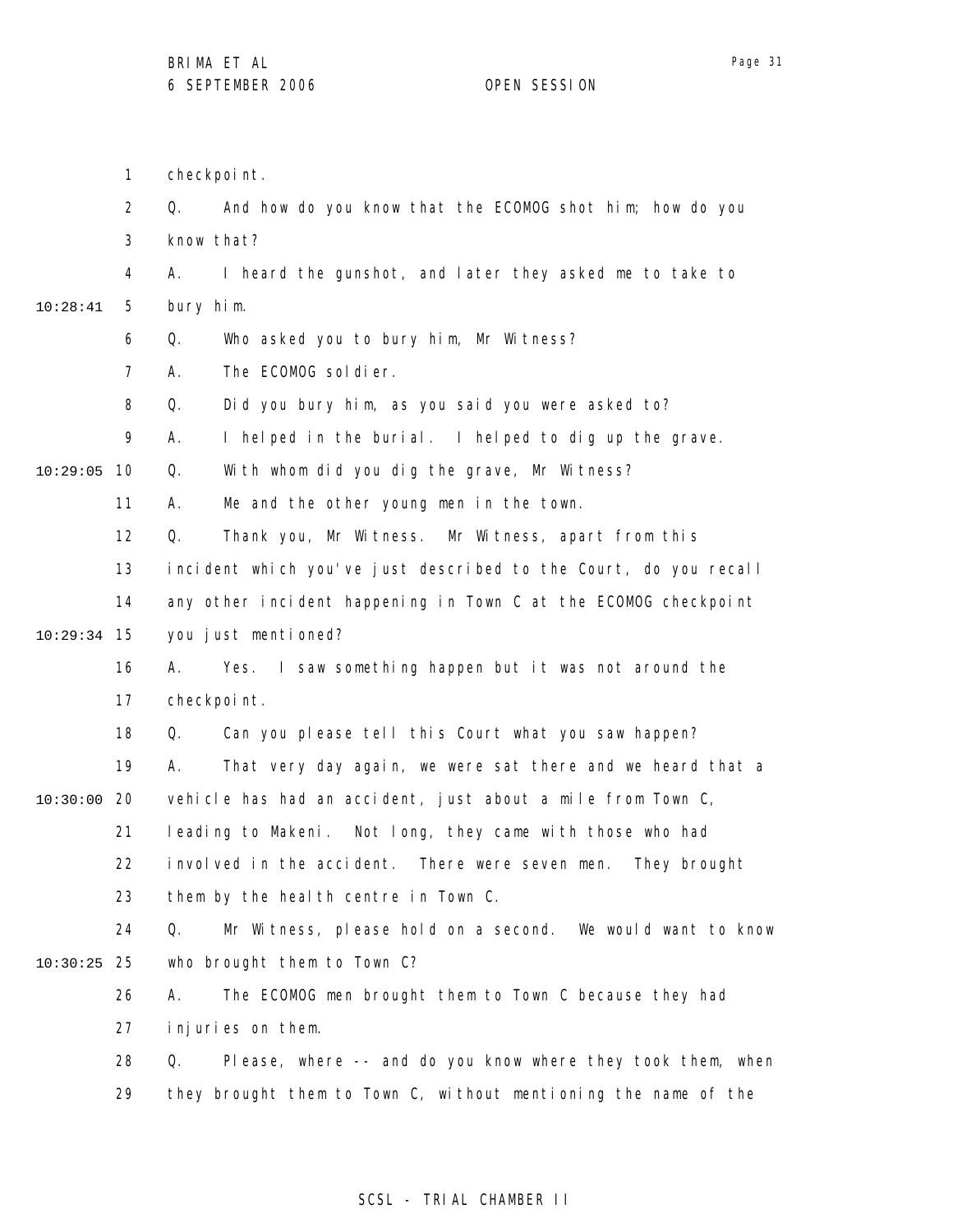1 checkpoint.

|               | $\overline{2}$ | And how do you know that the ECOMOG shot him; how do you<br>Q.    |
|---------------|----------------|-------------------------------------------------------------------|
|               | 3              | know that?                                                        |
|               | 4              | I heard the gunshot, and later they asked me to take to<br>А.     |
| 10:28:41      | 5              | bury him.                                                         |
|               | 6              | Q.<br>Who asked you to bury him, Mr Witness?                      |
|               | $\overline{7}$ | The ECOMOG soldier.<br>Α.                                         |
|               | 8              | Q.<br>Did you bury him, as you said you were asked to?            |
|               | 9              | Α.<br>I helped in the burial. I helped to dig up the grave.       |
| 10:29:05      | 10             | Q.<br>With whom did you dig the grave, Mr Witness?                |
|               | 11             | Me and the other young men in the town.<br>А.                     |
|               | 12             | Q.<br>Thank you, Mr Witness. Mr Witness, apart from this          |
|               | 13             | incident which you've just described to the Court, do you recall  |
|               | 14             | any other incident happening in Town C at the ECOMOG checkpoint   |
| $10:29:34$ 15 |                | you just mentioned?                                               |
|               | 16             | Yes. I saw something happen but it was not around the<br>А.       |
|               | 17             | checkpoint.                                                       |
|               | 18             | Can you please tell this Court what you saw happen?<br>Q.         |
|               | 19             | That very day again, we were sat there and we heard that a<br>А.  |
| $10:30:00$ 20 |                | vehicle has had an accident, just about a mile from Town C,       |
|               | 21             | leading to Makeni. Not long, they came with those who had         |
|               | 22             | involved in the accident. There were seven men.<br>They brought   |
|               | 23             | them by the heal th centre in Town C.                             |
|               | 24             | Mr Witness, please hold on a second. We would want to know<br>Q.  |
| 10:30:25      | 25             | who brought them to Town C?                                       |
|               | 26             | The ECOMOG men brought them to Town C because they had<br>А.      |
|               | 27             | injuries on them.                                                 |
|               | 28             | Please, where -- and do you know where they took them, when<br>Q. |
|               | 29             | they brought them to Town C, without mentioning the name of the   |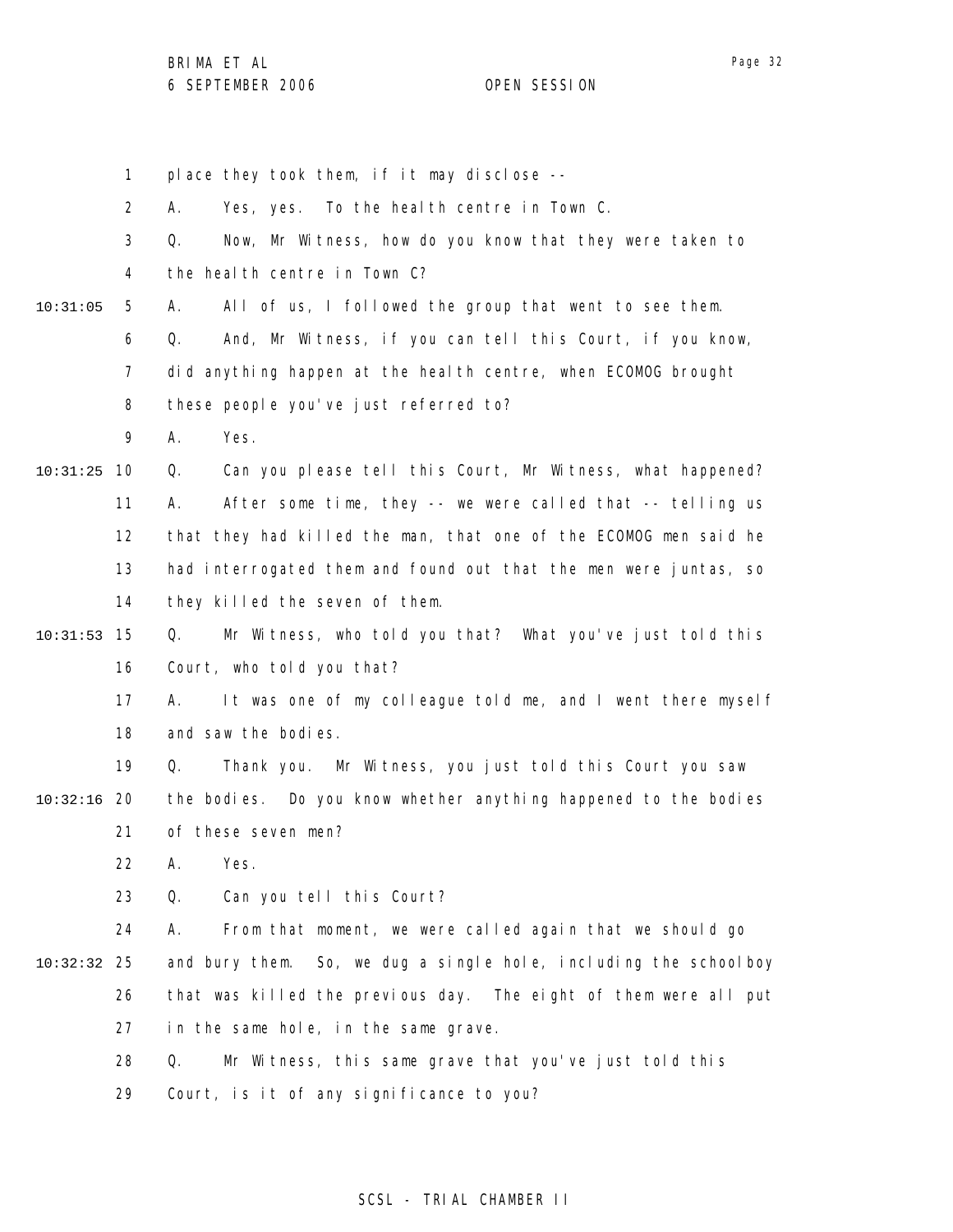BRIMA ET AL

1 2 3 4 5 6 7 8 9 10 10:31:25 11 12 13 14 15 10:31:53 16 17 18 19 20 10:32:16 21 22 23 24 25 10:32:32 26 27 28 29 10:31:05 place they took them, if it may disclose -- A. Yes, yes. To the health centre in Town C. Q. Now, Mr Witness, how do you know that they were taken to the health centre in Town C? A. All of us, I followed the group that went to see them. Q. And, Mr Witness, if you can tell this Court, if you know, did anything happen at the health centre, when ECOMOG brought these people you've just referred to? A. Yes. Q. Can you please tell this Court, Mr Witness, what happened? A. After some time, they -- we were called that -- telling us that they had killed the man, that one of the ECOMOG men said he had interrogated them and found out that the men were juntas, so they killed the seven of them. Q. Mr Witness, who told you that? What you've just told this Court, who told you that? A. It was one of my colleague told me, and I went there myself and saw the bodies. Q. Thank you. Mr Witness, you just told this Court you saw the bodies. Do you know whether anything happened to the bodies of these seven men? A. Yes. Q. Can you tell this Court? A. From that moment, we were called again that we should go and bury them. So, we dug a single hole, including the schoolboy that was killed the previous day. The eight of them were all put in the same hole, in the same grave. Q. Mr Witness, this same grave that you've just told this Court, is it of any significance to you?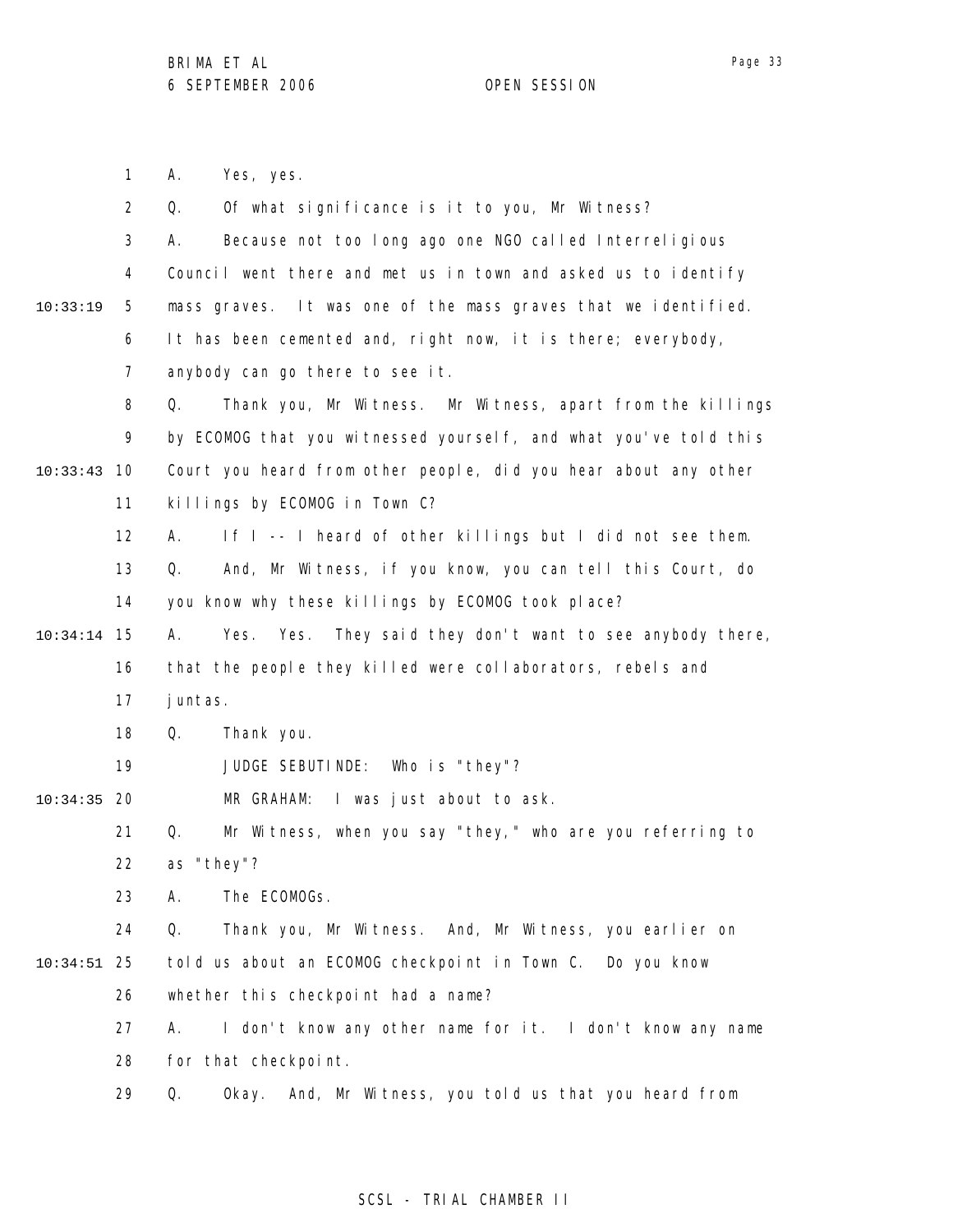Page 33

1 2 3 4 5 6 7 8 9 10 10:33:43 11 12 13 14 15 10:34:14 16 17 18 19 20 10:34:35 21 22 23 24 25 10:34:51 26 27 28 29 10:33:19 A. Yes, yes. Q. Of what significance is it to you, Mr Witness? A. Because not too long ago one NGO called Interreligious Council went there and met us in town and asked us to identify mass graves. It was one of the mass graves that we identified. It has been cemented and, right now, it is there; everybody, anybody can go there to see it. Q. Thank you, Mr Witness. Mr Witness, apart from the killings by ECOMOG that you witnessed yourself, and what you've told this Court you heard from other people, did you hear about any other killings by ECOMOG in Town C? A. If I -- I heard of other killings but I did not see them. Q. And, Mr Witness, if you know, you can tell this Court, do you know why these killings by ECOMOG took place? A. Yes. Yes. They said they don't want to see anybody there, that the people they killed were collaborators, rebels and juntas. Q. Thank you. JUDGE SEBUTINDE: Who is "they"? MR GRAHAM: I was just about to ask. Q. Mr Witness, when you say "they," who are you referring to as "they"? A. The ECOMOGs. Q. Thank you, Mr Witness. And, Mr Witness, you earlier on told us about an ECOMOG checkpoint in Town C. Do you know whether this checkpoint had a name? A. I don't know any other name for it. I don't know any name for that checkpoint. Q. Okay. And, Mr Witness, you told us that you heard from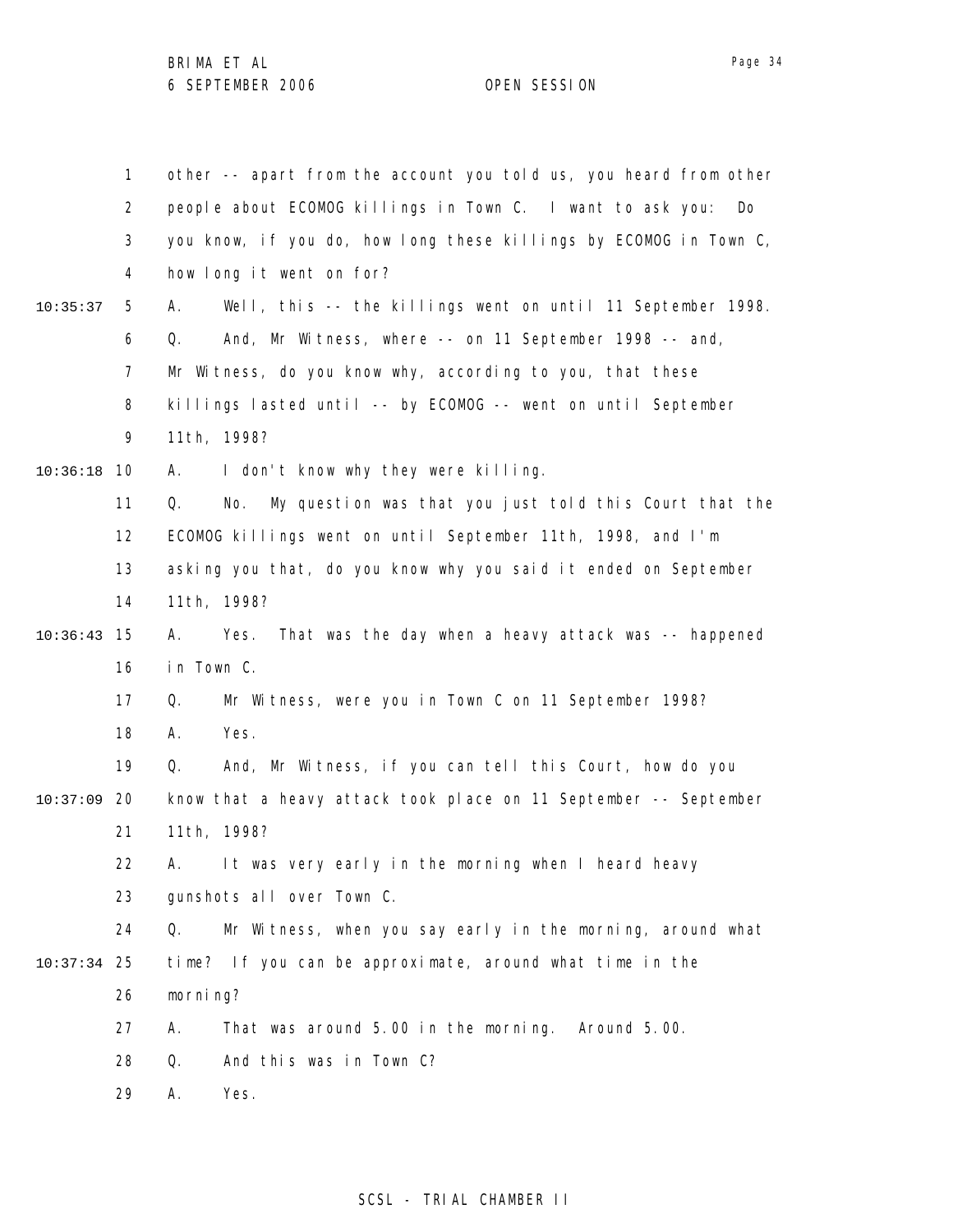|          | $\mathbf{1}$ | other -- apart from the account you told us, you heard from other   |
|----------|--------------|---------------------------------------------------------------------|
|          | 2            | people about ECOMOG killings in Town C. I want to ask you:<br>Do    |
|          | 3            | you know, if you do, how long these killings by ECOMOG in Town C,   |
|          | 4            | how long it went on for?                                            |
| 10:35:37 | 5            | Well, this -- the killings went on until 11 September 1998.<br>А.   |
|          | 6            | And, Mr Witness, where -- on 11 September 1998 -- and,<br>Q.        |
|          | 7            | Mr Witness, do you know why, according to you, that these           |
|          | 8            | killings lasted until -- by ECOMOG -- went on until September       |
|          | 9            | 11th, 1998?                                                         |
| 10:36:18 | 10           | I don't know why they were killing.<br>А.                           |
|          | 11           | My question was that you just told this Court that the<br>Q.<br>No. |
|          | 12           | ECOMOG killings went on until September 11th, 1998, and I'm         |
|          | 13           | asking you that, do you know why you said it ended on September     |
|          | 14           | 11th, 1998?                                                         |
| 10:36:43 | 15           | That was the day when a heavy attack was -- happened<br>Yes.<br>А.  |
|          | 16           | in Town C.                                                          |
|          | 17           | Mr Witness, were you in Town C on 11 September 1998?<br>Q.          |
|          | 18           | Yes.<br>А.                                                          |
|          | 19           | And, Mr Witness, if you can tell this Court, how do you<br>Q.       |
| 10:37:09 | 20           | know that a heavy attack took place on 11 September -- September    |
|          | 21           | 11th, 1998?                                                         |
|          | 22           | It was very early in the morning when I heard heavy<br>А.           |
|          | 23           | gunshots all over Town C.                                           |
|          | 24           | Mr Witness, when you say early in the morning, around what<br>Q.    |
| 10:37:34 | 25           | time? If you can be approximate, around what time in the            |
|          | 26           | morning?                                                            |
|          | 27           | That was around 5.00 in the morning. Around 5.00.<br>Α.             |
|          | 28           | And this was in Town C?<br>Q.                                       |
|          | 29           | Yes.<br>Α.                                                          |

# SCSL - TRIAL CHAMBER II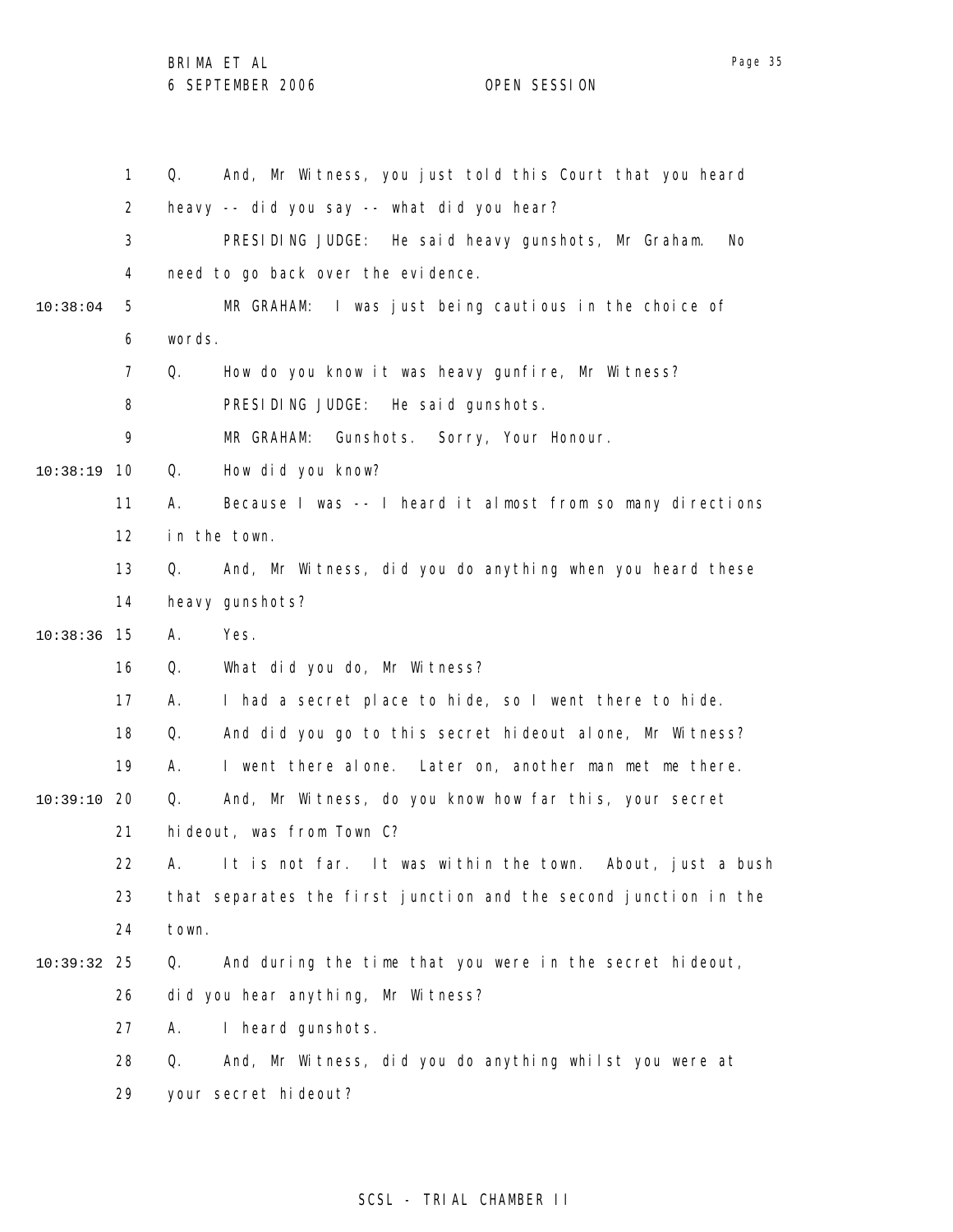|          | $\mathbf{1}$   | And, Mr Witness, you just told this Court that you heard<br>Q.   |
|----------|----------------|------------------------------------------------------------------|
|          | $\overline{2}$ | heavy -- did you say -- what did you hear?                       |
|          | 3              | PRESIDING JUDGE: He said heavy gunshots, Mr Graham.<br>No        |
|          | 4              | need to go back over the evidence.                               |
| 10:38:04 | 5              | I was just being cautious in the choice of<br>MR GRAHAM:         |
|          | 6              | words.                                                           |
|          | 7              | Q.<br>How do you know it was heavy gunfire, Mr Witness?          |
|          | 8              | PRESIDING JUDGE: He said gunshots.                               |
|          | 9              | MR GRAHAM:<br>Gunshots. Sorry, Your Honour.                      |
| 10:38:19 | 10             | How did you know?<br>Q.                                          |
|          | 11             | Because I was -- I heard it almost from so many directions<br>Α. |
|          | 12             | in the town.                                                     |
|          | 13             | Q.<br>And, Mr Witness, did you do anything when you heard these  |
|          | 14             | heavy gunshots?                                                  |
| 10:38:36 | 15             | Α.<br>Yes.                                                       |
|          | 16             | What did you do, Mr Witness?<br>Q.                               |
|          | 17             | Α.<br>I had a secret place to hide, so I went there to hide.     |
|          | 18             | And did you go to this secret hideout alone, Mr Witness?<br>Q.   |
|          | 19             | I went there alone. Later on, another man met me there.<br>А.    |
| 10:39:10 | 20             | And, Mr Witness, do you know how far this, your secret<br>Q.     |
|          | 21             | hideout, was from Town C?                                        |
|          | 22             | It is not far. It was within the town. About, just a bush<br>Α.  |
|          | 23             | that separates the first junction and the second junction in the |
|          | 24             | town.                                                            |
| 10:39:32 | 25             | And during the time that you were in the secret hideout,<br>Q.   |
|          | 26             | did you hear anything, Mr Witness?                               |
|          | 27             | I heard gunshots.<br>А.                                          |
|          | 28             | And, Mr Witness, did you do anything whilst you were at<br>Q.    |
|          | 29             | your secret hideout?                                             |
|          |                |                                                                  |

# SCSL - TRIAL CHAMBER II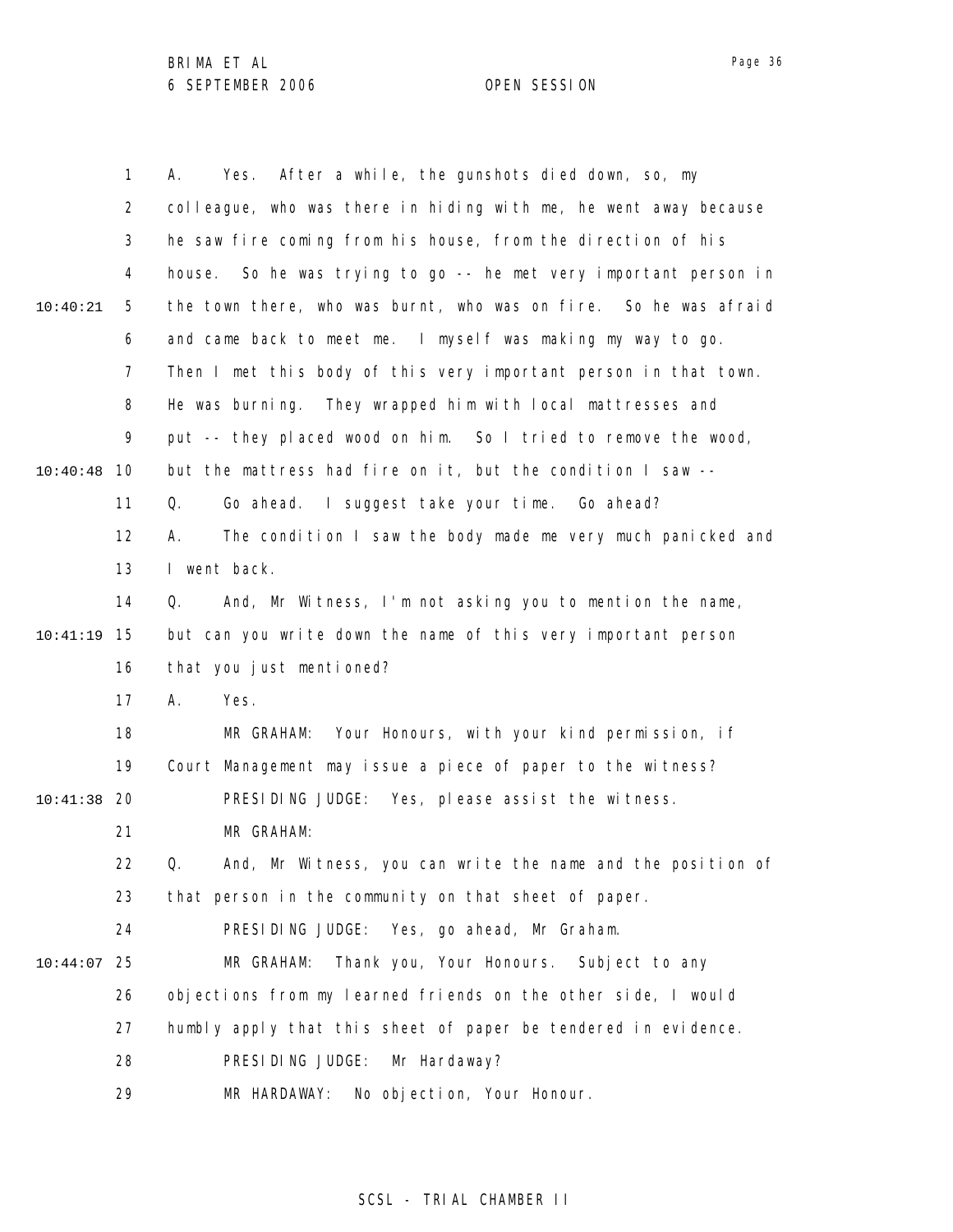|          | 1              | After a while, the gunshots died down, so, my<br>А.<br>Yes.         |
|----------|----------------|---------------------------------------------------------------------|
|          | $\overline{2}$ | colleague, who was there in hiding with me, he went away because    |
|          | 3              | he saw fire coming from his house, from the direction of his        |
|          | 4              | So he was trying to go -- he met very important person in<br>house. |
| 10:40:21 | 5              | the town there, who was burnt, who was on fire. So he was afraid    |
|          | 6              | and came back to meet me. I myself was making my way to go.         |
|          | 7              | Then I met this body of this very important person in that town.    |
|          | 8              | He was burning. They wrapped him with local mattresses and          |
|          | 9              | put -- they placed wood on him. So I tried to remove the wood,      |
| 10:40:48 | 10             | but the mattress had fire on it, but the condition I saw --         |
|          | 11             | Go ahead. I suggest take your time. Go ahead?<br>Q.                 |
|          | 12             | The condition I saw the body made me very much panicked and<br>А.   |
|          | 13             | I went back.                                                        |
|          | 14             | And, Mr Witness, I'm not asking you to mention the name,<br>Q.      |
| 10:41:19 | 15             | but can you write down the name of this very important person       |
|          | 16             | that you just mentioned?                                            |
|          | 17             | Yes.<br>А.                                                          |
|          | 18             | Your Honours, with your kind permission, if<br>MR GRAHAM:           |
|          | 19             | Court Management may issue a piece of paper to the witness?         |
| 10:41:38 | -20            | PRESIDING JUDGE: Yes, please assist the witness.                    |
|          | 21             | MR GRAHAM:                                                          |
|          | 22             | And, Mr Witness, you can write the name and the position of<br>Q.   |
|          | 23             | that person in the community on that sheet of paper.                |
|          | 24             | PRESIDING JUDGE: Yes, go ahead, Mr Graham.                          |
| 10:44:07 | 25             | MR GRAHAM:<br>Thank you, Your Honours. Subject to any               |
|          | 26             | objections from my learned friends on the other side, I would       |
|          | 27             | humbly apply that this sheet of paper be tendered in evidence.      |
|          | 28             | PRESIDING JUDGE:<br>Mr Hardaway?                                    |
|          | 29             | MR HARDAWAY:<br>No objection, Your Honour.                          |

## SCSL - TRIAL CHAMBER II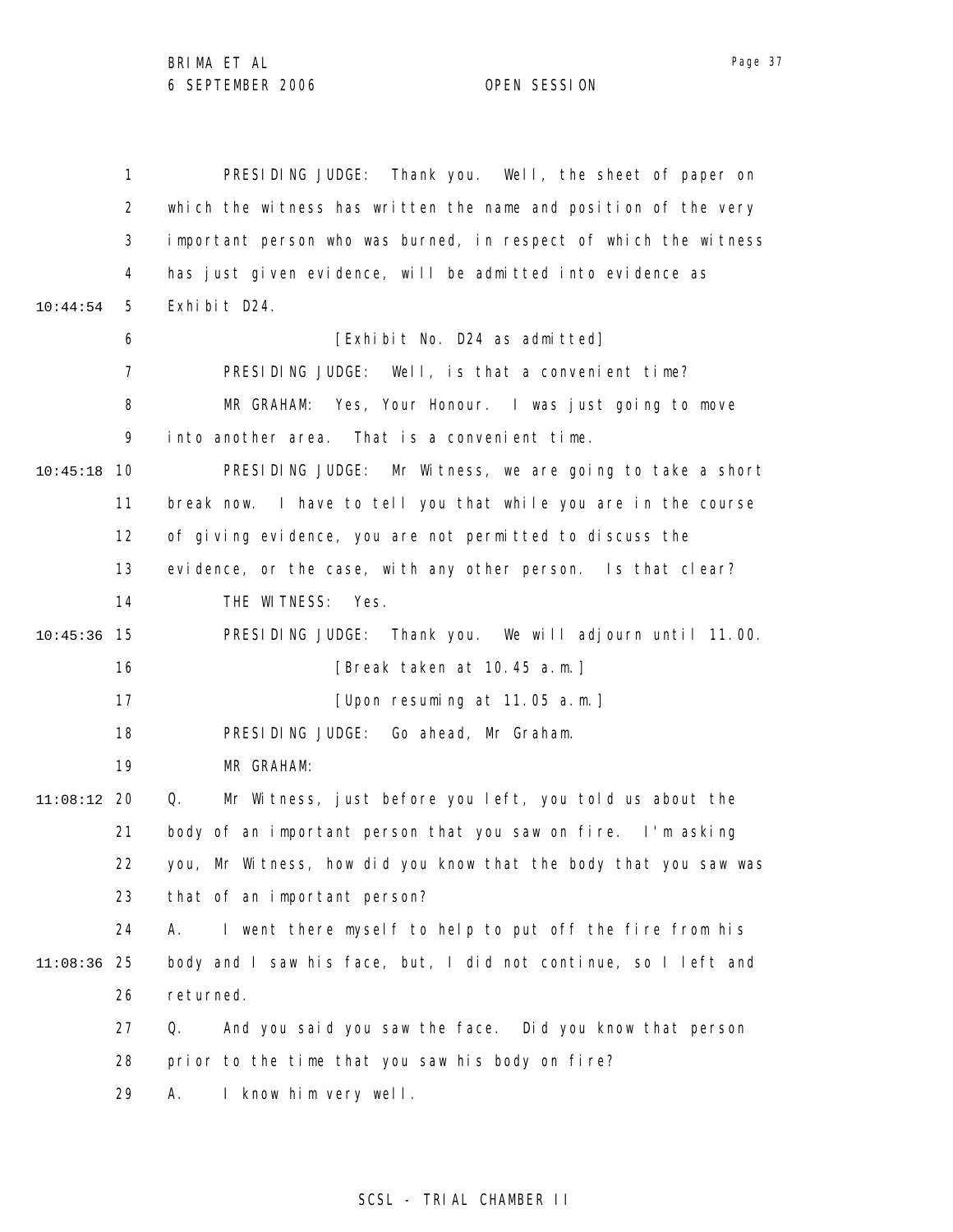1 2 3 4 5 6 7 8 9 10 10:45:18 11 12 13 14 15 10:45:36 16 17 18 19 20 11:08:12 21 22 23 24 25 11:08:36 26 27 28 29 10:44:54 PRESIDING JUDGE: Thank you. Well, the sheet of paper on which the witness has written the name and position of the very important person who was burned, in respect of which the witness has just given evidence, will be admitted into evidence as Exhibit D24. [Exhibit No. D24 as admitted] PRESIDING JUDGE: Well, is that a convenient time? MR GRAHAM: Yes, Your Honour. I was just going to move into another area. That is a convenient time. PRESIDING JUDGE: Mr Witness, we are going to take a short break now. I have to tell you that while you are in the course of giving evidence, you are not permitted to discuss the evidence, or the case, with any other person. Is that clear? THE WITNESS: Yes. PRESIDING JUDGE: Thank you. We will adjourn until 11.00. [Break taken at 10.45 a.m.] [Upon resuming at 11.05 a.m.] PRESIDING JUDGE: Go ahead, Mr Graham. MR GRAHAM: Q. Mr Witness, just before you left, you told us about the body of an important person that you saw on fire. I'm asking you, Mr Witness, how did you know that the body that you saw was that of an important person? A. I went there myself to help to put off the fire from his body and I saw his face, but, I did not continue, so I left and returned. Q. And you said you saw the face. Did you know that person prior to the time that you saw his body on fire? A. I know him very well.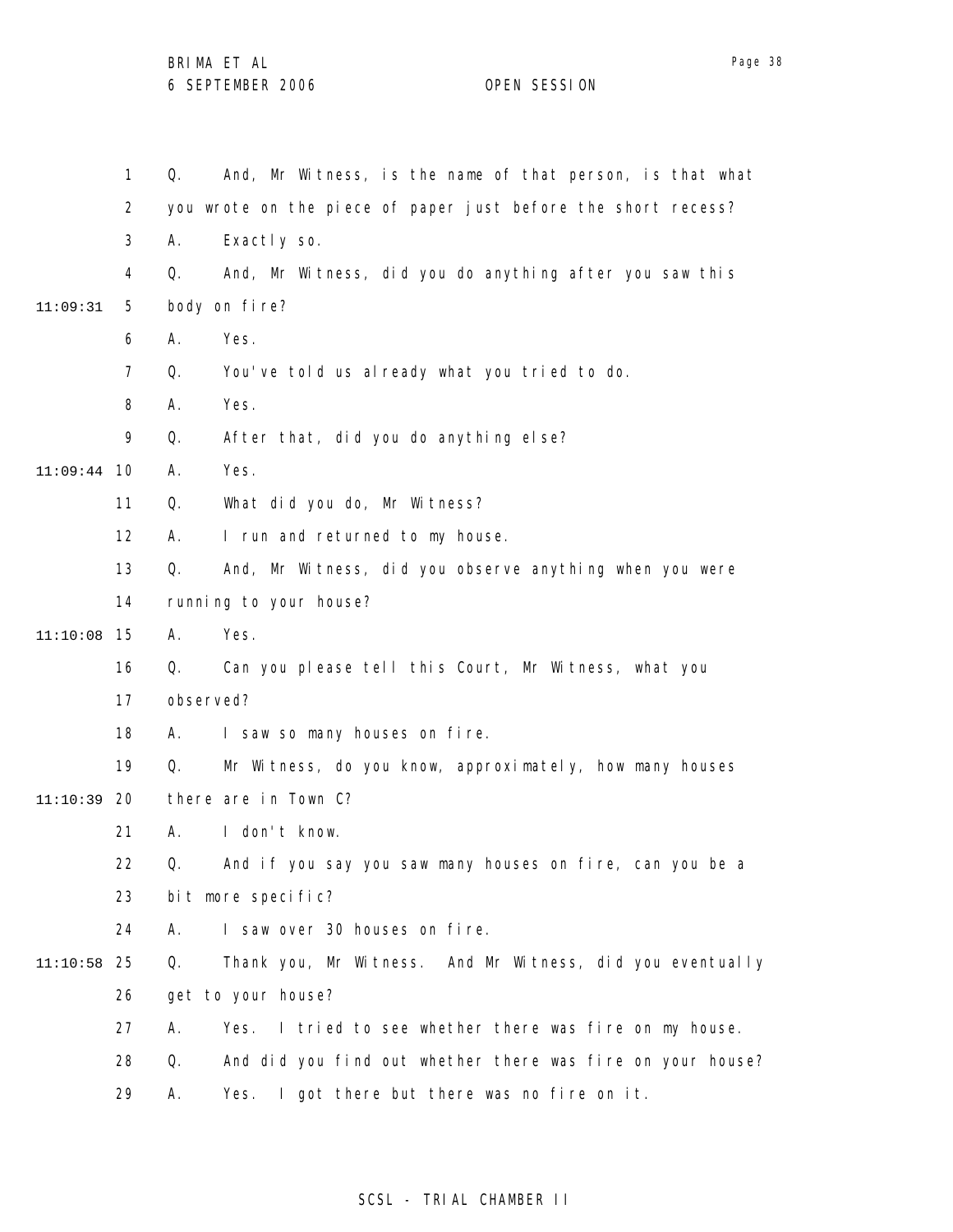1 2 3 4 5 6 7 8 9 10 11:09:44 11 12 13 14 15 11:10:08 16 17 18 19 20 11:10:39 21 22 23 24 25 11:10:58 26 27 28 29 11:09:31 Q. And, Mr Witness, is the name of that person, is that what you wrote on the piece of paper just before the short recess? A. Exactly so. Q. And, Mr Witness, did you do anything after you saw this body on fire? A. Yes. Q. You've told us already what you tried to do. A. Yes. Q. After that, did you do anything else? A. Yes. Q. What did you do, Mr Witness? A. I run and returned to my house. Q. And, Mr Witness, did you observe anything when you were running to your house? A. Yes. Q. Can you please tell this Court, Mr Witness, what you observed? A. I saw so many houses on fire. Q. Mr Witness, do you know, approximately, how many houses there are in Town C? A. I don't know. Q. And if you say you saw many houses on fire, can you be a bit more specific? A. I saw over 30 houses on fire. Q. Thank you, Mr Witness. And Mr Witness, did you eventually get to your house? A. Yes. I tried to see whether there was fire on my house. Q. And did you find out whether there was fire on your house? A. Yes. I got there but there was no fire on it.

#### SCSL - TRIAL CHAMBER II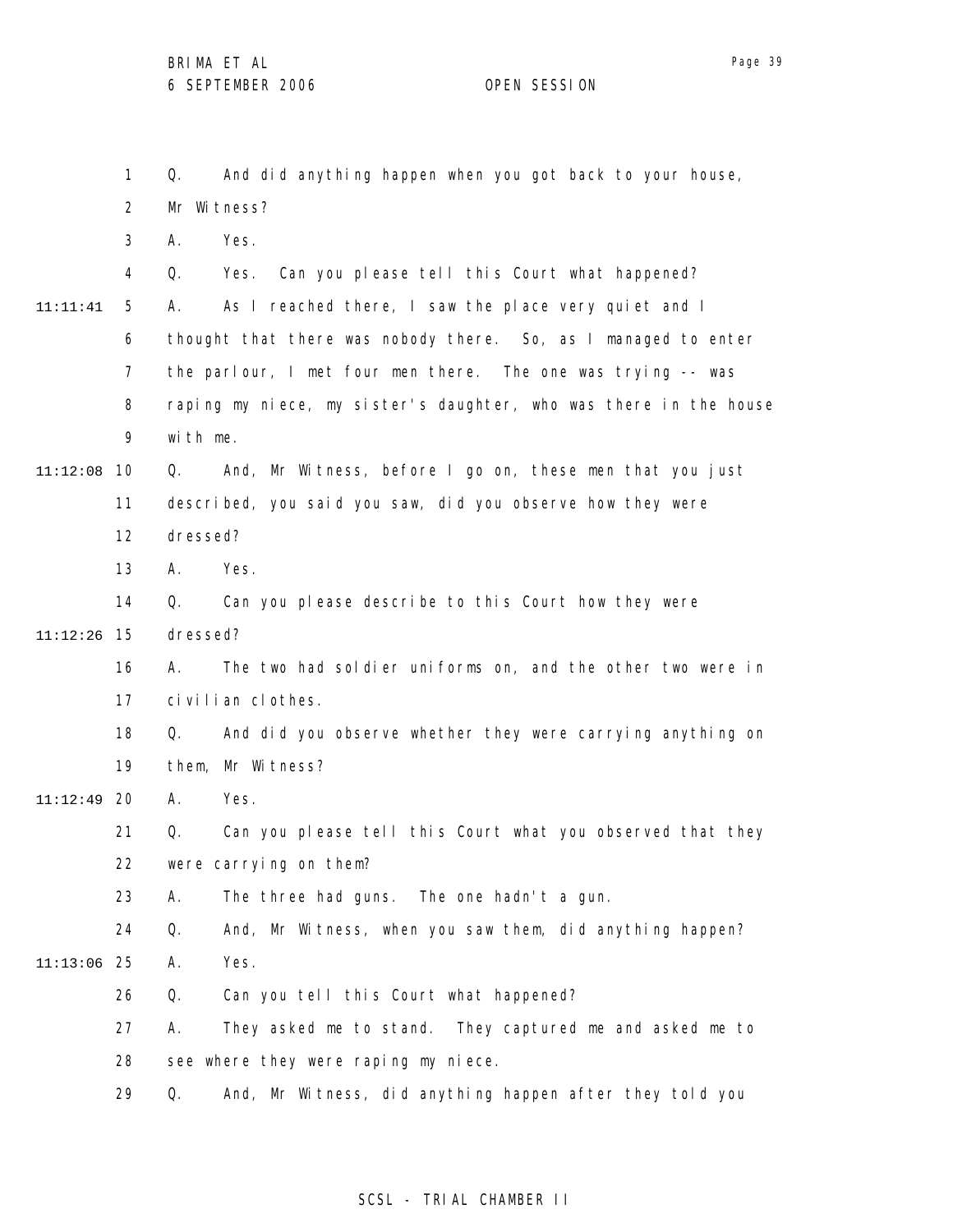1 2 3 4 5 6 7 8 9 11:12:08 10 11 12 13 14 15 11:12:26 16 17 18 19 20 11:12:49 21 22 23 24 25 11:13:06 26 27 28 29 11:11:41 Q. And did anything happen when you got back to your house, Mr Witness? A. Yes. Q. Yes. Can you please tell this Court what happened? A. As I reached there, I saw the place very quiet and I thought that there was nobody there. So, as I managed to enter the parlour, I met four men there. The one was trying -- was raping my niece, my sister's daughter, who was there in the house with me. Q. And, Mr Witness, before I go on, these men that you just described, you said you saw, did you observe how they were dressed? A. Yes. Q. Can you please describe to this Court how they were dressed? A. The two had soldier uniforms on, and the other two were in civilian clothes. Q. And did you observe whether they were carrying anything on them, Mr Witness? A. Yes. Q. Can you please tell this Court what you observed that they were carrying on them? A. The three had guns. The one hadn't a gun. Q. And, Mr Witness, when you saw them, did anything happen? A. Yes. Q. Can you tell this Court what happened? A. They asked me to stand. They captured me and asked me to see where they were raping my niece. Q. And, Mr Witness, did anything happen after they told you

### SCSL - TRIAL CHAMBER II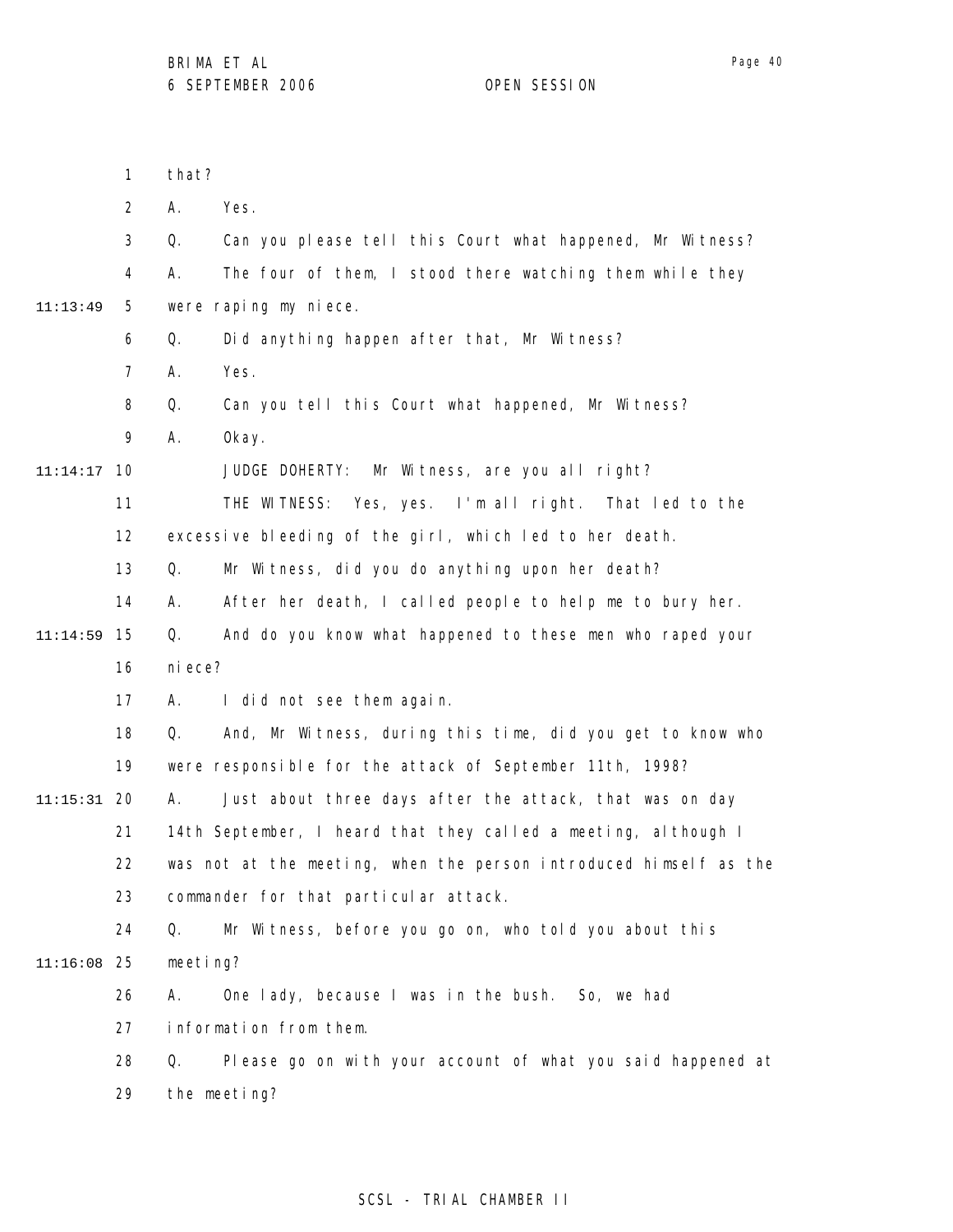|          | 1              | that?                  |                                                                   |  |
|----------|----------------|------------------------|-------------------------------------------------------------------|--|
|          | $\overline{2}$ | А.<br>Yes.             |                                                                   |  |
|          | 3              | Q.                     | Can you please tell this Court what happened, Mr Witness?         |  |
|          | 4              | А.                     | The four of them, I stood there watching them while they          |  |
| 11:13:49 | 5              | were raping my niece.  |                                                                   |  |
|          | 6              | Q.                     | Did anything happen after that, Mr Witness?                       |  |
|          | $\overline{7}$ | Yes.<br>А.             |                                                                   |  |
|          | 8              | Q.                     | Can you tell this Court what happened, Mr Witness?                |  |
|          | 9              | 0kay.<br>Α.            |                                                                   |  |
| 11:14:17 | 10             |                        | JUDGE DOHERTY: Mr Witness, are you all right?                     |  |
|          | 11             |                        | THE WITNESS: Yes, yes. I'm all right. That led to the             |  |
|          | 12             |                        | excessive bleeding of the girl, which led to her death.           |  |
|          | 13             | Q.                     | Mr Witness, did you do anything upon her death?                   |  |
|          | 14             | А.                     | After her death, I called people to help me to bury her.          |  |
| 11:14:59 | 15             | Q.                     | And do you know what happened to these men who raped your         |  |
|          | 16             | ni ece?                |                                                                   |  |
|          | 17             | А.                     | I did not see them again.                                         |  |
|          | 18             | Q.                     | And, Mr Witness, during this time, did you get to know who        |  |
|          | 19             |                        | were responsible for the attack of September 11th, 1998?          |  |
| 11:15:31 | 20             | А.                     | Just about three days after the attack, that was on day           |  |
|          | 21             |                        | 14th September, I heard that they called a meeting, although I    |  |
|          | 22             |                        | was not at the meeting, when the person introduced himself as the |  |
|          | 23             |                        | commander for that particular attack.                             |  |
|          | 24             | Q.                     | Mr Witness, before you go on, who told you about this             |  |
| 11:16:08 | 25             | meeting?               |                                                                   |  |
|          | 26             | А.                     | One lady, because I was in the bush. So, we had                   |  |
|          | 27             | information from them. |                                                                   |  |
|          | 28             | Q.                     | Please go on with your account of what you said happened at       |  |
|          | 29             | the meeting?           |                                                                   |  |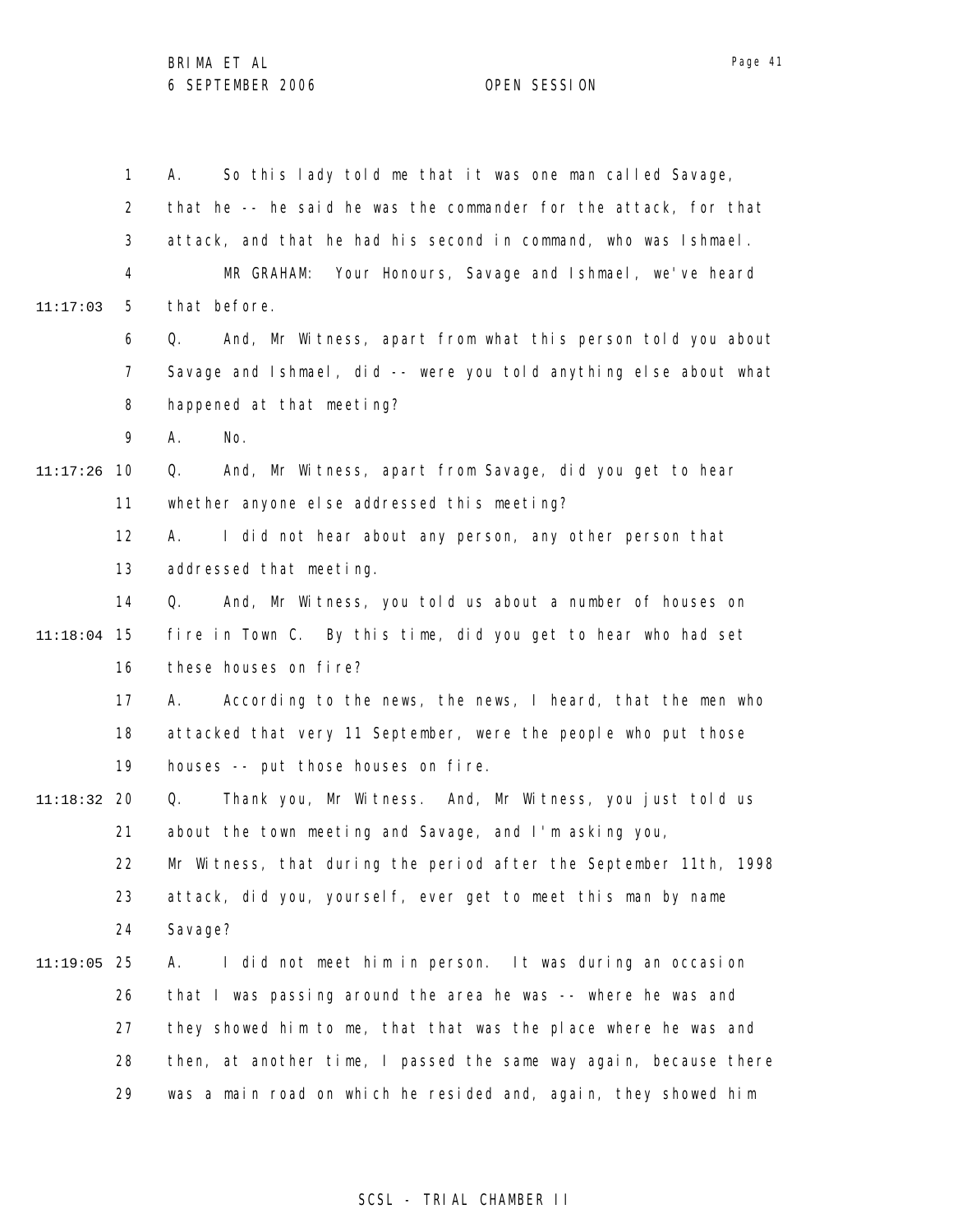1 2 3 4 5 6 7 8 9 10 11:17:26 11 12 13 14 15 11:18:04 16 17 18 19 20 11:18:32 21 22 23 24 25 11:19:05 26 27 28 29 11:17:03 A. So this lady told me that it was one man called Savage, that he -- he said he was the commander for the attack, for that attack, and that he had his second in command, who was Ishmael. MR GRAHAM: Your Honours, Savage and Ishmael, we've heard that before. Q. And, Mr Witness, apart from what this person told you about Savage and Ishmael, did -- were you told anything else about what happened at that meeting? A. No. Q. And, Mr Witness, apart from Savage, did you get to hear whether anyone else addressed this meeting? A. I did not hear about any person, any other person that addressed that meeting. Q. And, Mr Witness, you told us about a number of houses on fire in Town C. By this time, did you get to hear who had set these houses on fire? A. According to the news, the news, I heard, that the men who attacked that very 11 September, were the people who put those houses -- put those houses on fire. Q. Thank you, Mr Witness. And, Mr Witness, you just told us about the town meeting and Savage, and I'm asking you, Mr Witness, that during the period after the September 11th, 1998 attack, did you, yourself, ever get to meet this man by name Savage? A. I did not meet him in person. It was during an occasion that I was passing around the area he was -- where he was and they showed him to me, that that was the place where he was and then, at another time, I passed the same way again, because there was a main road on which he resided and, again, they showed him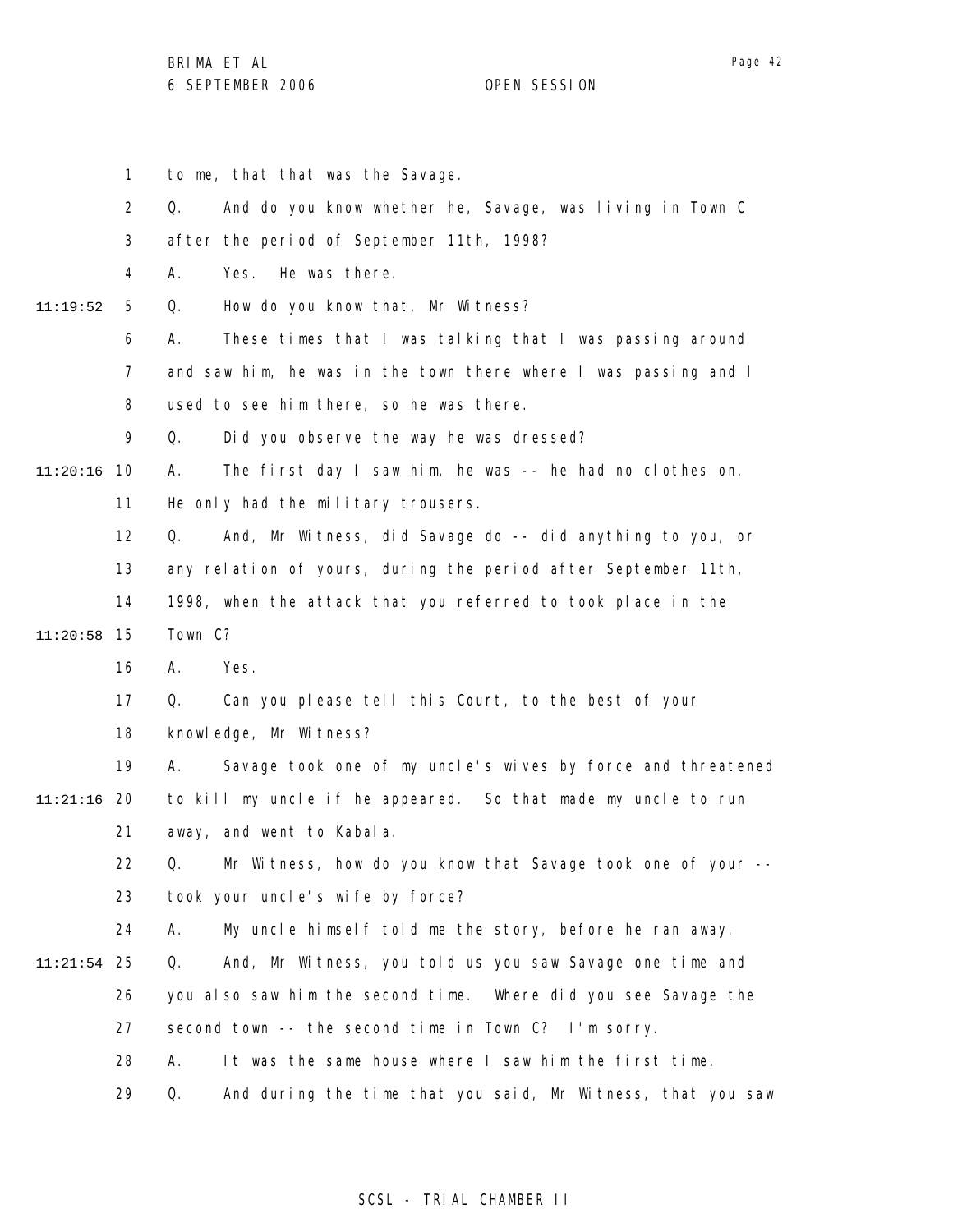1 2 3 4 5 6 7 8 9 10 11:20:16 11 12 13 14 15 11:20:58 16 17 18 19 20 11:21:16 21 22 23 24 25 11:21:54 26 27 28 29 11:19:52 to me, that that was the Savage. Q. And do you know whether he, Savage, was living in Town C after the period of September 11th, 1998? A. Yes. He was there. Q. How do you know that, Mr Witness? A. These times that I was talking that I was passing around and saw him, he was in the town there where I was passing and I used to see him there, so he was there. Q. Did you observe the way he was dressed? A. The first day I saw him, he was -- he had no clothes on. He only had the military trousers. Q. And, Mr Witness, did Savage do -- did anything to you, or any relation of yours, during the period after September 11th, 1998, when the attack that you referred to took place in the Town C? A. Yes. Q. Can you please tell this Court, to the best of your knowledge, Mr Witness? A. Savage took one of my uncle's wives by force and threatened to kill my uncle if he appeared. So that made my uncle to run away, and went to Kabala. Q. Mr Witness, how do you know that Savage took one of your - took your uncle's wife by force? A. My uncle himself told me the story, before he ran away. Q. And, Mr Witness, you told us you saw Savage one time and you also saw him the second time. Where did you see Savage the second town -- the second time in Town C? I'm sorry. A. It was the same house where I saw him the first time. Q. And during the time that you said, Mr Witness, that you saw

### SCSL - TRIAL CHAMBER II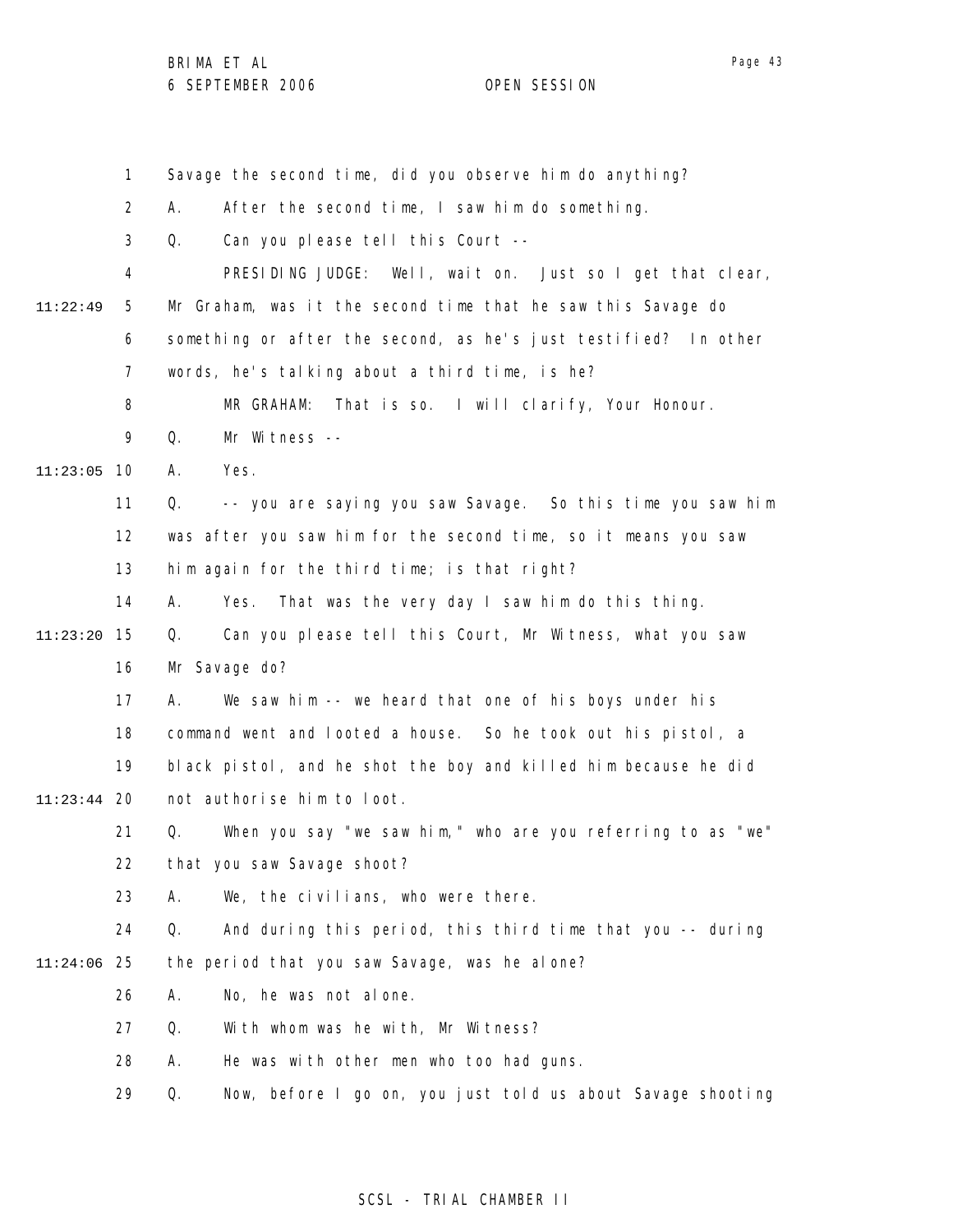1 2 3 4 5 6 7 8 9 11:23:05 10 11 12 13 14 15 11:23:20 16 17 18 19 20 11:23:44 21 22 23 24 25 11:24:06 26 27 28 29 11:22:49 Savage the second time, did you observe him do anything? A. After the second time, I saw him do something. Q. Can you please tell this Court -- PRESIDING JUDGE: Well, wait on. Just so I get that clear, Mr Graham, was it the second time that he saw this Savage do something or after the second, as he's just testified? In other words, he's talking about a third time, is he? MR GRAHAM: That is so. I will clarify, Your Honour. Q. Mr Witness -- A. Yes. Q. -- you are saying you saw Savage. So this time you saw him was after you saw him for the second time, so it means you saw him again for the third time; is that right? A. Yes. That was the very day I saw him do this thing. Q. Can you please tell this Court, Mr Witness, what you saw Mr Savage do? A. We saw him -- we heard that one of his boys under his command went and looted a house. So he took out his pistol, a black pistol, and he shot the boy and killed him because he did not authorise him to loot. Q. When you say "we saw him," who are you referring to as "we" that you saw Savage shoot? A. We, the civilians, who were there. Q. And during this period, this third time that you -- during the period that you saw Savage, was he alone? A. No, he was not alone. Q. With whom was he with, Mr Witness? A. He was with other men who too had guns. Q. Now, before I go on, you just told us about Savage shooting

### SCSL - TRIAL CHAMBER II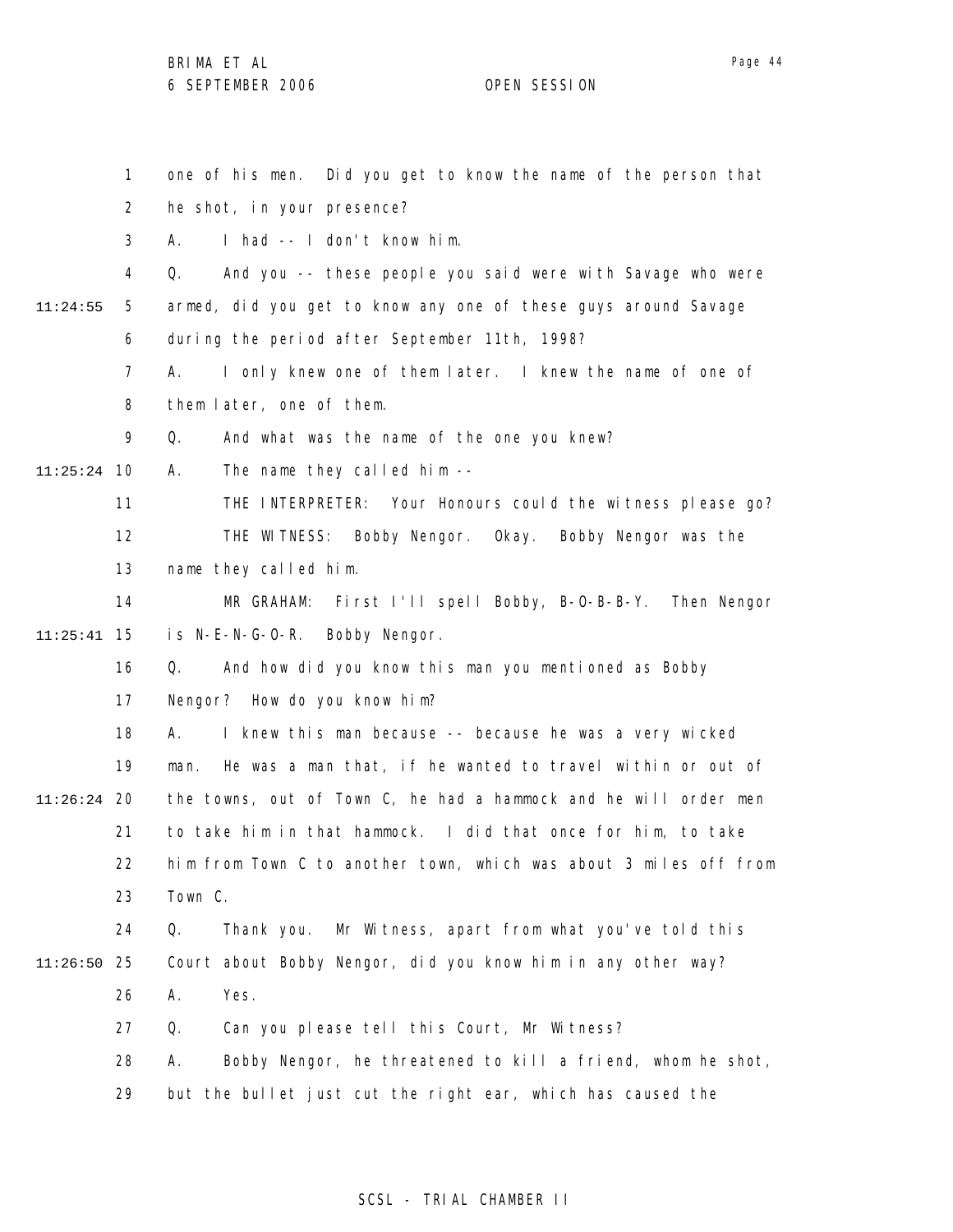1 2 3 4 5 6 7 8 9 10 11:25:24 11 12 13 14 15 11:25:41 16 17 18 19 20 11:26:24 21 22 23 24 25 11:26:50 26 27 28 29 11:24:55 one of his men. Did you get to know the name of the person that he shot, in your presence? A. I had -- I don't know him. Q. And you -- these people you said were with Savage who were armed, did you get to know any one of these guys around Savage during the period after September 11th, 1998? A. I only knew one of them later. I knew the name of one of them later, one of them. Q. And what was the name of the one you knew? A. The name they called him -- THE INTERPRETER: Your Honours could the witness please go? THE WITNESS: Bobby Nengor. Okay. Bobby Nengor was the name they called him. MR GRAHAM: First I'll spell Bobby, B-O-B-B-Y. Then Nengor is N-E-N-G-O-R. Bobby Nengor. Q. And how did you know this man you mentioned as Bobby Nengor? How do you know him? A. I knew this man because -- because he was a very wicked man. He was a man that, if he wanted to travel within or out of the towns, out of Town C, he had a hammock and he will order men to take him in that hammock. I did that once for him, to take him from Town C to another town, which was about 3 miles off from Town C. Q. Thank you. Mr Witness, apart from what you've told this Court about Bobby Nengor, did you know him in any other way? A. Yes. Q. Can you please tell this Court, Mr Witness? A. Bobby Nengor, he threatened to kill a friend, whom he shot, but the bullet just cut the right ear, which has caused the

#### SCSL - TRIAL CHAMBER II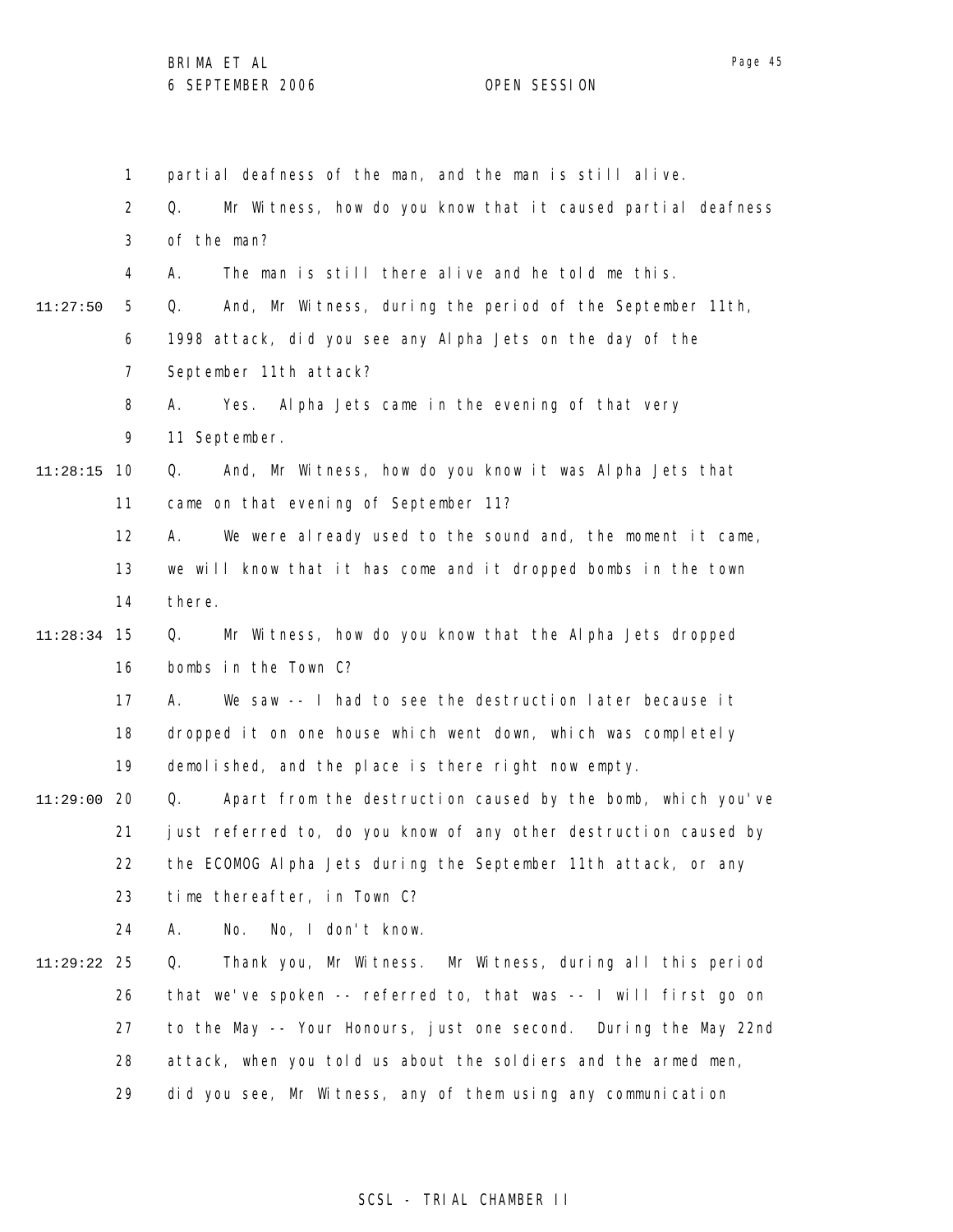Page 45

1 2 3 4 5 6 7 8 9 10 11:28:15 11 12 13 14 15 11:28:34 16 17 18 19 20 11:29:00 21 22 23 24 25 11:29:22 26 27 28 29 11:27:50 partial deafness of the man, and the man is still alive. Q. Mr Witness, how do you know that it caused partial deafness of the man? A. The man is still there alive and he told me this. Q. And, Mr Witness, during the period of the September 11th, 1998 attack, did you see any Alpha Jets on the day of the September 11th attack? A. Yes. Alpha Jets came in the evening of that very 11 September. Q. And, Mr Witness, how do you know it was Alpha Jets that came on that evening of September 11? A. We were already used to the sound and, the moment it came, we will know that it has come and it dropped bombs in the town there. Q. Mr Witness, how do you know that the Alpha Jets dropped bombs in the Town C? A. We saw -- I had to see the destruction later because it dropped it on one house which went down, which was completely demolished, and the place is there right now empty. Q. Apart from the destruction caused by the bomb, which you've just referred to, do you know of any other destruction caused by the ECOMOG Alpha Jets during the September 11th attack, or any time thereafter, in Town C? A. No. No, I don't know. Q. Thank you, Mr Witness. Mr Witness, during all this period that we've spoken -- referred to, that was -- I will first go on to the May -- Your Honours, just one second. During the May 22nd attack, when you told us about the soldiers and the armed men, did you see, Mr Witness, any of them using any communication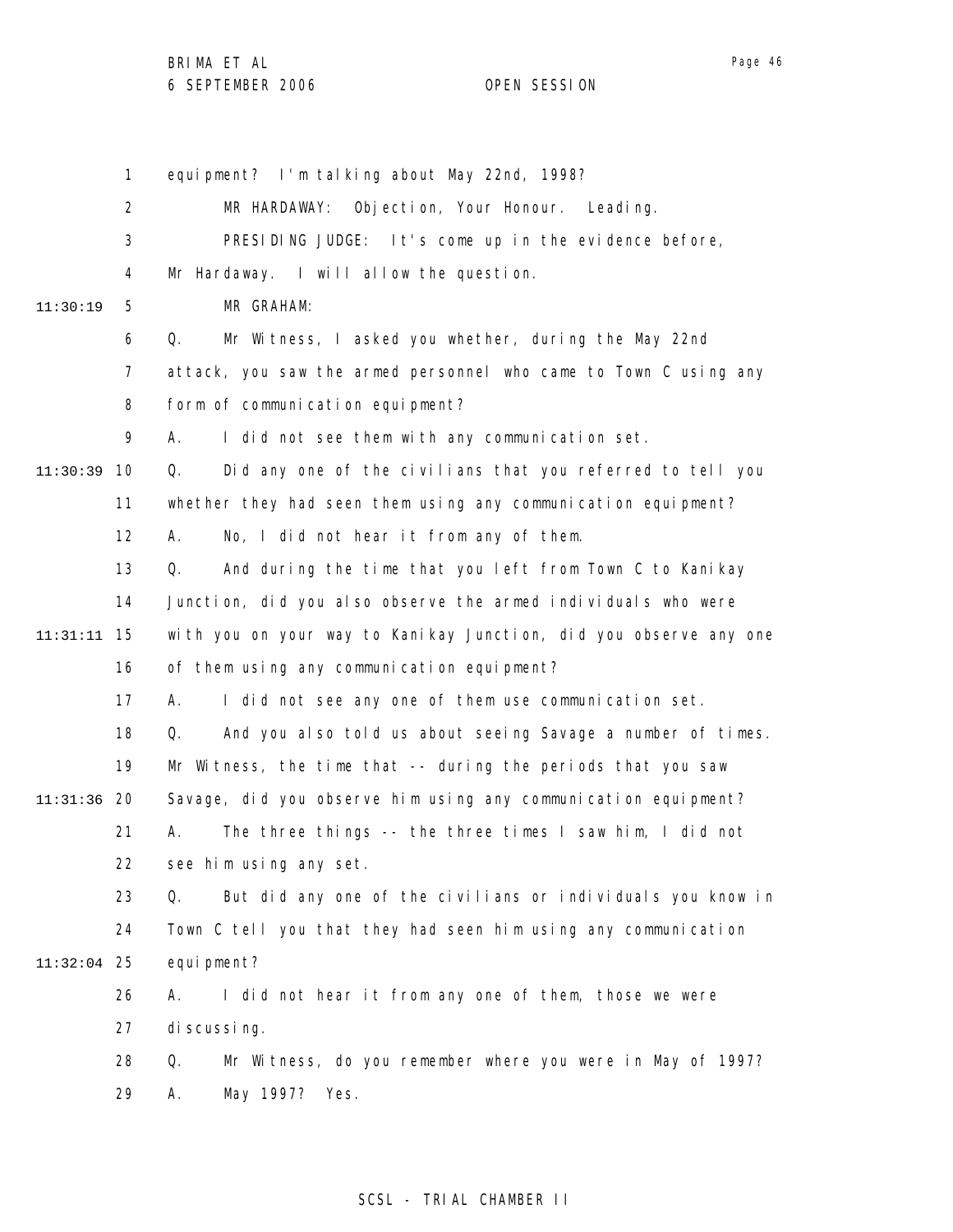1 2 3 4 5 6 7 8 9 10 11:30:39 11 12 13 14 15 11:31:11 16 17 18 19 20 11:31:36 21 22 23 24 25 11:32:04 26 27 28 29 11:30:19 equipment? I'm talking about May 22nd, 1998? MR HARDAWAY: Objection, Your Honour. Leading. PRESIDING JUDGE: It's come up in the evidence before, Mr Hardaway. I will allow the question. MR GRAHAM: Q. Mr Witness, I asked you whether, during the May 22nd attack, you saw the armed personnel who came to Town C using any form of communication equipment? A. I did not see them with any communication set. Q. Did any one of the civilians that you referred to tell you whether they had seen them using any communication equipment? A. No, I did not hear it from any of them. Q. And during the time that you left from Town C to Kanikay Junction, did you also observe the armed individuals who were with you on your way to Kanikay Junction, did you observe any one of them using any communication equipment? A. I did not see any one of them use communication set. Q. And you also told us about seeing Savage a number of times. Mr Witness, the time that -- during the periods that you saw Savage, did you observe him using any communication equipment? A. The three things -- the three times I saw him, I did not see him using any set. Q. But did any one of the civilians or individuals you know in Town C tell you that they had seen him using any communication equi pment? A. I did not hear it from any one of them, those we were di scussing. Q. Mr Witness, do you remember where you were in May of 1997? A. May 1997? Yes.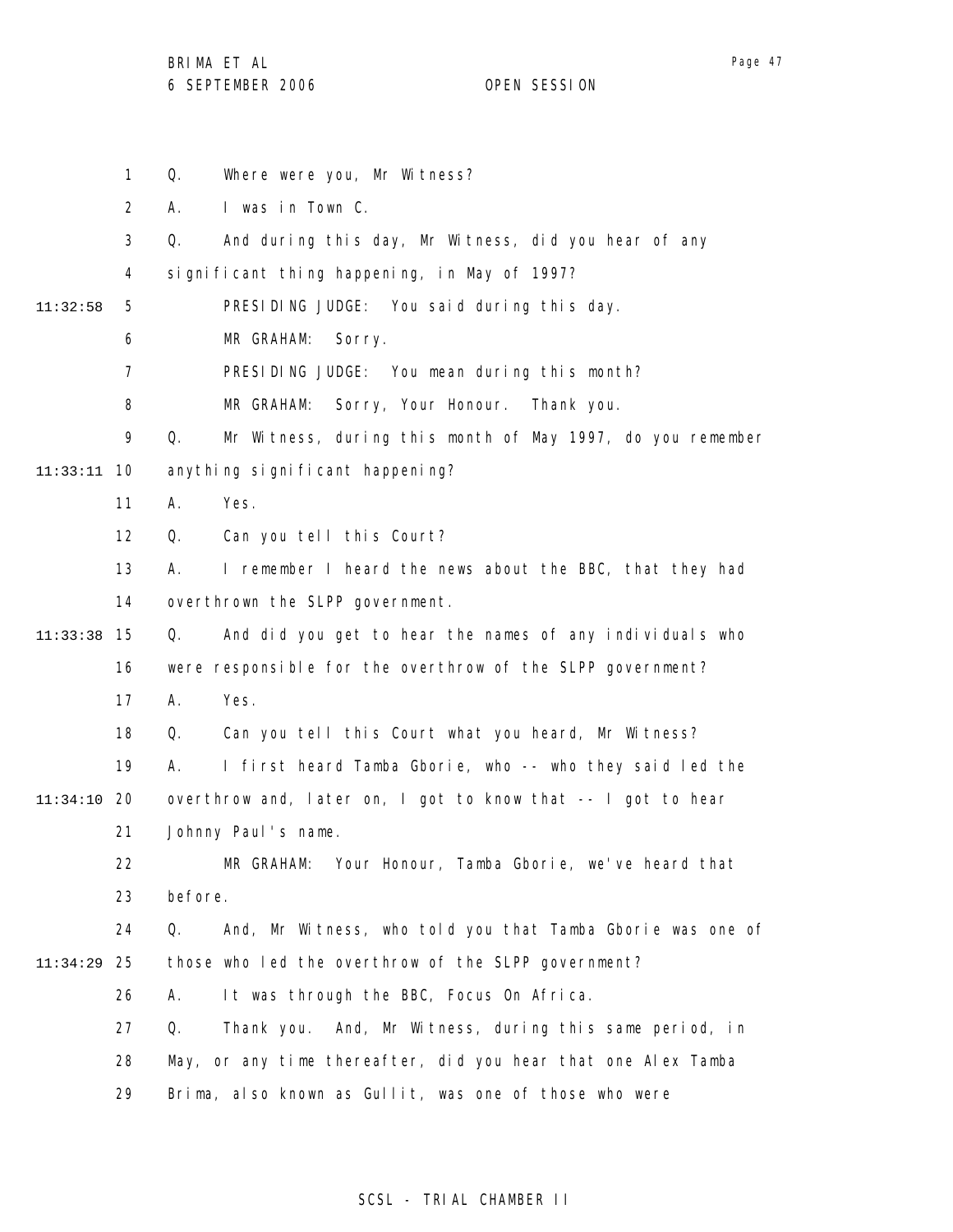BRIMA ET AL

6 SEPTEMBER 2006 OPEN SESSION

1 2 3 4 5 6 7 8 9 10 11:33:11 11 12 13 14 15 11:33:38 16 17 18 19 20 11:34:10 21 22 23 24 25 11:34:29 26 27 28 29 11:32:58 Q. Where were you, Mr Witness? A. I was in Town C. Q. And during this day, Mr Witness, did you hear of any significant thing happening, in May of 1997? PRESIDING JUDGE: You said during this day. MR GRAHAM: Sorry. PRESIDING JUDGE: You mean during this month? MR GRAHAM: Sorry, Your Honour. Thank you. Q. Mr Witness, during this month of May 1997, do you remember anything significant happening? A. Yes. Q. Can you tell this Court? A. I remember I heard the news about the BBC, that they had overthrown the SLPP government. Q. And did you get to hear the names of any individuals who were responsible for the overthrow of the SLPP government? A. Yes. Q. Can you tell this Court what you heard, Mr Witness? A. I first heard Tamba Gborie, who -- who they said led the overthrow and, later on, I got to know that -- I got to hear Johnny Paul's name. MR GRAHAM: Your Honour, Tamba Gborie, we've heard that before. Q. And, Mr Witness, who told you that Tamba Gborie was one of those who led the overthrow of the SLPP government? A. It was through the BBC, Focus On Africa. Q. Thank you. And, Mr Witness, during this same period, in May, or any time thereafter, did you hear that one Alex Tamba Brima, also known as Gullit, was one of those who were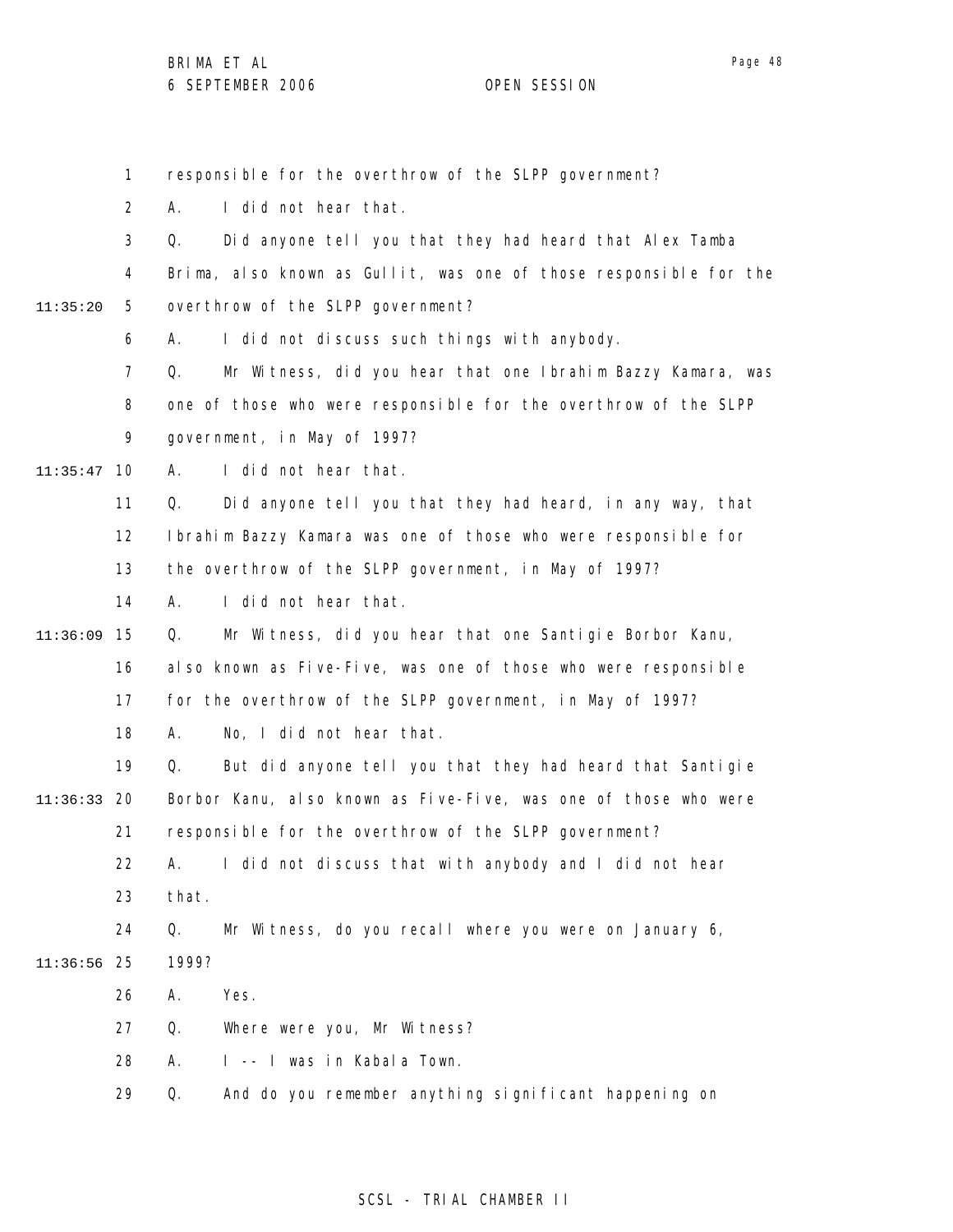Page 48

1 2 3 4 5 6 7 8 9 10 11:35:47 11 12 13 14 15 11:36:09 16 17 18 19 20 11:36:33 21 22 23 24 25 11:36:56 26 27 28 29 11:35:20 responsible for the overthrow of the SLPP government? A. I did not hear that. Q. Did anyone tell you that they had heard that Alex Tamba Brima, also known as Gullit, was one of those responsible for the overthrow of the SLPP government? A. I did not discuss such things with anybody. Q. Mr Witness, did you hear that one Ibrahim Bazzy Kamara, was one of those who were responsible for the overthrow of the SLPP government, in May of 1997? A. I did not hear that. Q. Did anyone tell you that they had heard, in any way, that Ibrahim Bazzy Kamara was one of those who were responsible for the overthrow of the SLPP government, in May of 1997? A. I did not hear that. Q. Mr Witness, did you hear that one Santigie Borbor Kanu, also known as Five-Five, was one of those who were responsible for the overthrow of the SLPP government, in May of 1997? A. No, I did not hear that. Q. But did anyone tell you that they had heard that Santigie Borbor Kanu, also known as Five-Five, was one of those who were responsible for the overthrow of the SLPP government? A. I did not discuss that with anybody and I did not hear that. Q. Mr Witness, do you recall where you were on January 6, 1999? A. Yes. Q. Where were you, Mr Witness? A. I -- I was in Kabala Town. Q. And do you remember anything significant happening on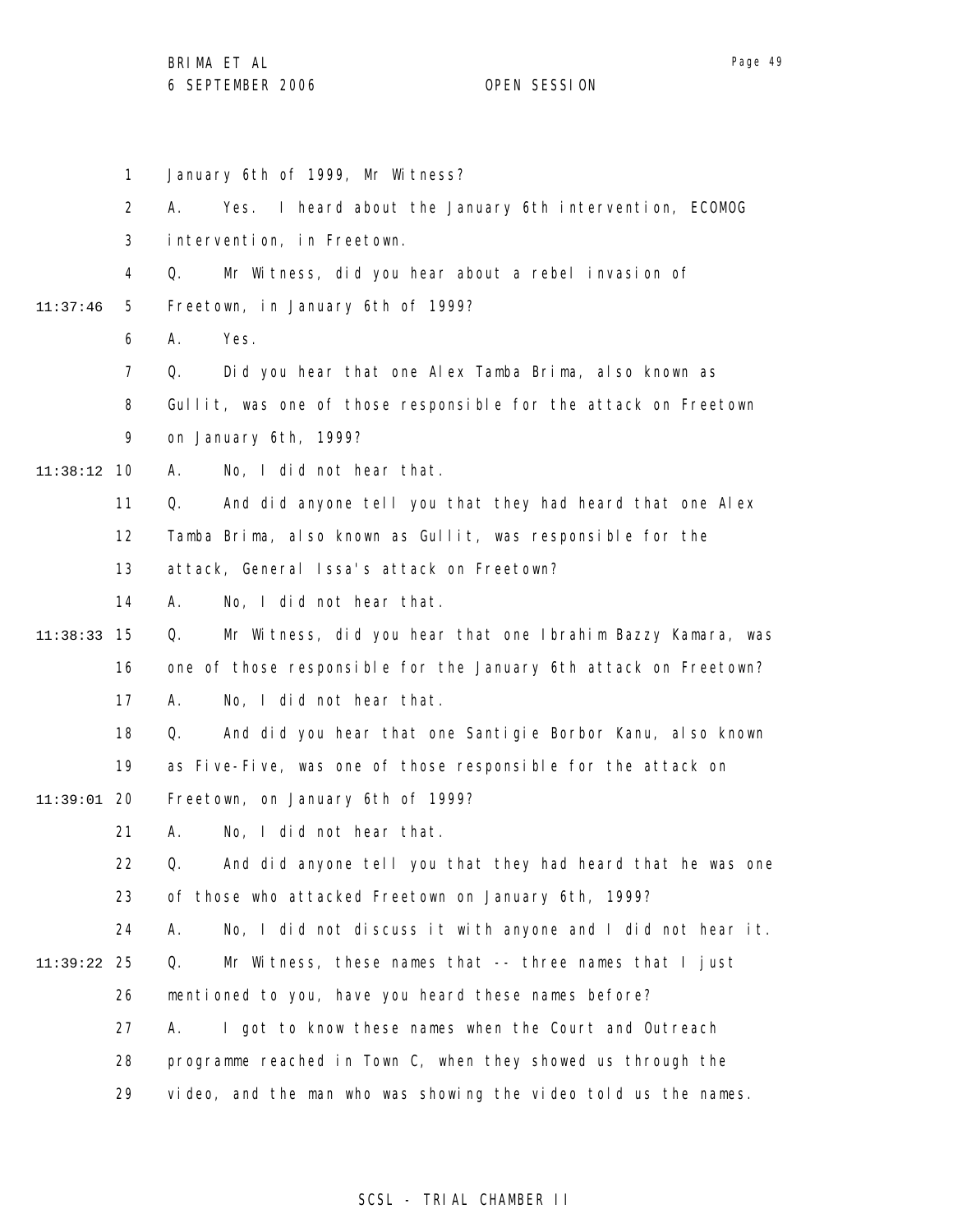1 2 3 4 5 6 7 8 9 10 11:38:12 11 12 13 14 15 11:38:33 16 17 18 19 20 11:39:01 21 22 23 24 25 11:39:22 26 27 28 29 11:37:46 January 6th of 1999, Mr Witness? A. Yes. I heard about the January 6th intervention, ECOMOG intervention, in Freetown. Q. Mr Witness, did you hear about a rebel invasion of Freetown, in January 6th of 1999? A. Yes. Q. Did you hear that one Alex Tamba Brima, also known as Gullit, was one of those responsible for the attack on Freetown on January 6th, 1999? A. No, I did not hear that. Q. And did anyone tell you that they had heard that one Alex Tamba Brima, also known as Gullit, was responsible for the attack, General Issa's attack on Freetown? A. No, I did not hear that. Q. Mr Witness, did you hear that one Ibrahim Bazzy Kamara, was one of those responsible for the January 6th attack on Freetown? A. No, I did not hear that. Q. And did you hear that one Santigie Borbor Kanu, also known as Five-Five, was one of those responsible for the attack on Freetown, on January 6th of 1999? A. No, I did not hear that. Q. And did anyone tell you that they had heard that he was one of those who attacked Freetown on January 6th, 1999? A. No, I did not discuss it with anyone and I did not hear it. Q. Mr Witness, these names that -- three names that I just mentioned to you, have you heard these names before? A. I got to know these names when the Court and Outreach programme reached in Town C, when they showed us through the video, and the man who was showing the video told us the names.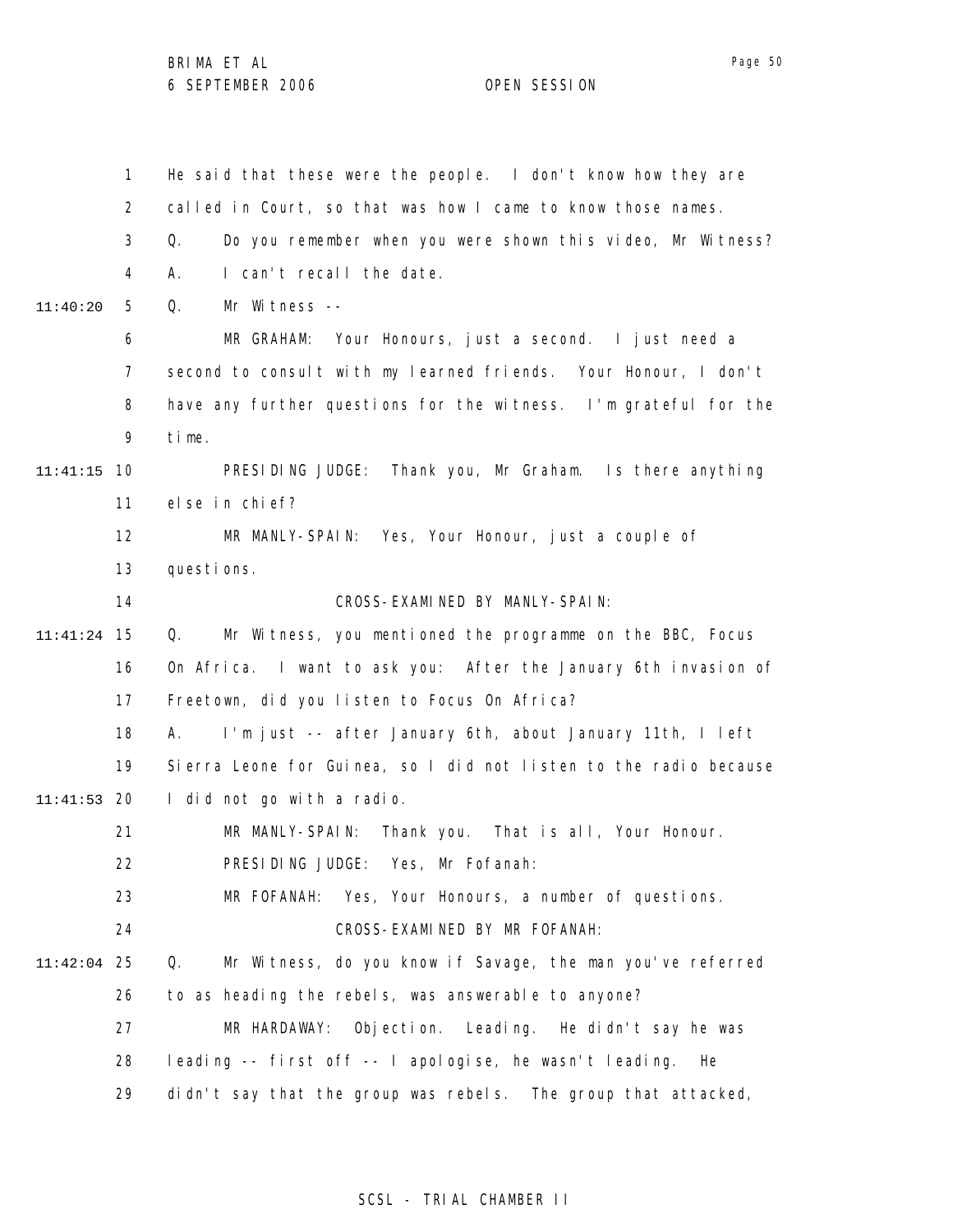|          | $\mathbf{1}$ | He said that these were the people. I don't know how they are     |  |  |
|----------|--------------|-------------------------------------------------------------------|--|--|
|          | 2            | called in Court, so that was how I came to know those names.      |  |  |
|          | 3            | Do you remember when you were shown this video, Mr Witness?<br>Q. |  |  |
|          | 4            | I can't recall the date.<br>А.                                    |  |  |
| 11:40:20 | 5            | Mr Witness --<br>Q.                                               |  |  |
|          | 6            | MR GRAHAM: Your Honours, just a second. I just need a             |  |  |
|          | 7            | second to consult with my learned friends. Your Honour, I don't   |  |  |
|          | 8            | have any further questions for the witness. I'm grateful for the  |  |  |
|          | 9            | time.                                                             |  |  |
| 11:41:15 | 10           | PRESIDING JUDGE: Thank you, Mr Graham. Is there anything          |  |  |
|          | 11           | else in chief?                                                    |  |  |
|          | 12           | MR MANLY-SPAIN: Yes, Your Honour, just a couple of                |  |  |
|          | 13           | questions.                                                        |  |  |
|          | 14           | CROSS-EXAMINED BY MANLY-SPAIN:                                    |  |  |
| 11:41:24 | 15           | Mr Witness, you mentioned the programme on the BBC, Focus<br>Q.   |  |  |
|          | 16           | On Africa. I want to ask you: After the January 6th invasion of   |  |  |
|          | 17           | Freetown, did you listen to Focus On Africa?                      |  |  |
|          | 18           | I'm just -- after January 6th, about January 11th, I left<br>А.   |  |  |
|          | 19           | Sierra Leone for Guinea, so I did not listen to the radio because |  |  |
| 11:41:53 | 20           | I did not go with a radio.                                        |  |  |
|          | 21           | MR MANLY-SPAIN:<br>Thank you. That is all, Your Honour.           |  |  |
|          | 22           | PRESIDING JUDGE: Yes, Mr Fofanah:                                 |  |  |
|          | 23           | MR FOFANAH: Yes, Your Honours, a number of questions.             |  |  |
|          | 24           | CROSS-EXAMINED BY MR FOFANAH:                                     |  |  |
| 11:42:04 | 25           | Mr Witness, do you know if Savage, the man you've referred<br>Q.  |  |  |
|          | 26           | to as heading the rebels, was answerable to anyone?               |  |  |
|          | 27           | MR HARDAWAY: Objection. Leading. He didn't say he was             |  |  |
|          | 28           | leading -- first off -- I apologise, he wasn't leading.<br>He     |  |  |
|          | 29           | didn't say that the group was rebels. The group that attacked,    |  |  |

## SCSL - TRIAL CHAMBER II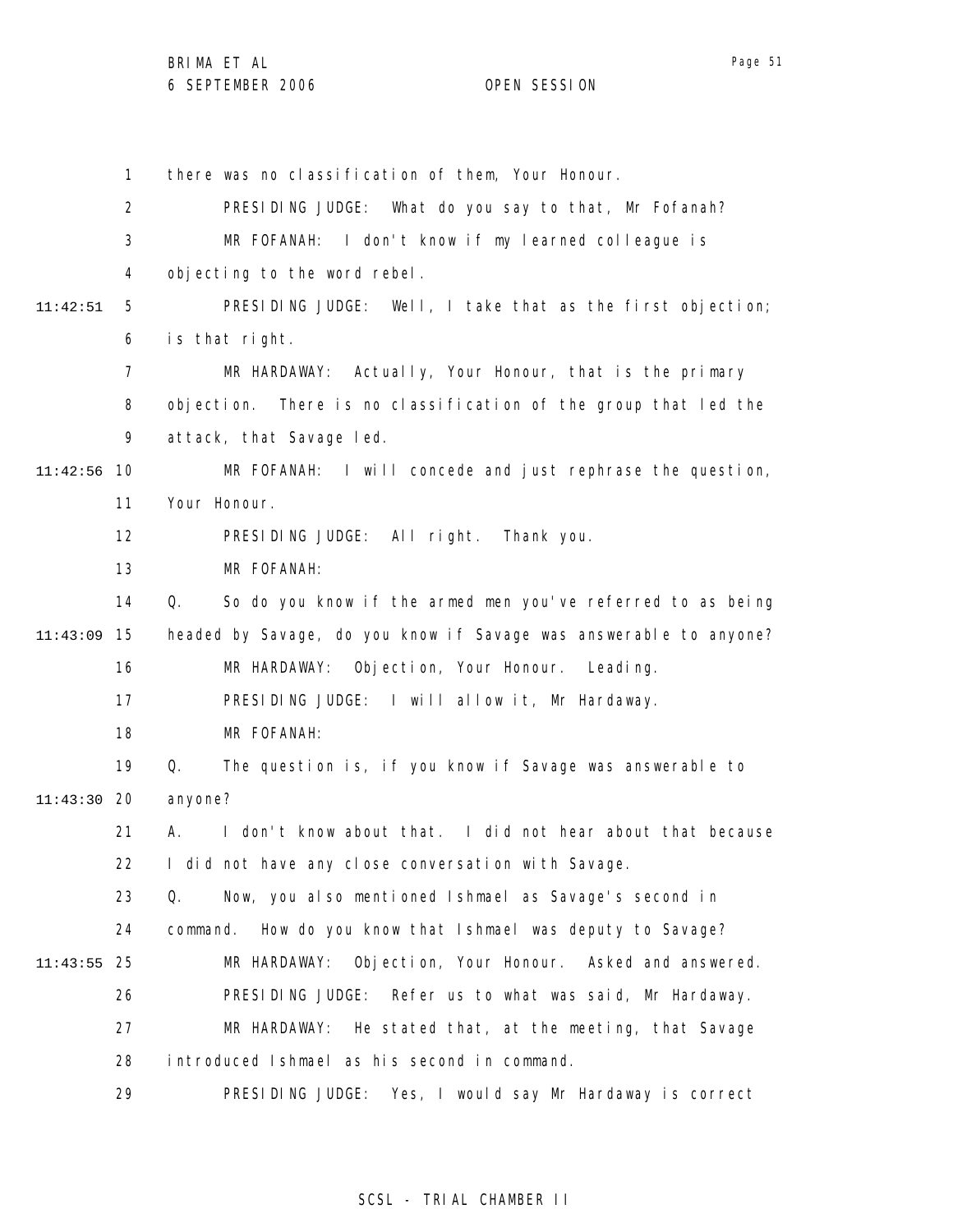Page 51

1 2 3 4 5 6 7 8 9 10 11:42:56 11 12 13 14 15 11:43:09 16 17 18 19 20 11:43:30 21 22 23 24 25 11:43:55 26 27 28 29 11:42:51 there was no classification of them, Your Honour. PRESIDING JUDGE: What do you say to that, Mr Fofanah? MR FOFANAH: I don't know if my learned colleague is objecting to the word rebel. PRESIDING JUDGE: Well, I take that as the first objection; is that right. MR HARDAWAY: Actually, Your Honour, that is the primary objection. There is no classification of the group that led the attack, that Savage led. MR FOFANAH: I will concede and just rephrase the question, Your Honour. PRESIDING JUDGE: All right. Thank you. MR FOFANAH: Q. So do you know if the armed men you've referred to as being headed by Savage, do you know if Savage was answerable to anyone? MR HARDAWAY: Objection, Your Honour. Leading. PRESIDING JUDGE: I will allow it, Mr Hardaway. MR FOFANAH: Q. The question is, if you know if Savage was answerable to anyone? A. I don't know about that. I did not hear about that because I did not have any close conversation with Savage. Q. Now, you also mentioned Ishmael as Savage's second in command. How do you know that Ishmael was deputy to Savage? MR HARDAWAY: Objection, Your Honour. Asked and answered. PRESIDING JUDGE: Refer us to what was said, Mr Hardaway. MR HARDAWAY: He stated that, at the meeting, that Savage introduced Ishmael as his second in command. PRESIDING JUDGE: Yes, I would say Mr Hardaway is correct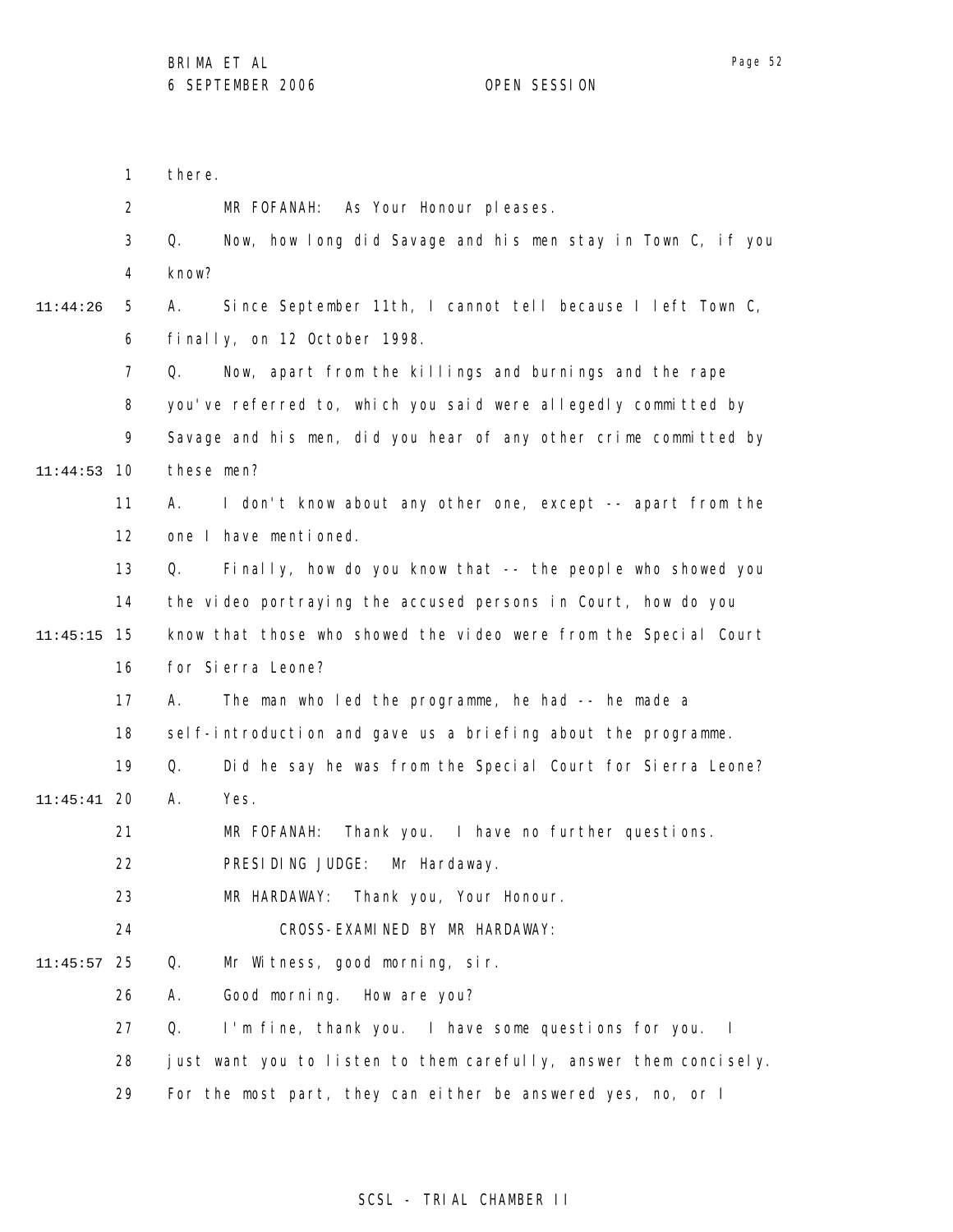| 1              | there.                                                            |
|----------------|-------------------------------------------------------------------|
| $\overline{2}$ | MR FOFANAH: As Your Honour pleases.                               |
| 3              | Q.<br>Now, how long did Savage and his men stay in Town C, if you |
| 4              | know?                                                             |
| 5              | Since September 11th, I cannot tell because I left Town C,<br>А.  |
| 6              | finally, on 12 October 1998.                                      |
| $\overline{7}$ | Now, apart from the killings and burnings and the rape<br>Q.      |
| 8              | you've referred to, which you said were allegedly committed by    |
| 9              | Savage and his men, did you hear of any other crime committed by  |
| 10             | these men?                                                        |
| 11             | I don't know about any other one, except -- apart from the<br>А.  |
| 12             | one I have mentioned.                                             |
| 13             | Finally, how do you know that -- the people who showed you<br>Q.  |
| 14             | the video portraying the accused persons in Court, how do you     |
| 15             | know that those who showed the video were from the Special Court  |
| 16             | for Sierra Leone?                                                 |
| 17             | А.<br>The man who led the programme, he had -- he made a          |
| 18             | self-introduction and gave us a briefing about the programme.     |
| 19             | Did he say he was from the Special Court for Sierra Leone?<br>Q.  |
| 20             | А.<br>Yes.                                                        |
| 21             | Thank you. I have no further questions.<br>MR FOFANAH:            |
| 22             | PRESIDING JUDGE: Mr Hardaway.                                     |
| 23             | Thank you, Your Honour.<br>MR HARDAWAY:                           |
| 24             | CROSS-EXAMINED BY MR HARDAWAY:                                    |
| 25             | Mr Witness, good morning, sir.<br>Q.                              |
| 26             | Good morning. How are you?<br>А.                                  |
| 27             | I'm fine, thank you. I have some questions for you. I<br>Q.       |
| 28             | just want you to listen to them carefully, answer them concisely. |
| 29             | For the most part, they can either be answered yes, no, or I      |
|                |                                                                   |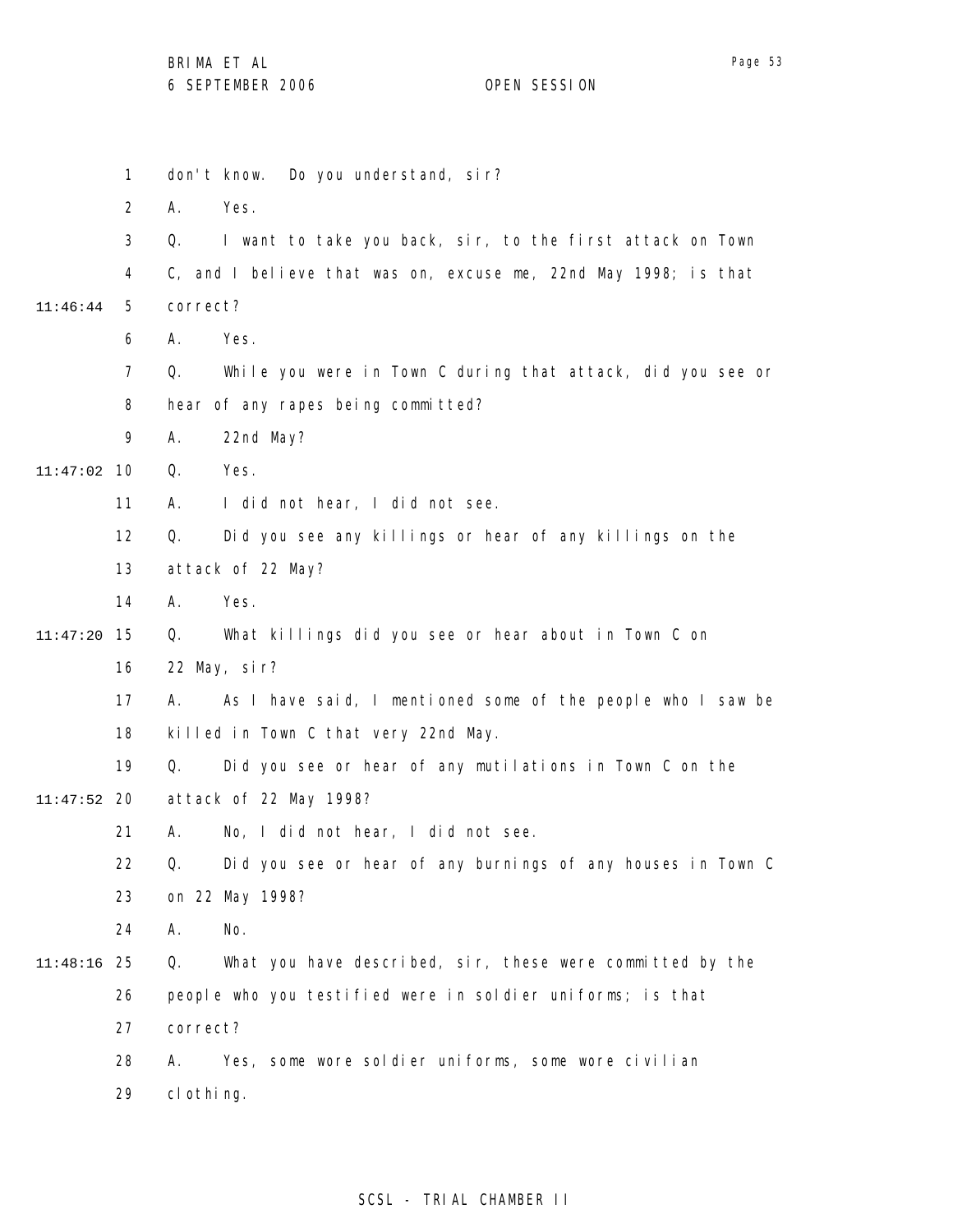|               | $\mathbf{1}$   |            | Do you understand, sir?<br>don't know.                          |
|---------------|----------------|------------|-----------------------------------------------------------------|
|               | $\overline{2}$ | Α.         | Yes.                                                            |
|               | 3              | Q.         | I want to take you back, sir, to the first attack on Town       |
|               | 4              |            | C, and I believe that was on, excuse me, 22nd May 1998; is that |
| 11:46:44      | 5              | correct?   |                                                                 |
|               | 6              | А.         | Yes.                                                            |
|               | $\overline{7}$ | Q.         | While you were in Town C during that attack, did you see or     |
|               | 8              |            | hear of any rapes being committed?                              |
|               | 9              | Α.         | 22nd May?                                                       |
| 11:47:02      | 10             | Q.         | Yes.                                                            |
|               | 11             | Α.         | I did not hear, I did not see.                                  |
|               | 12             | Q.         | Did you see any killings or hear of any killings on the         |
|               | 13             |            | attack of 22 May?                                               |
|               | 14             | А.         | Yes.                                                            |
| 11:47:20      | 15             | Q.         | What killings did you see or hear about in Town C on            |
|               | 16             |            | 22 May, sir?                                                    |
|               | 17             | А.         | As I have said, I mentioned some of the people who I saw be     |
|               | 18             |            | killed in Town C that very 22nd May.                            |
|               | 19             | Q.         | Did you see or hear of any mutilations in Town C on the         |
| $11:47:52$ 20 |                |            | attack of 22 May 1998?                                          |
|               | 21             | Α.         | No, I did not hear, I did not see.                              |
|               | 22             | Q.         | Did you see or hear of any burnings of any houses in Town C     |
|               | 23             |            | on 22 May 1998?                                                 |
|               | 24             | А.         | No.                                                             |
| 11:48:16      | 25             | Q.         | What you have described, sir, these were committed by the       |
|               | 26             |            | people who you testified were in soldier uniforms; is that      |
|               | 27             | correct?   |                                                                 |
|               | 28             | А.         | Yes, some wore soldier uniforms, some wore civilian             |
|               | 29             | cl othing. |                                                                 |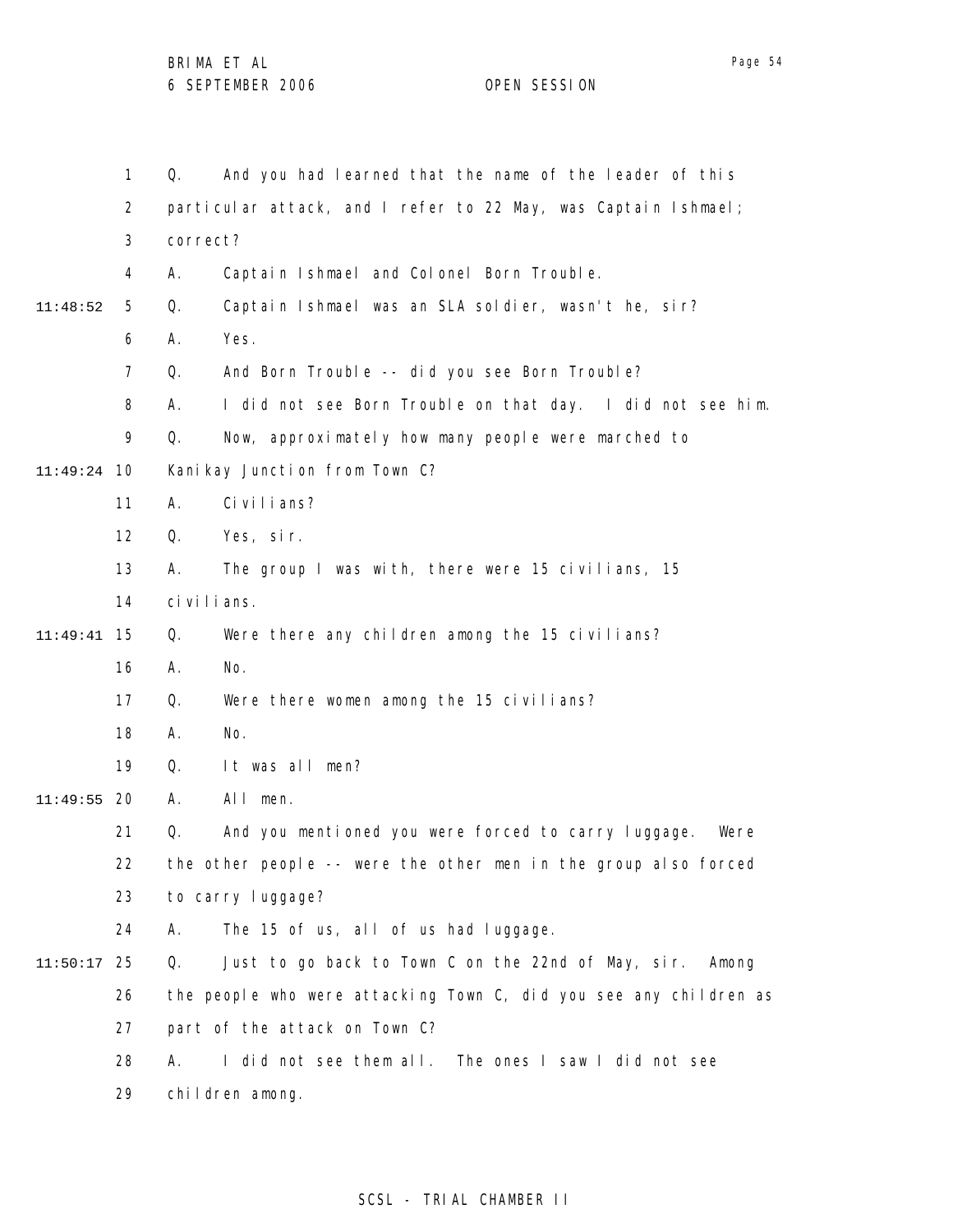1 2 3 4 5 6 7 8 9 10 11:49:24 11 12 13 14 15 11:49:41 16 17 18 19 20 11:49:55 21 22 23 24 25 11:50:17 26 27 28 29 11:48:52 Q. And you had learned that the name of the leader of this particular attack, and I refer to 22 May, was Captain Ishmael; correct? A. Captain Ishmael and Colonel Born Trouble. Q. Captain Ishmael was an SLA soldier, wasn't he, sir? A. Yes. Q. And Born Trouble -- did you see Born Trouble? A. I did not see Born Trouble on that day. I did not see him. Q. Now, approximately how many people were marched to Kanikay Junction from Town C? A. Civilians? Q. Yes, sir. A. The group I was with, there were 15 civilians, 15 civilians. Q. Were there any children among the 15 civilians? A. No. Q. Were there women among the 15 civilians? A. No. Q. It was all men? A. All men. Q. And you mentioned you were forced to carry luggage. Were the other people -- were the other men in the group also forced to carry luggage? A. The 15 of us, all of us had luggage. Q. Just to go back to Town C on the 22nd of May, sir. Among the people who were attacking Town C, did you see any children as part of the attack on Town C? A. I did not see them all. The ones I saw I did not see children among.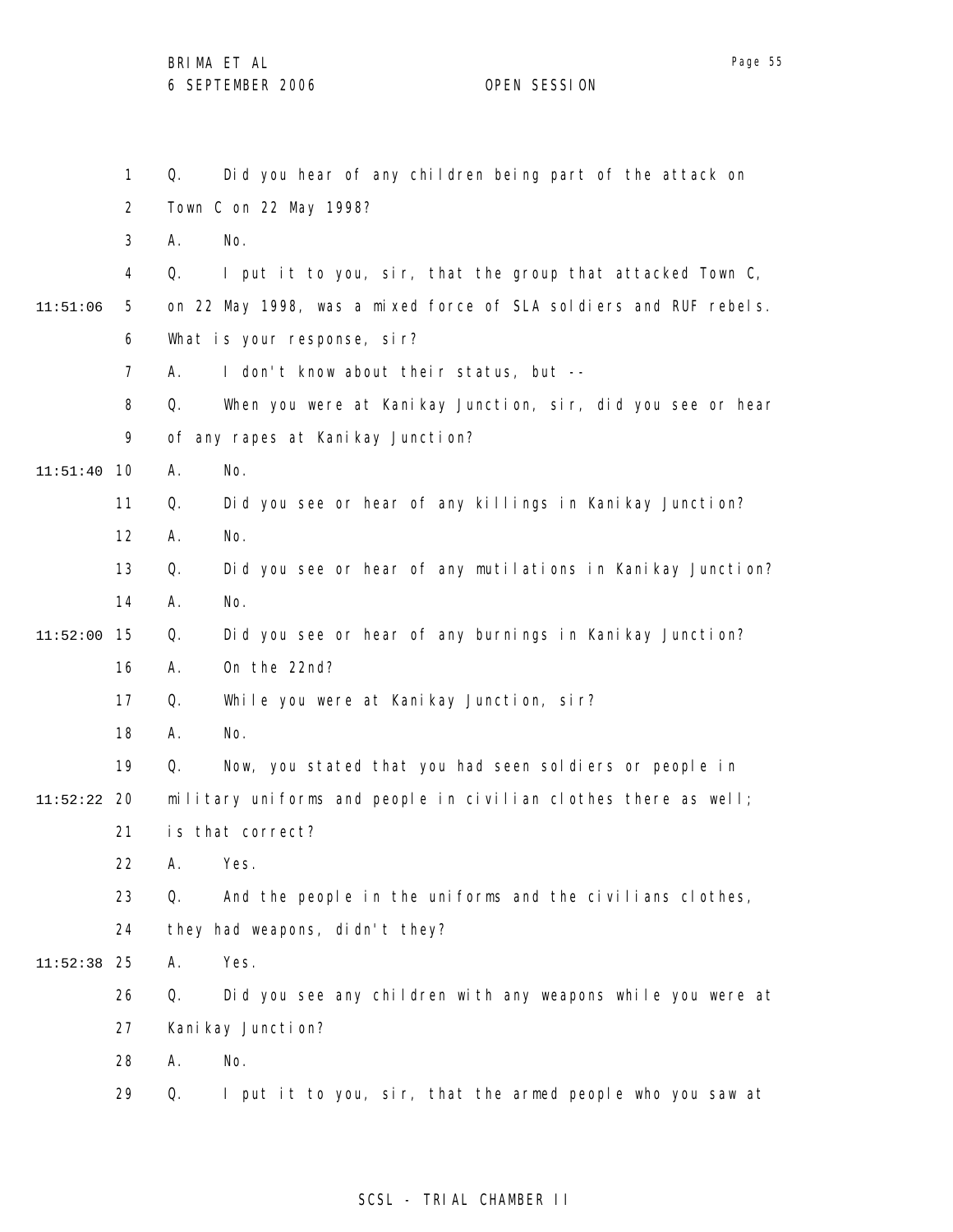1 2 3 4 5 6 7 8 9 10 11:51:40 11 12 13 14 15 11:52:00 16 17 18 19 20 11:52:22 21 22 23 24 25 11:52:38 26 27 28 29 11:51:06 Q. Did you hear of any children being part of the attack on Town C on 22 May 1998? A. No. Q. I put it to you, sir, that the group that attacked Town C, on 22 May 1998, was a mixed force of SLA soldiers and RUF rebels. What is your response, sir? A. I don't know about their status, but -- Q. When you were at Kanikay Junction, sir, did you see or hear of any rapes at Kanikay Junction? A. No. Q. Did you see or hear of any killings in Kanikay Junction? A. No. Q. Did you see or hear of any mutilations in Kanikay Junction? A. No. Q. Did you see or hear of any burnings in Kanikay Junction? A. On the 22nd? Q. While you were at Kanikay Junction, sir? A. No. Q. Now, you stated that you had seen soldiers or people in military uniforms and people in civilian clothes there as well; is that correct? A. Yes. Q. And the people in the uniforms and the civilians clothes, they had weapons, didn't they? A. Yes. Q. Did you see any children with any weapons while you were at Kani kay Juncti on? A. No. Q. I put it to you, sir, that the armed people who you saw at

### SCSL - TRIAL CHAMBER II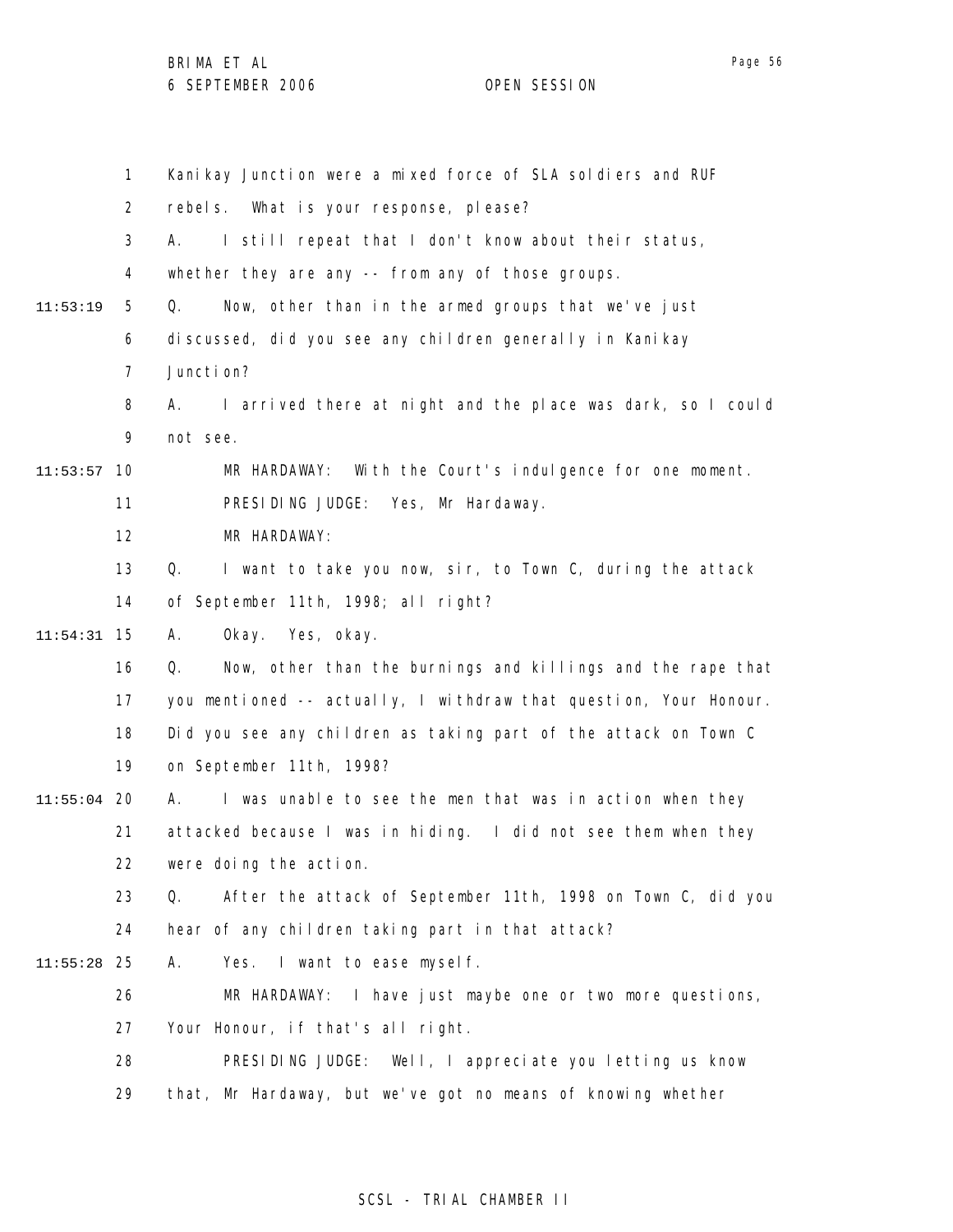|               | $\mathbf{1}$   | Kanikay Junction were a mixed force of SLA soldiers and RUF       |
|---------------|----------------|-------------------------------------------------------------------|
|               | $\overline{2}$ | rebels. What is your response, please?                            |
|               | 3              | I still repeat that I don't know about their status,<br>А.        |
|               | 4              | whether they are any -- from any of those groups.                 |
| 11:53:19      | 5              | Now, other than in the armed groups that we've just<br>Q.         |
|               | 6              | discussed, did you see any children generally in Kanikay          |
|               | 7              | Juncti on?                                                        |
|               | 8              | I arrived there at night and the place was dark, so I could<br>А. |
|               | 9              | not see.                                                          |
| 11:53:57      | 10             | MR HARDAWAY: With the Court's indulgence for one moment.          |
|               | 11             | PRESIDING JUDGE: Yes, Mr Hardaway.                                |
|               | 12             | MR HARDAWAY:                                                      |
|               | 13             | I want to take you now, sir, to Town C, during the attack<br>Q.   |
|               | 14             | of September 11th, 1998; all right?                               |
| 11:54:31      | 15             | Okay. Yes, okay.<br>А.                                            |
|               | 16             | Now, other than the burnings and killings and the rape that<br>Q. |
|               | 17             | you mentioned -- actually, I withdraw that question, Your Honour. |
|               | 18             | Did you see any children as taking part of the attack on Town C   |
|               | 19             | on September 11th, 1998?                                          |
| $11:55:04$ 20 |                | I was unable to see the men that was in action when they<br>А.    |
|               | 21             | attacked because I was in hiding. I did not see them when they    |
|               | 22             | were doing the action.                                            |
|               | 23             | After the attack of September 11th, 1998 on Town C, did you<br>Q. |
|               | 24             | hear of any children taking part in that attack?                  |
| 11:55:28      | 25             | Yes. I want to ease mysel f.<br>А.                                |
|               | 26             | MR HARDAWAY: I have just maybe one or two more questions,         |
|               | 27             | Your Honour, if that's all right.                                 |
|               | 28             | PRESIDING JUDGE:<br>Well, I appreciate you letting us know        |
|               | 29             | that, Mr Hardaway, but we've got no means of knowing whether      |

# SCSL - TRIAL CHAMBER II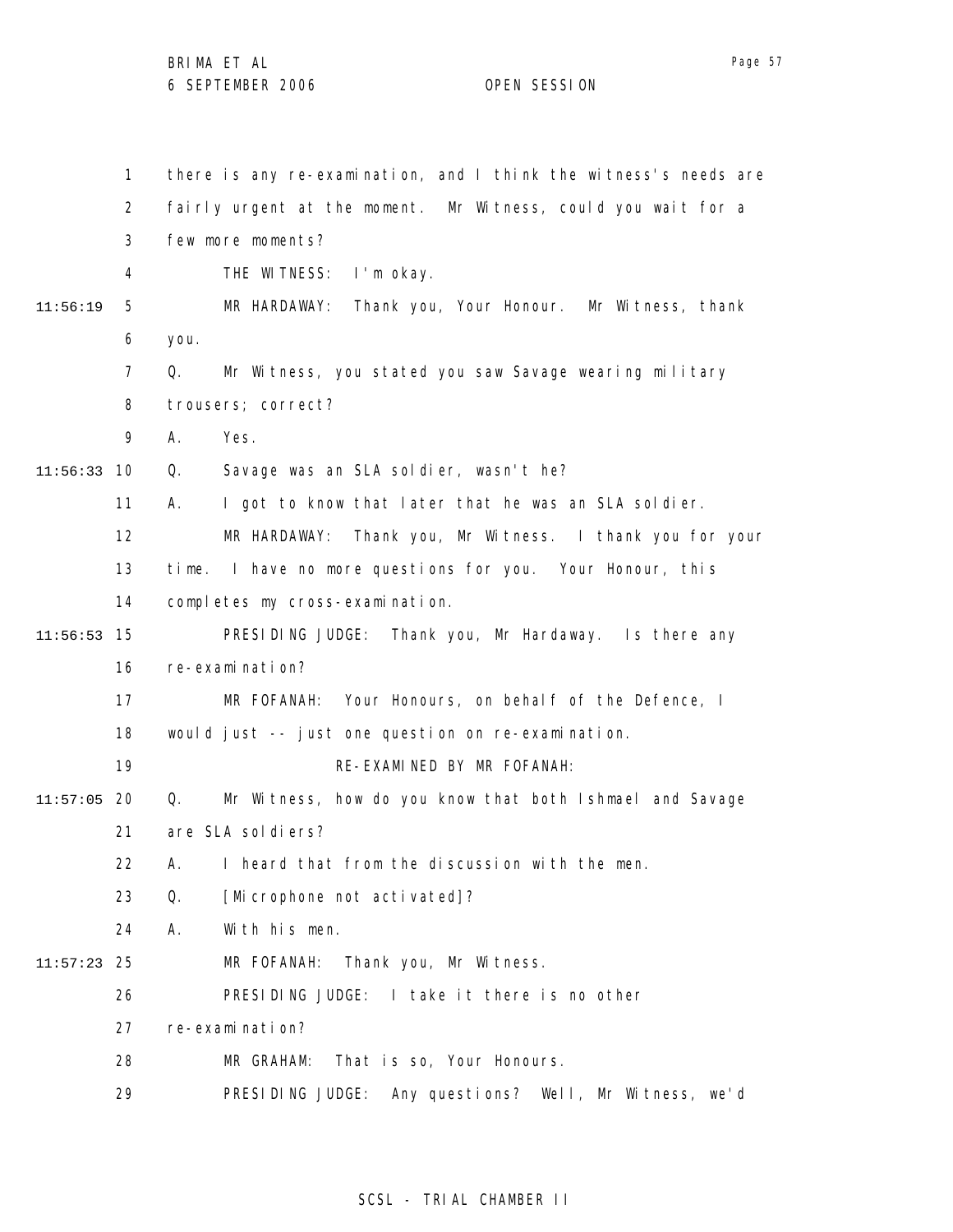|          | $\mathbf{1}$   | there is any re-examination, and I think the witness's needs are |
|----------|----------------|------------------------------------------------------------------|
|          | $\overline{2}$ | fairly urgent at the moment. Mr Witness, could you wait for a    |
|          | 3              | few more moments?                                                |
|          | 4              | THE WITNESS:<br>l'm okay.                                        |
| 11:56:19 | 5              | MR HARDAWAY:<br>Thank you, Your Honour. Mr Witness, thank        |
|          | 6              | you.                                                             |
|          | $\overline{7}$ | Q.<br>Mr Witness, you stated you saw Savage wearing military     |
|          | 8              | trousers; correct?                                               |
|          | 9              | А.<br>Yes.                                                       |
| 11:56:33 | 10             | Savage was an SLA soldier, wasn't he?<br>Q.                      |
|          | 11             | А.<br>I got to know that later that he was an SLA soldier.       |
|          | 12             | MR HARDAWAY: Thank you, Mr Witness. I thank you for your         |
|          | 13             | time. I have no more questions for you. Your Honour, this        |
|          | 14             | completes my cross-examination.                                  |
| 11:56:53 | 15             | PRESIDING JUDGE: Thank you, Mr Hardaway. Is there any            |
|          | 16             | re-examination?                                                  |
|          | 17             | MR FOFANAH: Your Honours, on behalf of the Defence, I            |
|          | 18             | would just -- just one question on re-examination.               |
|          | 19             | RE-EXAMINED BY MR FOFANAH:                                       |
| 11:57:05 | 20             | Mr Witness, how do you know that both Ishmael and Savage<br>Q.   |
|          | 21             | are SLA sol di ers?                                              |
|          | 22             | Α.<br>I heard that from the discussion with the men.             |
|          | 23             | Q.<br>[Microphone not activated]?                                |
|          | 24             | With his men.<br>А.                                              |
| 11:57:23 | 25             | Thank you, Mr Witness.<br>MR FOFANAH:                            |
|          | 26             | PRESIDING JUDGE: I take it there is no other                     |
|          | 27             | re-examination?                                                  |
|          | 28             | That is so, Your Honours.<br>MR GRAHAM:                          |
|          | 29             | PRESIDING JUDGE:<br>Any questions? Well, Mr Witness, we'd        |

# SCSL - TRIAL CHAMBER II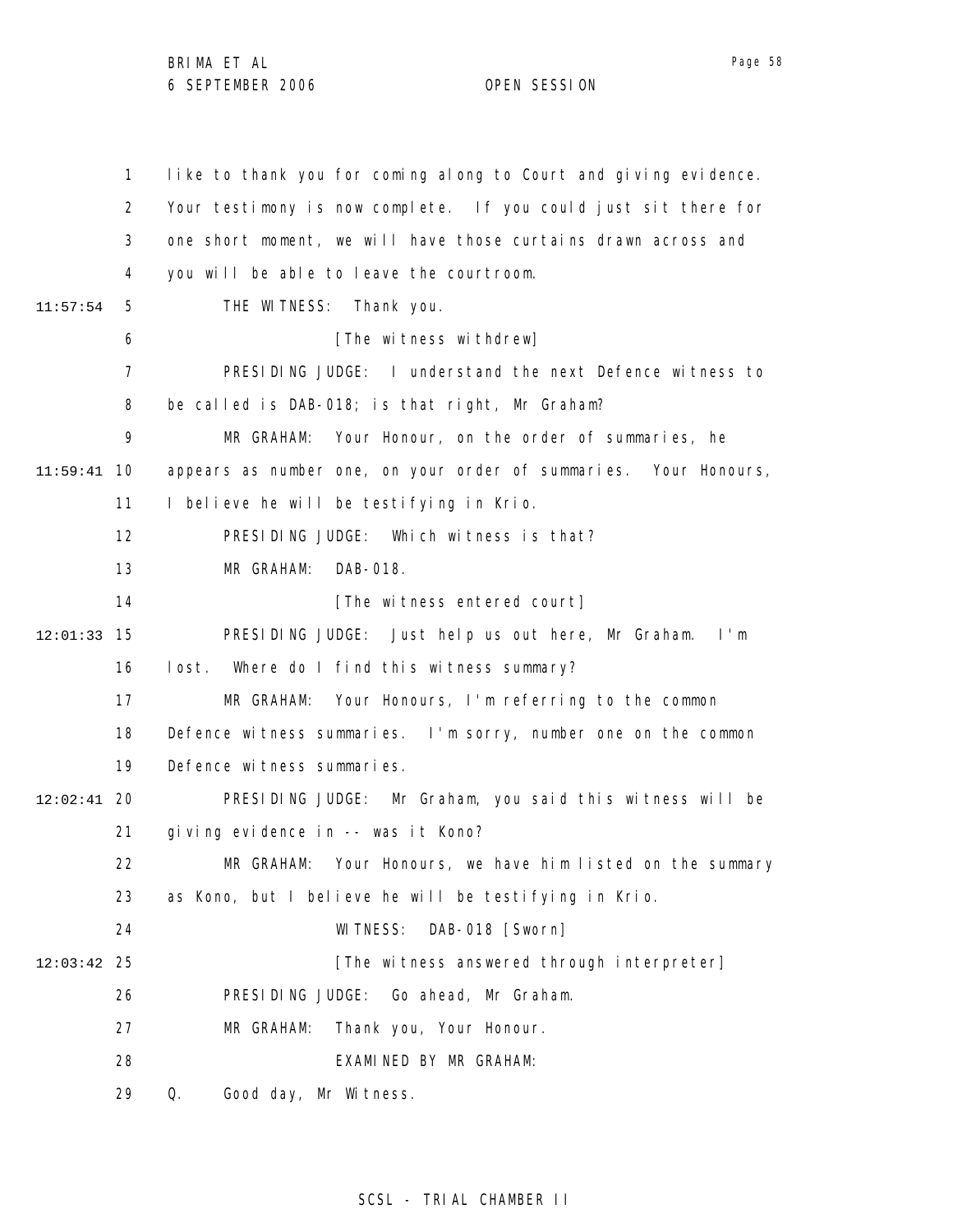1 2 3 4 5 6 7 8 9 10 11:59:41 11 12 13 14 15 12:01:33 16 17 18 19 20 12:02:41 21 22 23 24 25 12:03:42 26 27 28 29 11:57:54 like to thank you for coming along to Court and giving evidence. Your testimony is now complete. If you could just sit there for one short moment, we will have those curtains drawn across and you will be able to leave the courtroom. THE WITNESS: Thank you. [The witness withdrew] PRESIDING JUDGE: I understand the next Defence witness to be called is DAB-018; is that right, Mr Graham? MR GRAHAM: Your Honour, on the order of summaries, he appears as number one, on your order of summaries. Your Honours, I believe he will be testifying in Krio. PRESIDING JUDGE: Which witness is that? MR GRAHAM: DAB-018. [The witness entered court] PRESIDING JUDGE: Just help us out here, Mr Graham. I'm lost. Where do I find this witness summary? MR GRAHAM: Your Honours, I'm referring to the common Defence witness summaries. I'm sorry, number one on the common Defence witness summaries. PRESIDING JUDGE: Mr Graham, you said this witness will be giving evidence in -- was it Kono? MR GRAHAM: Your Honours, we have him listed on the summary as Kono, but I believe he will be testifying in Krio. WITNESS: DAB-018 [Sworn] [The witness answered through interpreter] PRESIDING JUDGE: Go ahead, Mr Graham. MR GRAHAM: Thank you, Your Honour. EXAMINED BY MR GRAHAM: Q. Good day, Mr Witness.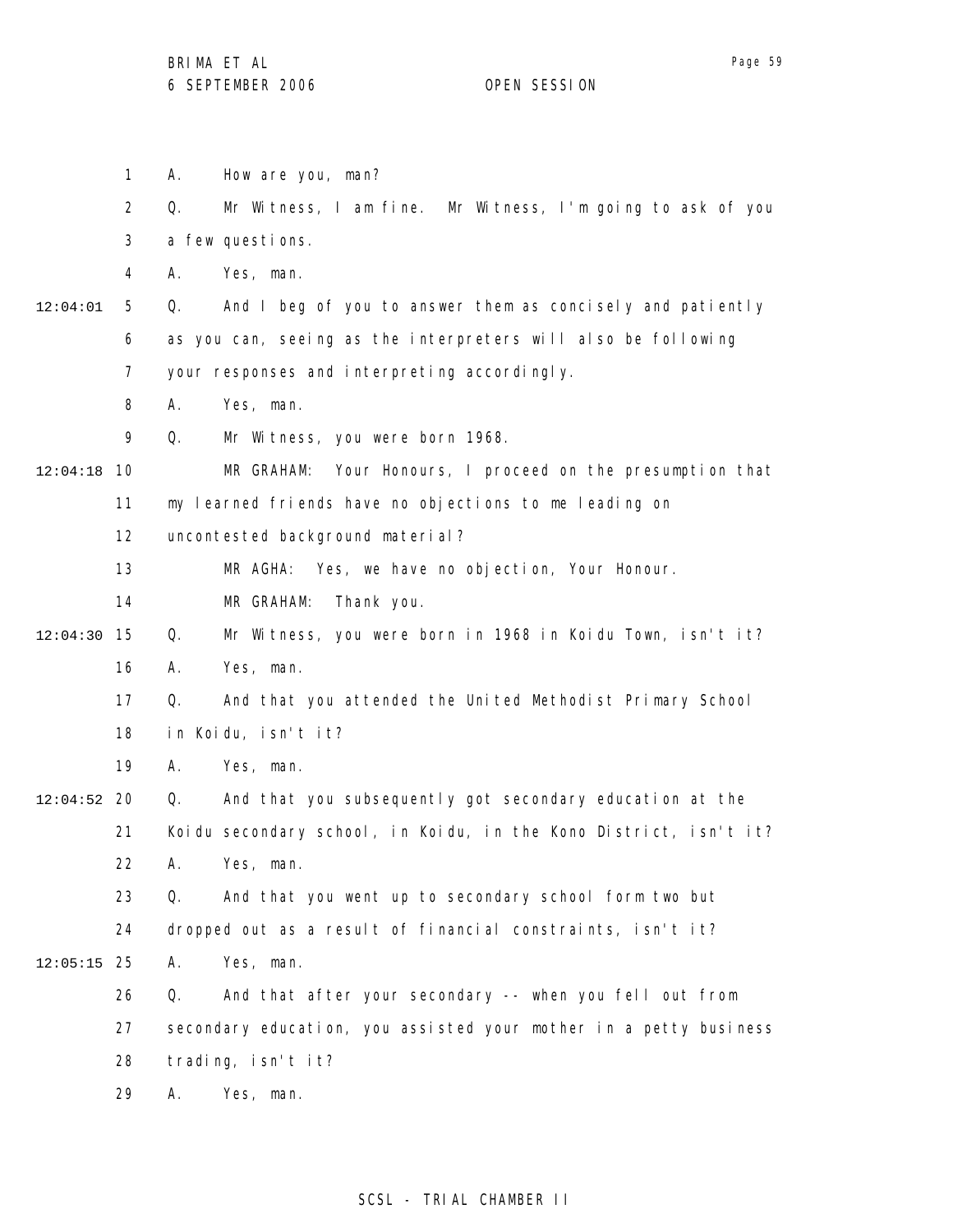1 2 3 4 5 6 7 8 9 10 12:04:18 11 12 13 14 15 12:04:30 16 17 18 19 20 12:04:52 21 22 23 24 25 12:05:15 26 27 28 29 12:04:01 A. How are you, man? Q. Mr Witness, I am fine. Mr Witness, I'm going to ask of you a few questions. A. Yes, man. Q. And I beg of you to answer them as concisely and patiently as you can, seeing as the interpreters will also be following your responses and interpreting accordingly. A. Yes, man. Q. Mr Witness, you were born 1968. MR GRAHAM: Your Honours, I proceed on the presumption that my learned friends have no objections to me leading on uncontested background material? MR AGHA: Yes, we have no objection, Your Honour. MR GRAHAM: Thank you. Q. Mr Witness, you were born in 1968 in Koidu Town, isn't it? A. Yes, man. Q. And that you attended the United Methodist Primary School in Koidu, isn't it? A. Yes, man. Q. And that you subsequently got secondary education at the Koidu secondary school, in Koidu, in the Kono District, isn't it? A. Yes, man. Q. And that you went up to secondary school form two but dropped out as a result of financial constraints, isn't it? A. Yes, man. Q. And that after your secondary -- when you fell out from secondary education, you assisted your mother in a petty business trading, isn't it? A. Yes, man.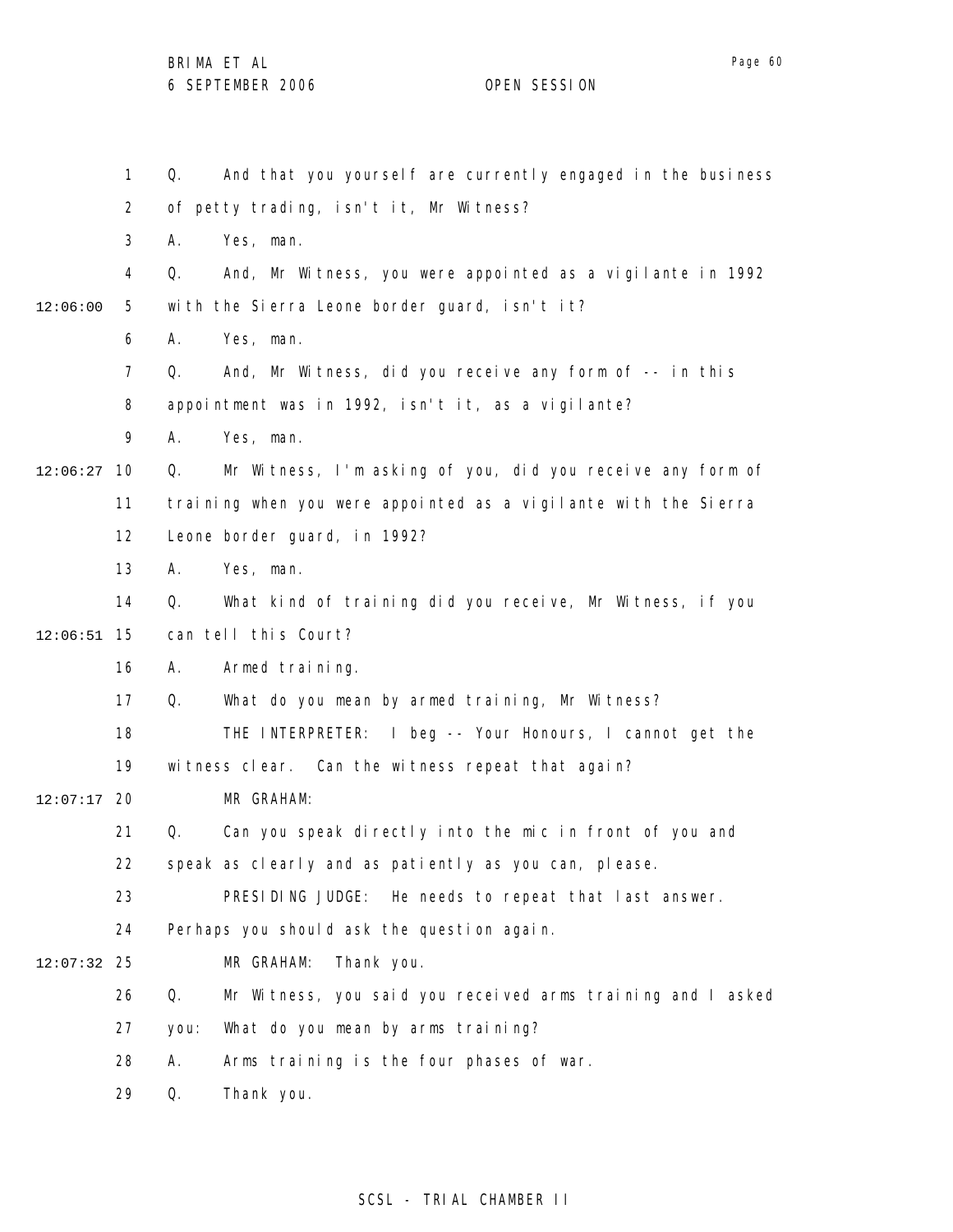1 2 3 4 5 6 7 8 9 10 12:06:27 11 12 13 14 15 12:06:51 16 17 18 19 20 12:07:17 21 22 23 24 25 12:07:32 26 27 28 29 12:06:00 Q. And that you yourself are currently engaged in the business of petty trading, isn't it, Mr Witness? A. Yes, man. Q. And, Mr Witness, you were appointed as a vigilante in 1992 with the Sierra Leone border guard, isn't it? A. Yes, man. Q. And, Mr Witness, did you receive any form of -- in this appointment was in 1992, isn't it, as a vigilante? A. Yes, man. Q. Mr Witness, I'm asking of you, did you receive any form of training when you were appointed as a vigilante with the Sierra Leone border guard, in 1992? A. Yes, man. Q. What kind of training did you receive, Mr Witness, if you can tell this Court? A. Armed training. Q. What do you mean by armed training, Mr Witness? THE INTERPRETER: I beg -- Your Honours, I cannot get the witness clear. Can the witness repeat that again? MR GRAHAM: Q. Can you speak directly into the mic in front of you and speak as clearly and as patiently as you can, please. PRESIDING JUDGE: He needs to repeat that last answer. Perhaps you should ask the question again. MR GRAHAM: Thank you. Q. Mr Witness, you said you received arms training and I asked you: What do you mean by arms training? A. Arms training is the four phases of war. Q. Thank you.

## SCSL - TRIAL CHAMBER II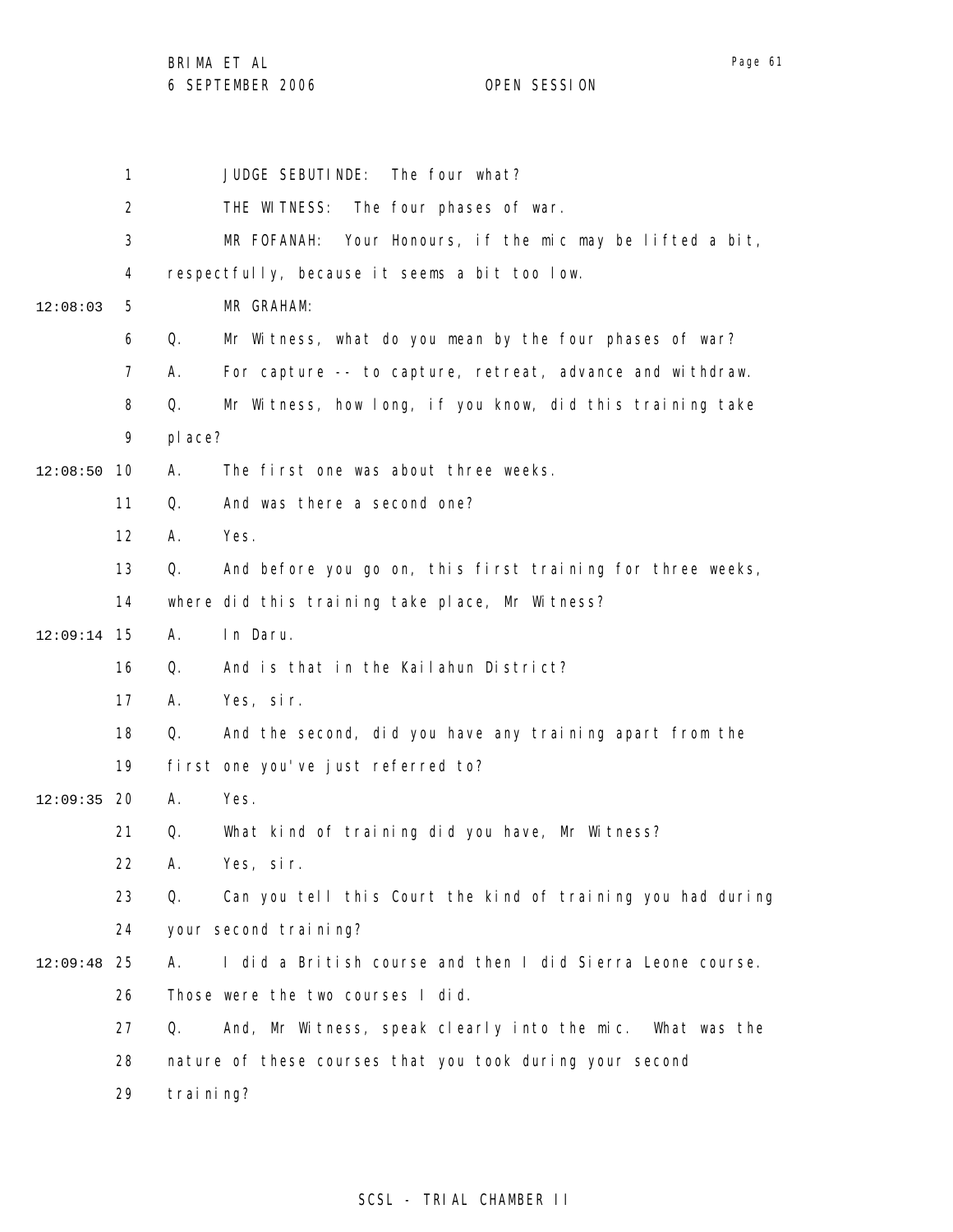BRIMA ET AL

6 SEPTEMBER 2006 OPEN SESSION

1 2 3 4 5 6 7 8 9 10 12:08:50 11 12 13 14 15 12:09:14 16 17 18 19 12:09:35 20 21 22 23 24 25 12:09:48 26 27 28 29 12:08:03 JUDGE SEBUTINDE: The four what? THE WITNESS: The four phases of war. MR FOFANAH: Your Honours, if the mic may be lifted a bit, respectfully, because it seems a bit too low. MR GRAHAM: Q. Mr Witness, what do you mean by the four phases of war? A. For capture -- to capture, retreat, advance and withdraw. Q. Mr Witness, how long, if you know, did this training take place? A. The first one was about three weeks. Q. And was there a second one? A. Yes. Q. And before you go on, this first training for three weeks, where did this training take place, Mr Witness? A. In Daru. Q. And is that in the Kailahun District? A. Yes, sir. Q. And the second, did you have any training apart from the first one you've just referred to? A. Yes. Q. What kind of training did you have, Mr Witness? A. Yes, sir. Q. Can you tell this Court the kind of training you had during your second training? A. I did a British course and then I did Sierra Leone course. Those were the two courses I did. Q. And, Mr Witness, speak clearly into the mic. What was the nature of these courses that you took during your second training?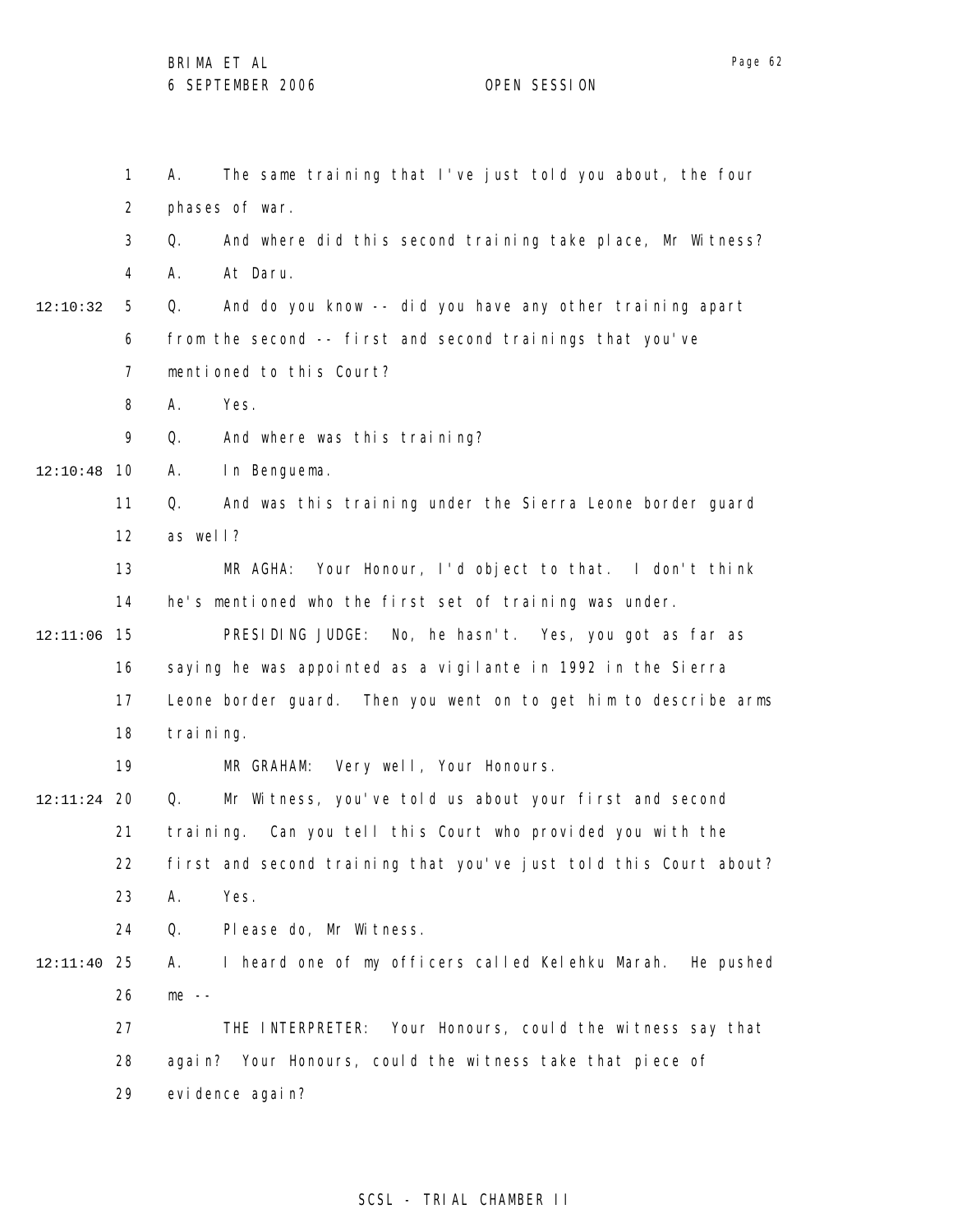1 2 3 4 5 6 7 8 9 10 12:10:48 11 12 13 14 15 12:11:06 16 17 18 19 20 12:11:24 21 22 23 24 25 12:11:40 26 27 28 29 12:10:32 A. The same training that I've just told you about, the four phases of war. Q. And where did this second training take place, Mr Witness? A. At Daru. Q. And do you know -- did you have any other training apart from the second -- first and second trainings that you've mentioned to this Court? A. Yes. Q. And where was this training? A. In Benguema. Q. And was this training under the Sierra Leone border guard as well? MR AGHA: Your Honour, I'd object to that. I don't think he's mentioned who the first set of training was under. PRESIDING JUDGE: No, he hasn't. Yes, you got as far as saying he was appointed as a vigilante in 1992 in the Sierra Leone border guard. Then you went on to get him to describe arms training. MR GRAHAM: Very well, Your Honours. Q. Mr Witness, you've told us about your first and second training. Can you tell this Court who provided you with the first and second training that you've just told this Court about? A. Yes. Q. Please do, Mr Witness. A. I heard one of my officers called Kelehku Marah. He pushed me -- THE INTERPRETER: Your Honours, could the witness say that again? Your Honours, could the witness take that piece of evi dence agai n?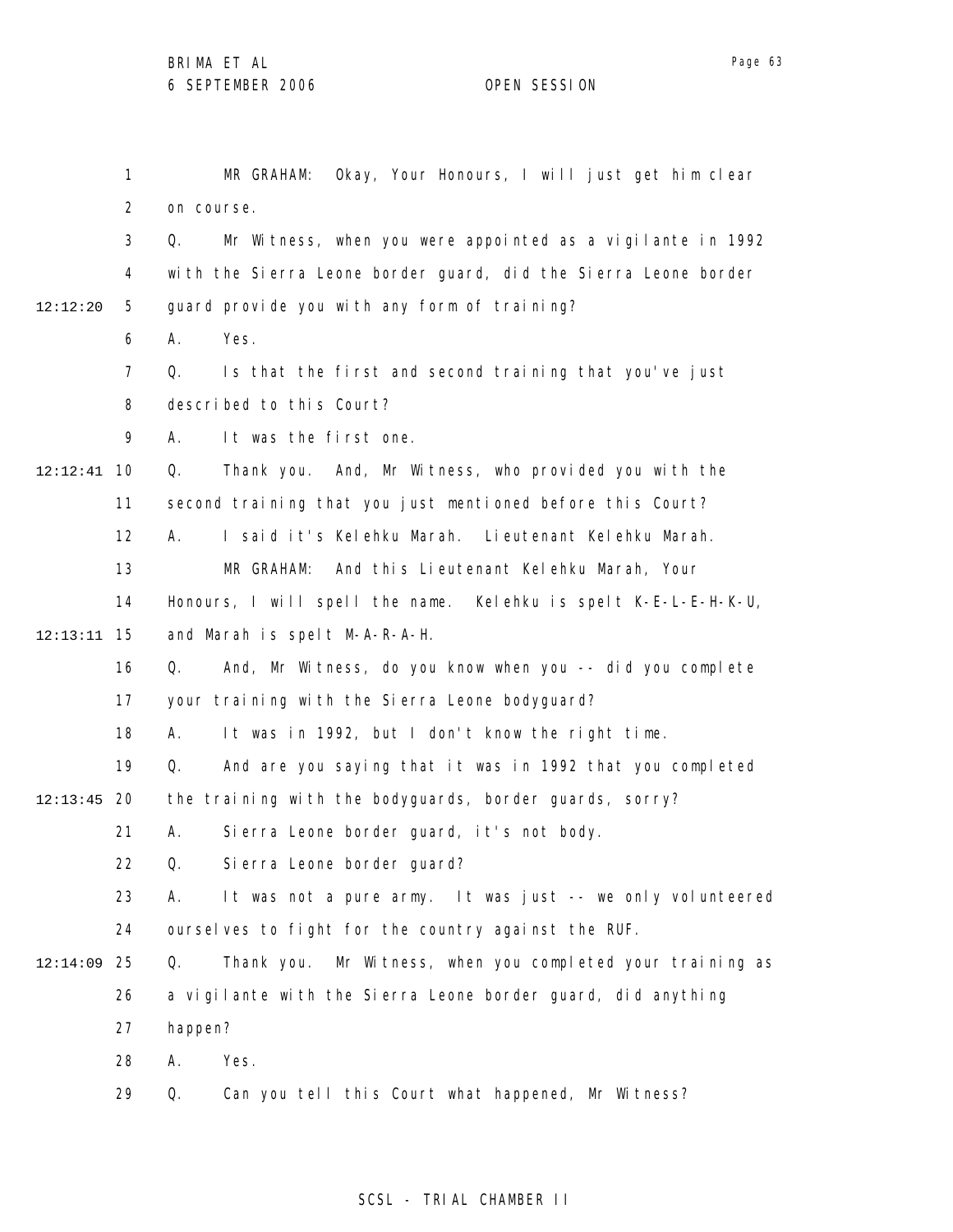1 2 3 4 5 6 7 8 9 10 12:12:41 11 12 13 14 15 12:13:11 16 17 18 19 20 12:13:45 21 22 23 24 25 12:14:09 26 27 28 29 12:12:20 MR GRAHAM: Okay, Your Honours, I will just get him clear on course. Q. Mr Witness, when you were appointed as a vigilante in 1992 with the Sierra Leone border guard, did the Sierra Leone border guard provide you with any form of training? A. Yes. Q. Is that the first and second training that you've just described to this Court? A. It was the first one. Q. Thank you. And, Mr Witness, who provided you with the second training that you just mentioned before this Court? A. I said it's Kelehku Marah. Lieutenant Kelehku Marah. MR GRAHAM: And this Lieutenant Kelehku Marah, Your Honours, I will spell the name. Kelehku is spelt K-E-L-E-H-K-U, and Marah is spelt M-A-R-A-H. Q. And, Mr Witness, do you know when you -- did you complete your training with the Sierra Leone bodyguard? A. It was in 1992, but I don't know the right time. Q. And are you saying that it was in 1992 that you completed the training with the bodyguards, border guards, sorry? A. Sierra Leone border guard, it's not body. Q. Sierra Leone border guard? A. It was not a pure army. It was just -- we only volunteered ourselves to fight for the country against the RUF. Q. Thank you. Mr Witness, when you completed your training as a vigilante with the Sierra Leone border guard, did anything happen? A. Yes. Q. Can you tell this Court what happened, Mr Witness?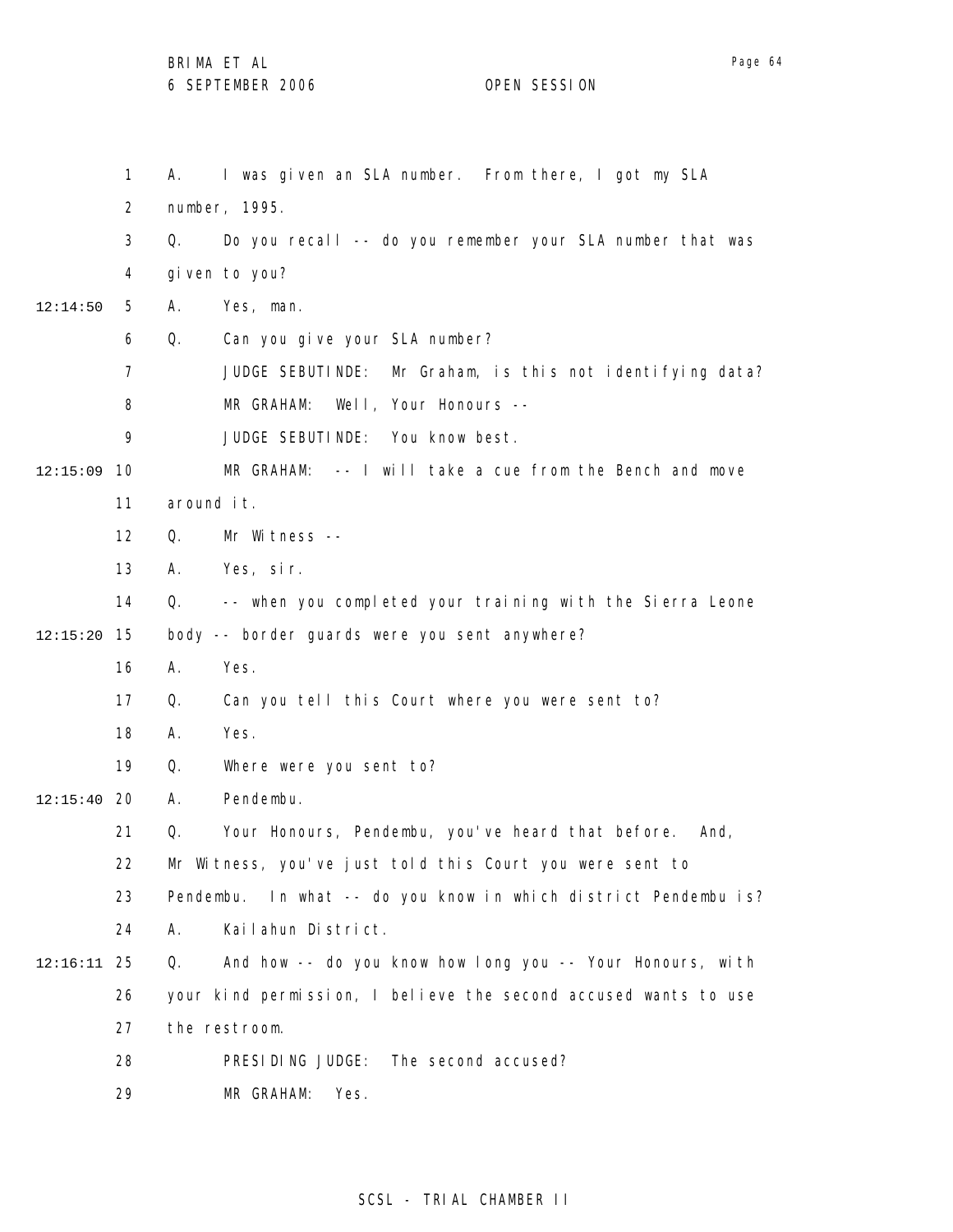|          | 1              | I was given an SLA number. From there, I got my SLA<br>А.          |
|----------|----------------|--------------------------------------------------------------------|
|          | $\overline{2}$ | number, 1995.                                                      |
|          | 3              | Do you recall -- do you remember your SLA number that was<br>Q.    |
|          | 4              | given to you?                                                      |
| 12:14:50 | 5              | Yes, man.<br>Α.                                                    |
|          | 6              | Q.<br>Can you give your SLA number?                                |
|          | $\overline{7}$ | JUDGE SEBUTINDE: Mr Graham, is this not identifying data?          |
|          | 8              | MR GRAHAM: Well, Your Honours --                                   |
|          | 9              | JUDGE SEBUTINDE: You know best.                                    |
| 12:15:09 | 10             | MR GRAHAM: -- I will take a cue from the Bench and move            |
|          | 11             | around it.                                                         |
|          | 12             | Mr Witness --<br>Q.                                                |
|          | 13             | Yes, sir.<br>А.                                                    |
|          | 14             | -- when you completed your training with the Sierra Leone<br>Q.    |
| 12:15:20 | 15             | body -- border guards were you sent anywhere?                      |
|          | 16             | Yes.<br>А.                                                         |
|          | 17             | Q.<br>Can you tell this Court where you were sent to?              |
|          | 18             | Yes.<br>А.                                                         |
|          | 19             | Where were you sent to?<br>Q.                                      |
| 12:15:40 | 20             | Pendembu.<br>А.                                                    |
|          | 21             | Your Honours, Pendembu, you've heard that before.<br>Q.<br>And,    |
|          | 22             | Mr Witness, you've just told this Court you were sent to           |
|          | 23             | In what -- do you know in which district Pendembu is?<br>Pendembu. |
|          | 24             | Kailahun District.<br>А.                                           |
| 12:16:11 | 25             | And how -- do you know how long you -- Your Honours, with<br>Q.    |
|          | 26             | your kind permission, I believe the second accused wants to use    |
|          | 27             | the restroom.                                                      |
|          | 28             | PRESIDING JUDGE:<br>The second accused?                            |
|          | 29             | MR GRAHAM:<br>Yes.                                                 |

# SCSL - TRIAL CHAMBER II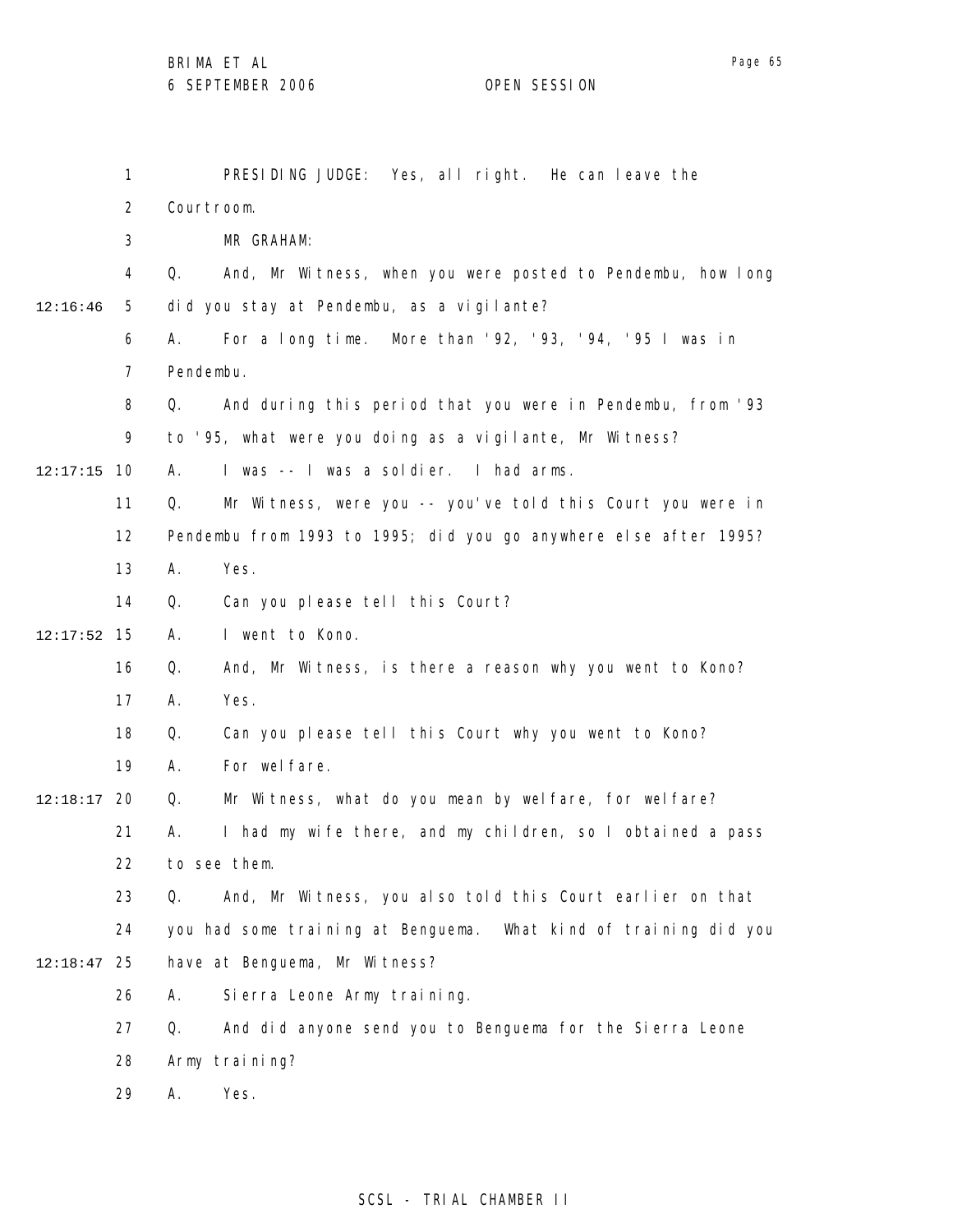|          | $\mathbf{1}$   | PRESIDING JUDGE: Yes, all right. He can leave the                 |
|----------|----------------|-------------------------------------------------------------------|
|          | $\overline{2}$ | Courtroom.                                                        |
|          | 3              | MR GRAHAM:                                                        |
|          | 4              | And, Mr Witness, when you were posted to Pendembu, how long<br>Q. |
| 12:16:46 | 5              | did you stay at Pendembu, as a vigilante?                         |
|          | 6              | For a long time. More than '92, '93, '94, '95 I was in<br>А.      |
|          | $\overline{7}$ | Pendembu.                                                         |
|          | 8              | And during this period that you were in Pendembu, from '93<br>Q.  |
|          | 9              | to '95, what were you doing as a vigilante, Mr Witness?           |
| 12:17:15 | 10             | I was -- I was a soldier. I had arms.<br>А.                       |
|          | 11             | Mr Witness, were you -- you've told this Court you were in<br>Q.  |
|          | 12             | Pendembu from 1993 to 1995; did you go anywhere else after 1995?  |
|          | 13             | Yes.<br>А.                                                        |
|          | 14             | Q.<br>Can you please tell this Court?                             |
| 12:17:52 | 15             | I went to Kono.<br>А.                                             |
|          | 16             | And, Mr Witness, is there a reason why you went to Kono?<br>Q.    |
|          | 17             | Yes.<br>А.                                                        |
|          | 18             | Q.<br>Can you please tell this Court why you went to Kono?        |
|          | 19             | For wel fare.<br>А.                                               |
| 12:18:17 | 20             | Mr Witness, what do you mean by welfare, for welfare?<br>Q.       |
|          | 21             | I had my wife there, and my children, so I obtained a pass<br>Α.  |
|          | 22             | to see them.                                                      |
|          | 23             | And, Mr Witness, you also told this Court earlier on that<br>Q.   |
|          | 24             | you had some training at Benguema. What kind of training did you  |
| 12:18:47 | 25             | have at Benguema, Mr Witness?                                     |
|          | 26             | Si erra Leone Army training.<br>А.                                |
|          | 27             | And did anyone send you to Benguema for the Sierra Leone<br>Q.    |
|          | 28             | Army training?                                                    |
|          | 29             | Yes.<br>Α.                                                        |
|          |                |                                                                   |

## SCSL - TRIAL CHAMBER II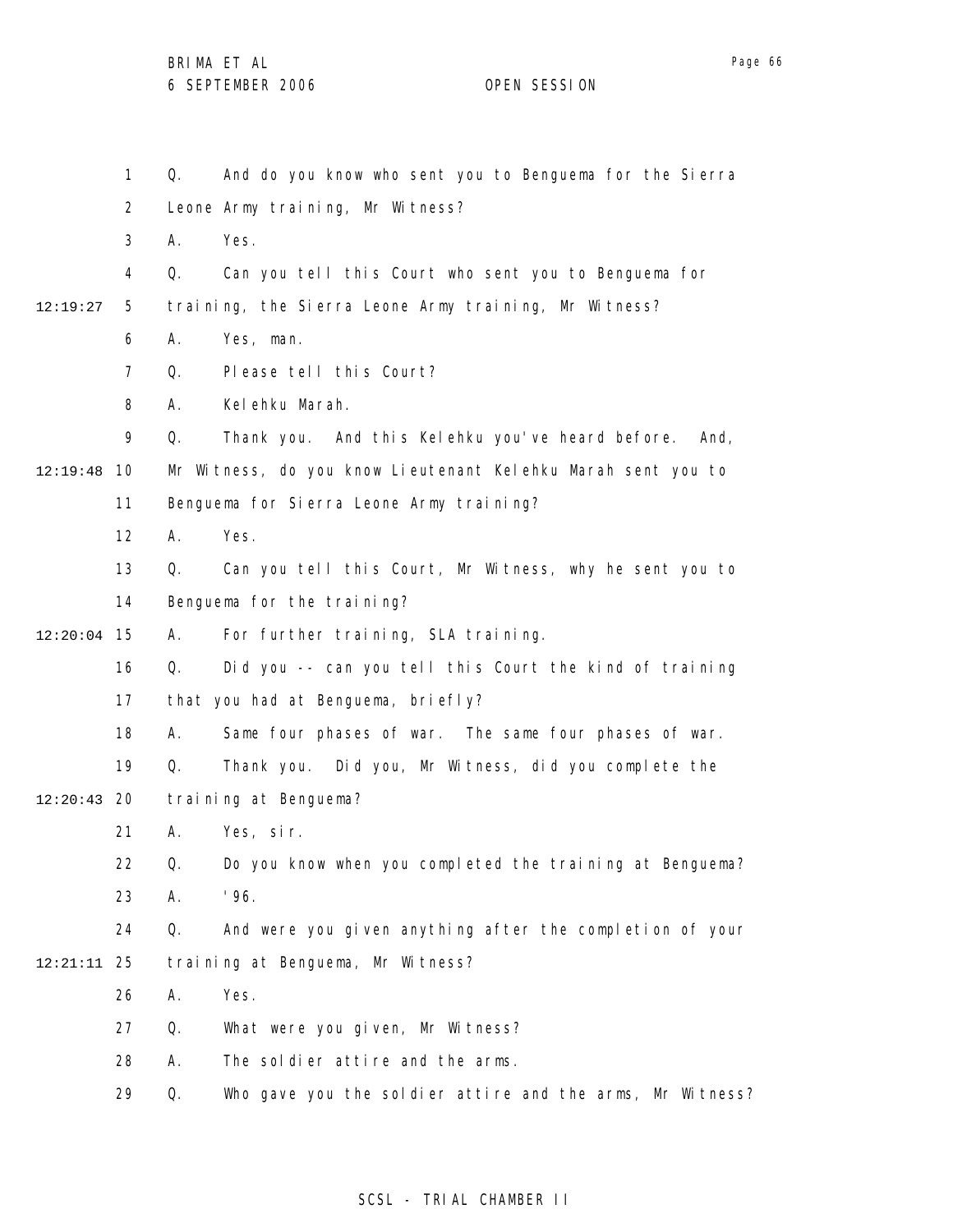1 2 3 4 5 6 7 8 9 10 12:19:48 11 12 13 14 15 12:20:04 16 17 18 19 20 12:20:43 21 22 23 24 25 12:21:11 26 27 28 29 12:19:27 Q. And do you know who sent you to Benguema for the Sierra Leone Army training, Mr Witness? A. Yes. Q. Can you tell this Court who sent you to Benguema for training, the Sierra Leone Army training, Mr Witness? A. Yes, man. Q. Please tell this Court? A. Kelehku Marah. Q. Thank you. And this Kelehku you've heard before. And, Mr Witness, do you know Lieutenant Kelehku Marah sent you to Benguema for Sierra Leone Army training? A. Yes. Q. Can you tell this Court, Mr Witness, why he sent you to Benguema for the training? A. For further training, SLA training. Q. Did you -- can you tell this Court the kind of training that you had at Benguema, briefly? A. Same four phases of war. The same four phases of war. Q. Thank you. Did you, Mr Witness, did you complete the training at Benguema? A. Yes, sir. Q. Do you know when you completed the training at Benguema? A. '96. Q. And were you given anything after the completion of your training at Benguema, Mr Witness? A. Yes. Q. What were you given, Mr Witness? A. The soldier attire and the arms. Q. Who gave you the soldier attire and the arms, Mr Witness?

### SCSL - TRIAL CHAMBER II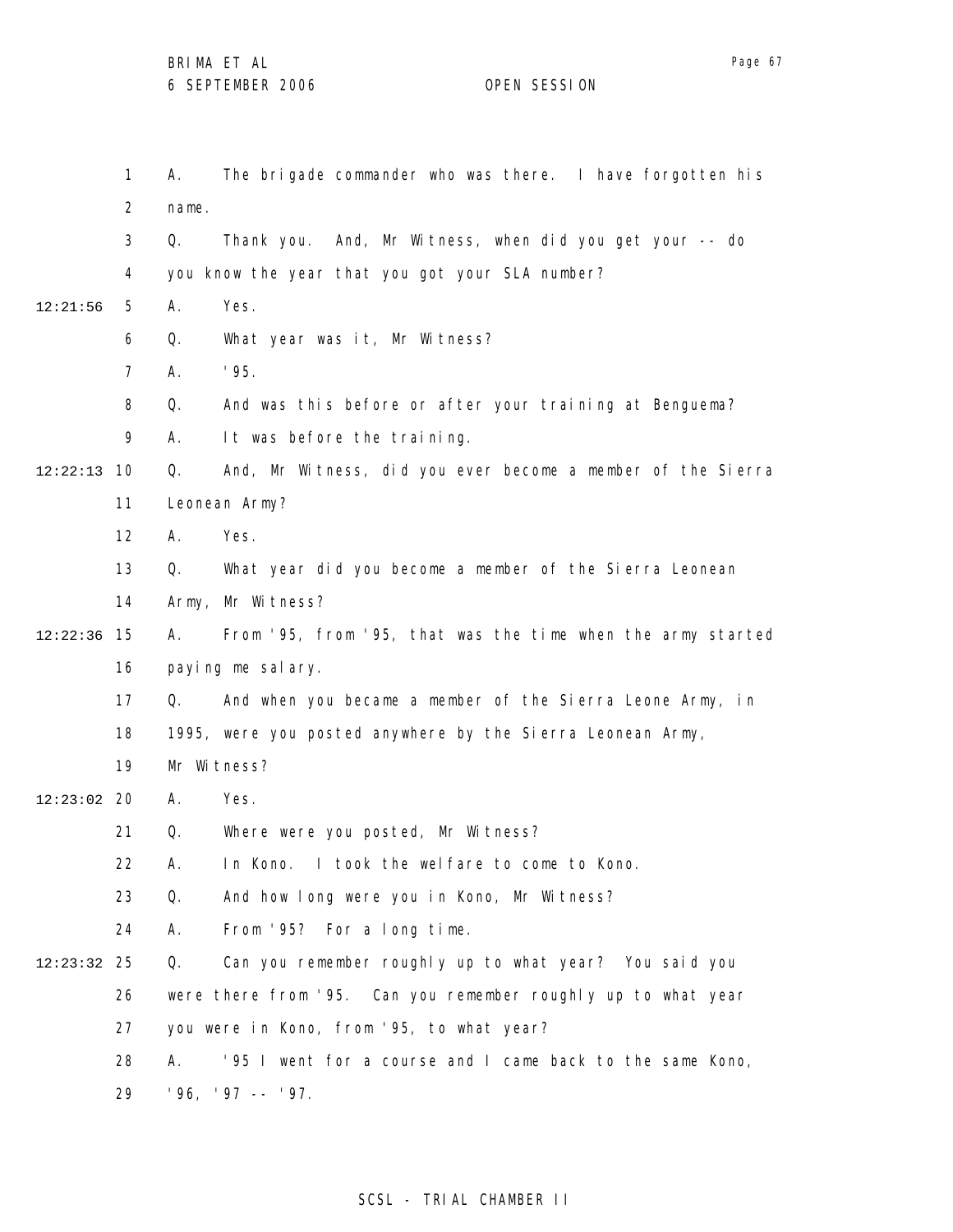1 2 3 4 5 6 7 8 9 10 12:22:13 11 12 13 14 15 12:22:36 16 17 18 19 12:23:02 20 21 22 23 24 25 12:23:32 26 27 28 29 12:21:56 A. The brigade commander who was there. I have forgotten his name. Q. Thank you. And, Mr Witness, when did you get your -- do you know the year that you got your SLA number? A. Yes. Q. What year was it, Mr Witness? A. '95. Q. And was this before or after your training at Benguema? A. It was before the training. Q. And, Mr Witness, did you ever become a member of the Sierra Leonean Army? A. Yes. Q. What year did you become a member of the Sierra Leonean Army, Mr Witness? A. From '95, from '95, that was the time when the army started paying me salary. Q. And when you became a member of the Sierra Leone Army, in 1995, were you posted anywhere by the Sierra Leonean Army, Mr Witness? A. Yes. Q. Where were you posted, Mr Witness? A. In Kono. I took the welfare to come to Kono. Q. And how long were you in Kono, Mr Witness? A. From '95? For a long time. Q. Can you remember roughly up to what year? You said you were there from '95. Can you remember roughly up to what year you were in Kono, from '95, to what year? A. '95 I went for a course and I came back to the same Kono, '96, '97 -- '97.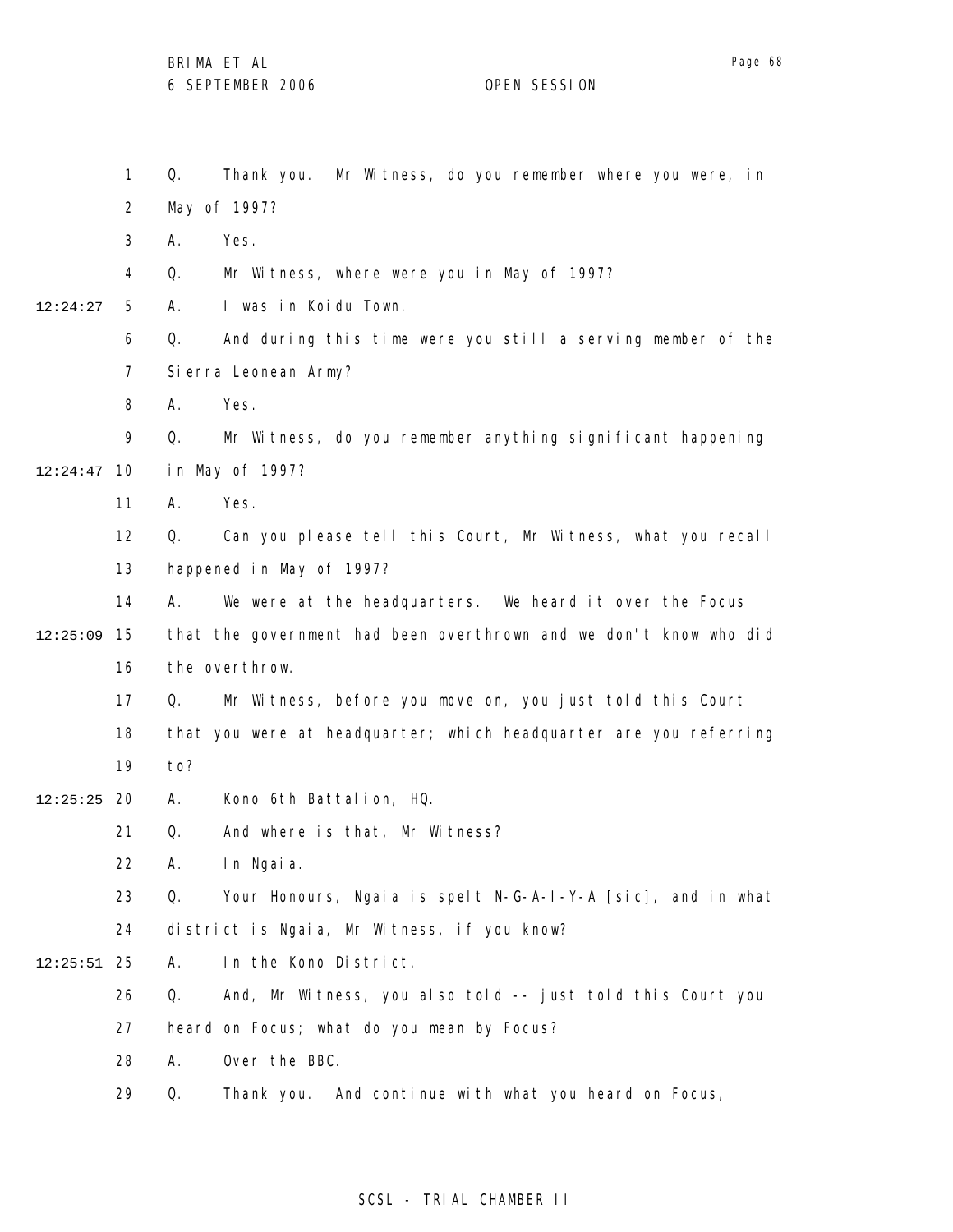|          | $\mathbf{1}$   | Mr Witness, do you remember where you were, in<br>Q.<br>Thank you. |  |
|----------|----------------|--------------------------------------------------------------------|--|
|          | $\overline{2}$ | May of 1997?                                                       |  |
|          | 3              | Yes.<br>А.                                                         |  |
|          | 4              | Mr Witness, where were you in May of 1997?<br>Q.                   |  |
| 12:24:27 | 5              | I was in Koidu Town.<br>А.                                         |  |
|          | 6              | And during this time were you still a serving member of the<br>Q.  |  |
|          | $\overline{7}$ | Si erra Leonean Army?                                              |  |
|          | 8              | Yes.<br>А.                                                         |  |
|          | 9              | Q.<br>Mr Witness, do you remember anything significant happening   |  |
| 12:24:47 | - 10           | in May of 1997?                                                    |  |
|          | 11             | Yes.<br>А.                                                         |  |
|          | 12             | Can you please tell this Court, Mr Witness, what you recall<br>Q.  |  |
|          | 13             | happened in May of 1997?                                           |  |
|          | 14             | We were at the headquarters. We heard it over the Focus<br>А.      |  |
| 12:25:09 | 15             | that the government had been overthrown and we don't know who did  |  |
|          | 16             | the overthrow.                                                     |  |
|          | 17             | Mr Witness, before you move on, you just told this Court<br>Q.     |  |
|          | 18             | that you were at headquarter; which headquarter are you referring  |  |
|          | 19             | to?                                                                |  |
| 12:25:25 | 20             | Kono 6th Battalion, HQ.<br>А.                                      |  |
|          | 21             | And where is that, Mr Witness?<br>Q.                               |  |
|          | 22             | In Ngaia.<br>A.                                                    |  |
|          | 23             | Your Honours, Ngaia is spelt N-G-A-I-Y-A [sic], and in what<br>Q.  |  |
|          | 24             | district is Ngaia, Mr Witness, if you know?                        |  |
| 12:25:51 | 25             | In the Kono District.<br>А.                                        |  |
|          | 26             | And, Mr Witness, you also told -- just told this Court you<br>Q.   |  |
|          | 27             | heard on Focus; what do you mean by Focus?                         |  |
|          | 28             | Over the BBC.<br>А.                                                |  |
|          | 29             | Q.<br>Thank you. And continue with what you heard on Focus,        |  |
|          |                |                                                                    |  |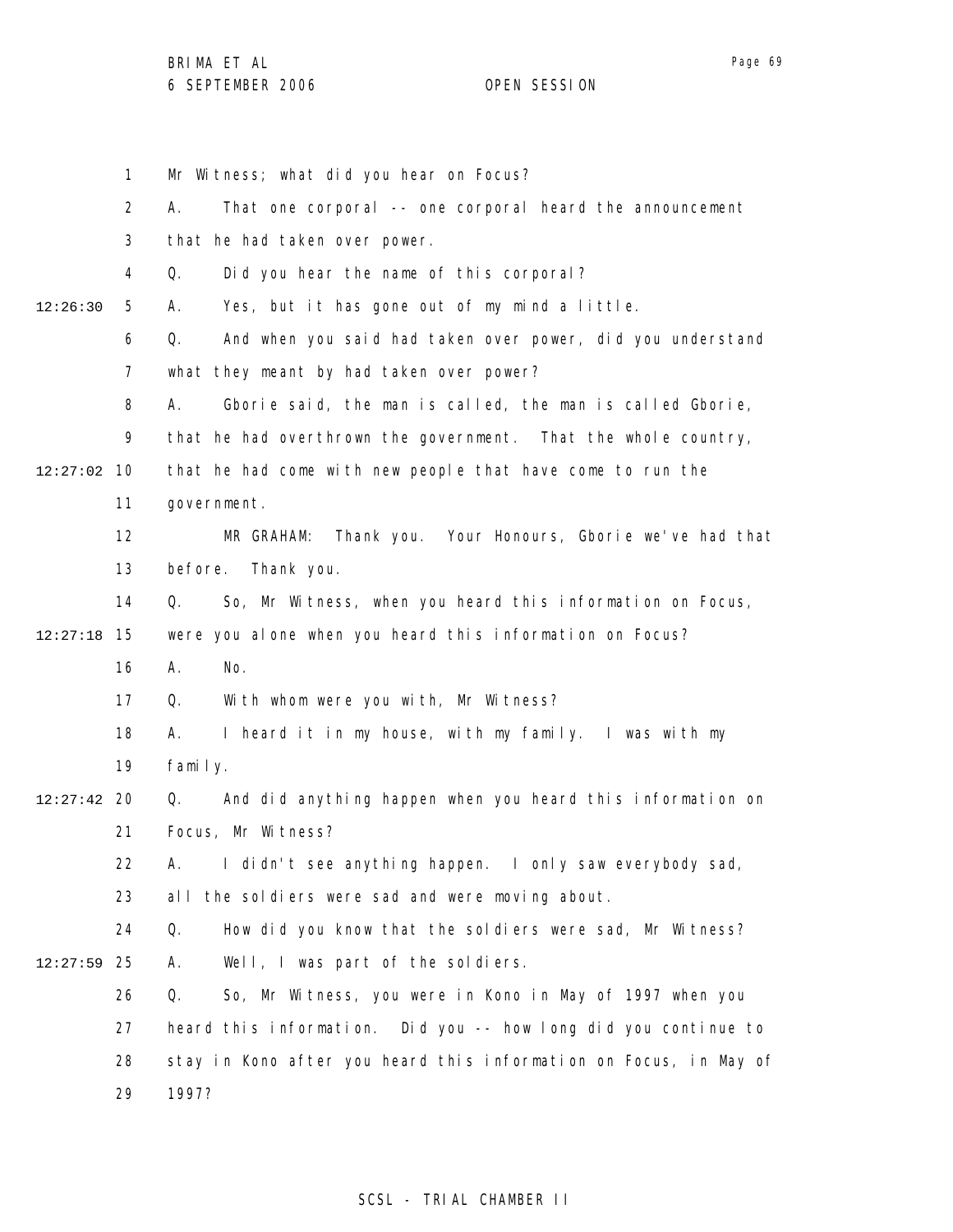|          | $\mathbf 1$    | Mr Witness; what did you hear on Focus?                           |
|----------|----------------|-------------------------------------------------------------------|
|          | $\overline{2}$ | That one corporal -- one corporal heard the announcement<br>А.    |
|          | 3              | that he had taken over power.                                     |
|          | 4              | Q.<br>Did you hear the name of this corporal?                     |
| 12:26:30 | 5              | Yes, but it has gone out of my mind a little.<br>А.               |
|          | 6              | And when you said had taken over power, did you understand<br>Q.  |
|          | 7              | what they meant by had taken over power?                          |
|          | 8              | Α.<br>Gborie said, the man is called, the man is called Gborie,   |
|          | 9              | that he had overthrown the government. That the whole country,    |
| 12:27:02 | 10             | that he had come with new people that have come to run the        |
|          | 11             | government.                                                       |
|          | 12             | Thank you. Your Honours, Gborie we've had that<br>MR GRAHAM:      |
|          | 13             | before.<br>Thank you.                                             |
|          | 14             | So, Mr Witness, when you heard this information on Focus,<br>Q.   |
| 12:27:18 | 15             | were you alone when you heard this information on Focus?          |
|          | 16             | Α.<br>No.                                                         |
|          | 17             | With whom were you with, Mr Witness?<br>Q.                        |
|          | 18             | I heard it in my house, with my family. I was with my<br>А.       |
|          | 19             | family.                                                           |
| 12:27:42 | 20             | And did anything happen when you heard this information on<br>Q.  |
|          | 21             | Focus, Mr Witness?                                                |
|          | 22             | А.<br>I didn't see anything happen. I only saw everybody sad,     |
|          | 23             | the soldiers were sad and were moving about.<br>al I              |
|          | 24             | How did you know that the soldiers were sad, Mr Witness?<br>Q.    |
| 12:27:59 | 25             | Well, I was part of the soldiers.<br>Α.                           |
|          | 26             | So, Mr Witness, you were in Kono in May of 1997 when you<br>Q.    |
|          | 27             | heard this information. Did you -- how long did you continue to   |
|          | 28             | stay in Kono after you heard this information on Focus, in May of |
|          | 29             | 1997?                                                             |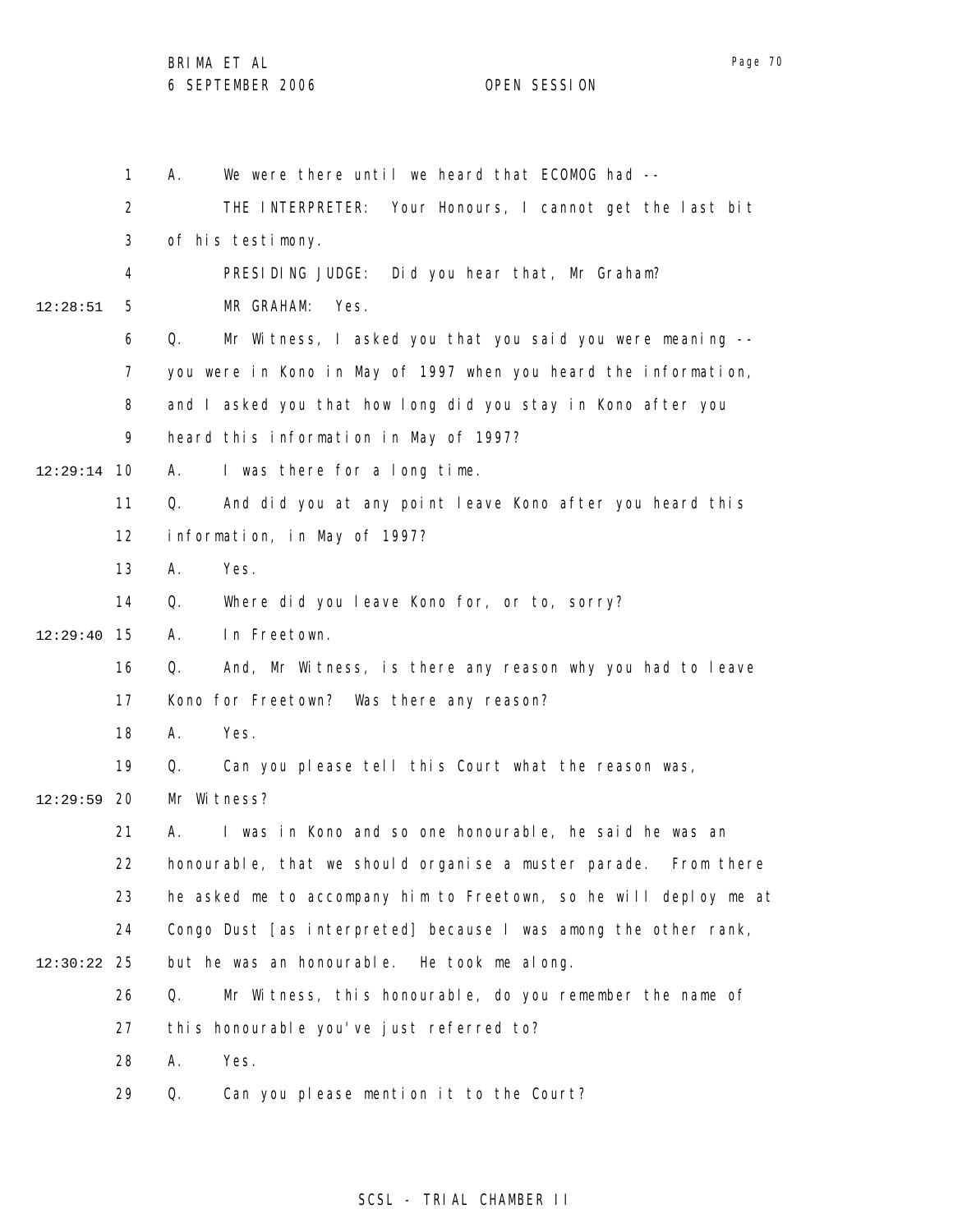1 2 3 4 5 6 7 8 9 10 12:29:14 11 12 13 14 15 12:29:40 16 17 18 19 12:29:59 20 21 22 23 24 25 12:30:22 26 27 28 29 12:28:51 A. We were there until we heard that ECOMOG had -- THE INTERPRETER: Your Honours, I cannot get the last bit of his testimony. PRESIDING JUDGE: Did you hear that, Mr Graham? MR GRAHAM: Yes. Q. Mr Witness, I asked you that you said you were meaning - you were in Kono in May of 1997 when you heard the information, and I asked you that how long did you stay in Kono after you heard this information in May of 1997? A. I was there for a long time. Q. And did you at any point leave Kono after you heard this information, in May of 1997? A. Yes. Q. Where did you leave Kono for, or to, sorry? A. In Freetown. Q. And, Mr Witness, is there any reason why you had to leave Kono for Freetown? Was there any reason? A. Yes. Q. Can you please tell this Court what the reason was, Mr Witness? A. I was in Kono and so one honourable, he said he was an honourable, that we should organise a muster parade. From there he asked me to accompany him to Freetown, so he will deploy me at Congo Dust [as interpreted] because I was among the other rank, but he was an honourable. He took me along. Q. Mr Witness, this honourable, do you remember the name of this honourable you've just referred to? A. Yes. Q. Can you please mention it to the Court?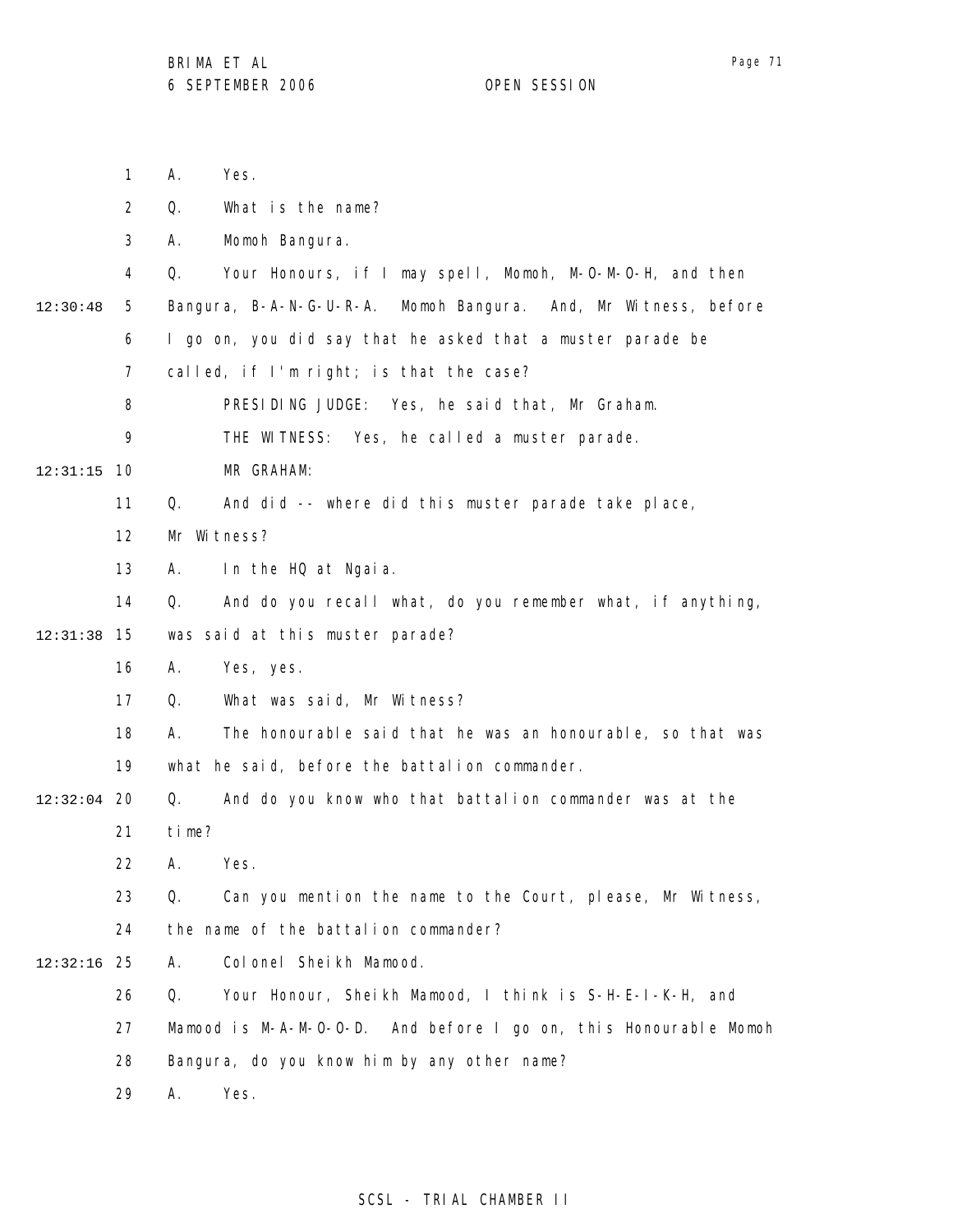1 2 3 4 5 6 7 8 9 10 12:31:15 11 12 13 14 15 12:31:38 16 17 18 19 12:32:04 20 21 22 23 24 25 12:32:16 26 27 28 29 12:30:48 A. Yes. Q. What is the name? A. Momoh Bangura. Q. Your Honours, if I may spell, Momoh, M-O-M-O-H, and then Bangura, B-A-N-G-U-R-A. Momoh Bangura. And, Mr Witness, before I go on, you did say that he asked that a muster parade be called, if I'm right; is that the case? PRESIDING JUDGE: Yes, he said that, Mr Graham. THE WITNESS: Yes, he called a muster parade. MR GRAHAM: Q. And did -- where did this muster parade take place, Mr Witness? A. In the HQ at Ngaia. Q. And do you recall what, do you remember what, if anything, was said at this muster parade? A. Yes, yes. Q. What was said, Mr Witness? A. The honourable said that he was an honourable, so that was what he said, before the battalion commander. Q. And do you know who that battalion commander was at the time? A. Yes. Q. Can you mention the name to the Court, please, Mr Witness, the name of the battalion commander? A. Colonel Sheikh Mamood. Q. Your Honour, Sheikh Mamood, I think is S-H-E-I-K-H, and Mamood is M-A-M-O-O-D. And before I go on, this Honourable Momoh Bangura, do you know him by any other name? A. Yes.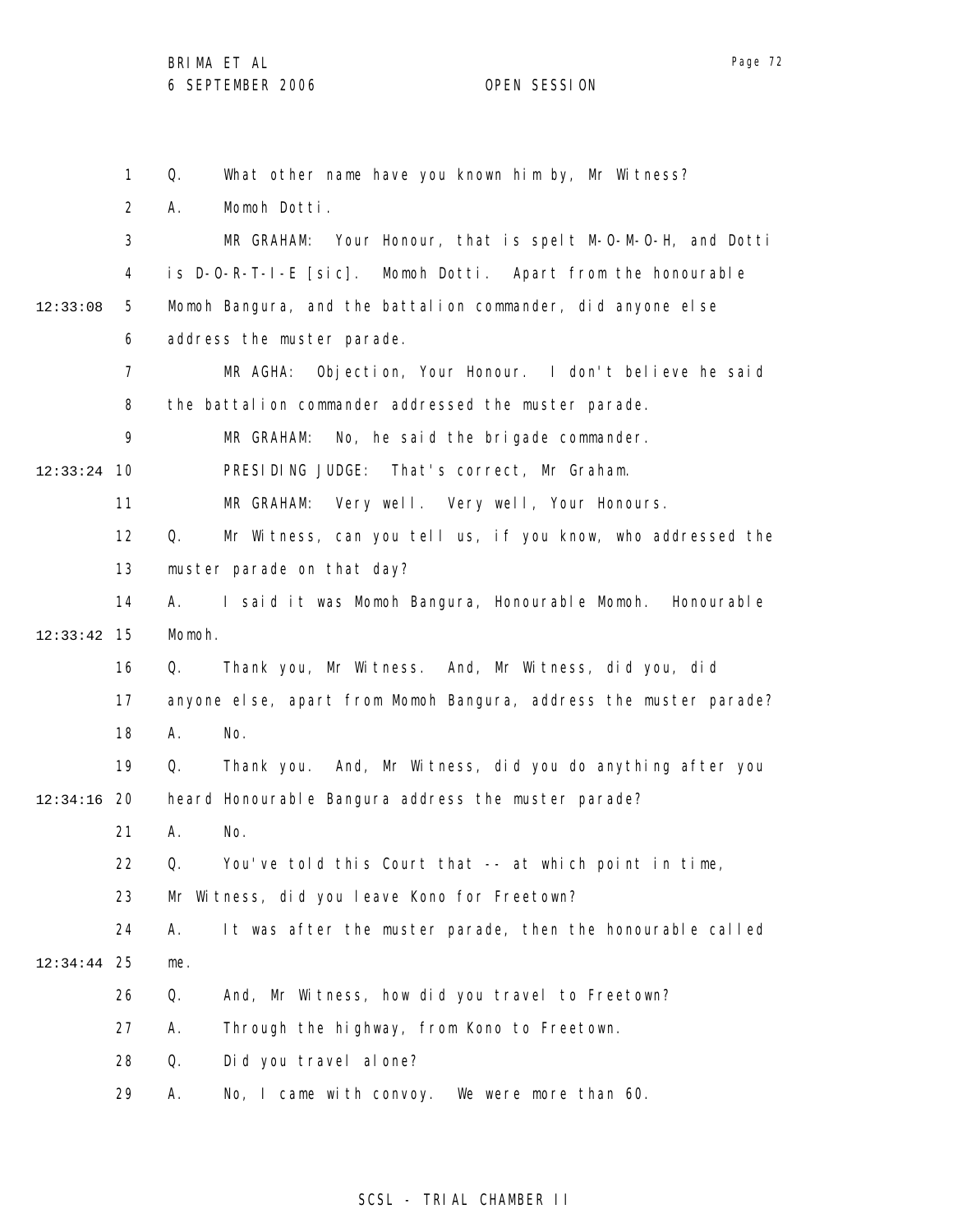Page 72

1 2 3 4 5 6 7 8 9 10 12:33:24 11 12 13 14 15 12:33:42 16 17 18 19 12:34:16 20 21 22 23 24 25 12:34:44 26 27 28 29 12:33:08 Q. What other name have you known him by, Mr Witness? A. Momoh Dotti. MR GRAHAM: Your Honour, that is spelt M-O-M-O-H, and Dotti is D-O-R-T-I-E [sic]. Momoh Dotti. Apart from the honourable Momoh Bangura, and the battalion commander, did anyone else address the muster parade. MR AGHA: Objection, Your Honour. I don't believe he said the battalion commander addressed the muster parade. MR GRAHAM: No, he said the brigade commander. PRESIDING JUDGE: That's correct, Mr Graham. MR GRAHAM: Very well. Very well, Your Honours. Q. Mr Witness, can you tell us, if you know, who addressed the muster parade on that day? A. I said it was Momoh Bangura, Honourable Momoh. Honourable Momoh. Q. Thank you, Mr Witness. And, Mr Witness, did you, did anyone else, apart from Momoh Bangura, address the muster parade? A. No. Q. Thank you. And, Mr Witness, did you do anything after you heard Honourable Bangura address the muster parade? A. No. Q. You've told this Court that -- at which point in time, Mr Witness, did you leave Kono for Freetown? A. It was after the muster parade, then the honourable called me. Q. And, Mr Witness, how did you travel to Freetown? A. Through the highway, from Kono to Freetown. Q. Did you travel alone? A. No, I came with convoy. We were more than 60.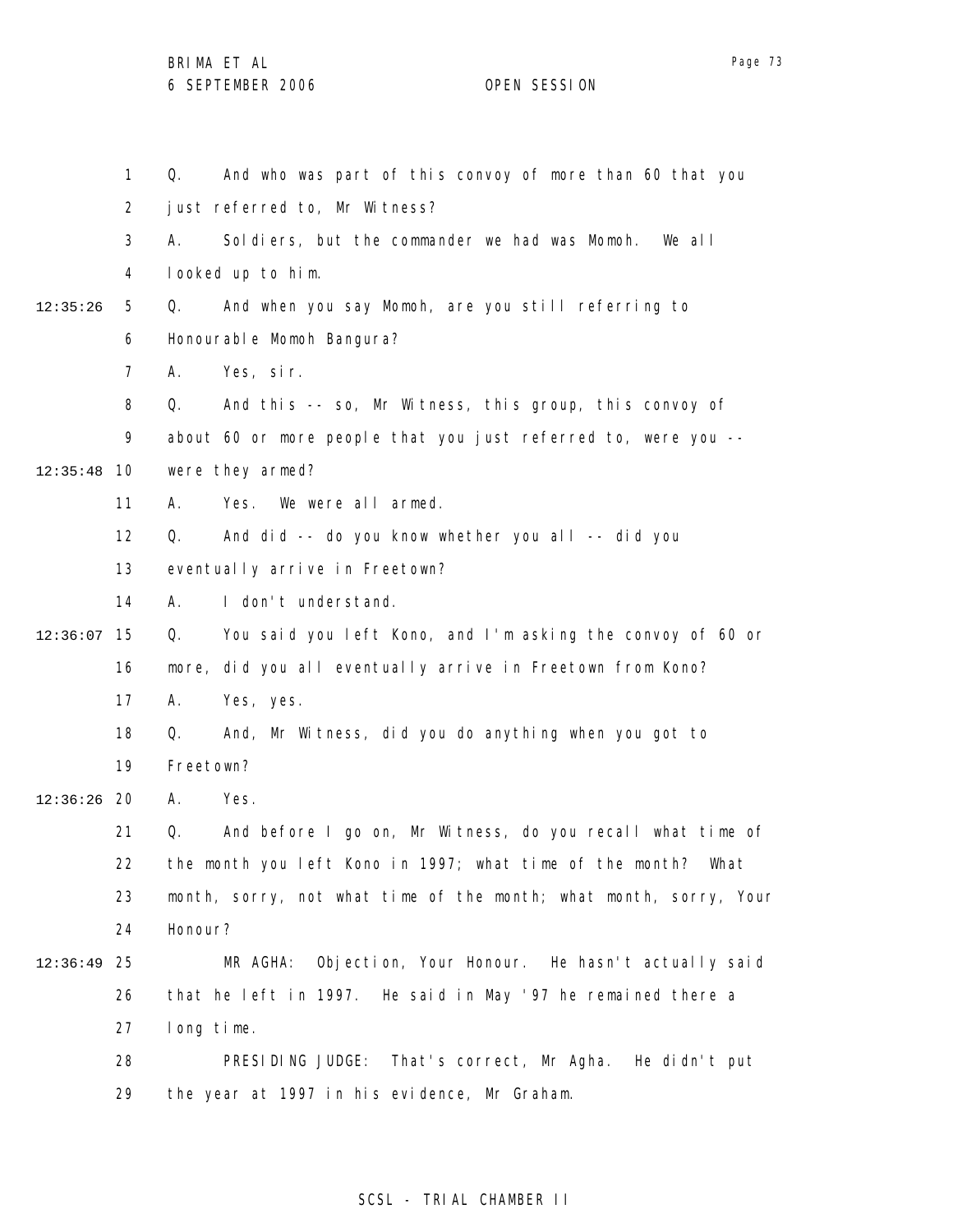1 2 3 4 5 6 7 8 9 10 12:35:48 11 12 13 14 15 12:36:07 16 17 18 19 20 12:36:26 21 22 23 24 25 12:36:49 26 27 28 29 12:35:26 Q. And who was part of this convoy of more than 60 that you just referred to, Mr Witness? A. Soldiers, but the commander we had was Momoh. We all looked up to him. Q. And when you say Momoh, are you still referring to Honourable Momoh Bangura? A. Yes, sir. Q. And this -- so, Mr Witness, this group, this convoy of about 60 or more people that you just referred to, were you - were they armed? A. Yes. We were all armed. Q. And did -- do you know whether you all -- did you eventually arrive in Freetown? A. I don't understand. Q. You said you left Kono, and I'm asking the convoy of 60 or more, did you all eventually arrive in Freetown from Kono? A. Yes, yes. Q. And, Mr Witness, did you do anything when you got to Freetown? A. Yes. Q. And before I go on, Mr Witness, do you recall what time of the month you left Kono in 1997; what time of the month? What month, sorry, not what time of the month; what month, sorry, Your Honour? MR AGHA: Objection, Your Honour. He hasn't actually said that he left in 1997. He said in May '97 he remained there a long time. PRESIDING JUDGE: That's correct, Mr Agha. He didn't put the year at 1997 in his evidence, Mr Graham.

### SCSL - TRIAL CHAMBER II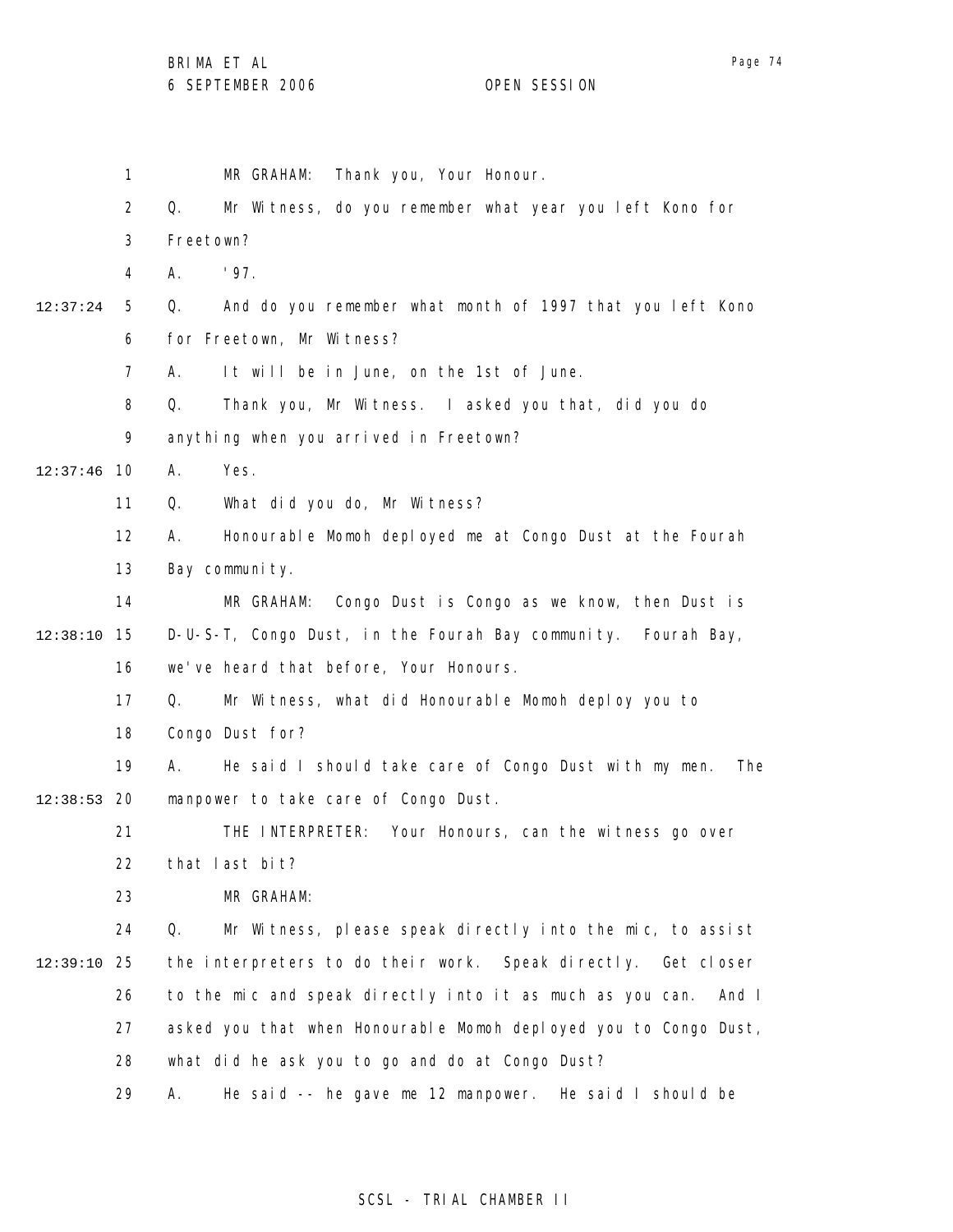BRIMA ET AL

6 SEPTEMBER 2006 OPEN SESSION

1 2 3 4 5 6 7 8 9 12:37:46 10 11 12 13 14 15 12:38:10 16 17 18 19 12:38:53 20 21 22 23 24 25 12:39:10 26 27 28 29 12:37:24 MR GRAHAM: Thank you, Your Honour. Q. Mr Witness, do you remember what year you left Kono for Freetown? A. '97. Q. And do you remember what month of 1997 that you left Kono for Freetown, Mr Witness? A. It will be in June, on the 1st of June. Q. Thank you, Mr Witness. I asked you that, did you do anything when you arrived in Freetown? A. Yes. Q. What did you do, Mr Witness? A. Honourable Momoh deployed me at Congo Dust at the Fourah Bay community. MR GRAHAM: Congo Dust is Congo as we know, then Dust is D-U-S-T, Congo Dust, in the Fourah Bay community. Fourah Bay, we've heard that before, Your Honours. Q. Mr Witness, what did Honourable Momoh deploy you to Congo Dust for? A. He said I should take care of Congo Dust with my men. The manpower to take care of Congo Dust. THE INTERPRETER: Your Honours, can the witness go over that last bit? MR GRAHAM: Q. Mr Witness, please speak directly into the mic, to assist the interpreters to do their work. Speak directly. Get closer to the mic and speak directly into it as much as you can. And I asked you that when Honourable Momoh deployed you to Congo Dust, what did he ask you to go and do at Congo Dust? A. He said -- he gave me 12 manpower. He said I should be

### SCSL - TRIAL CHAMBER II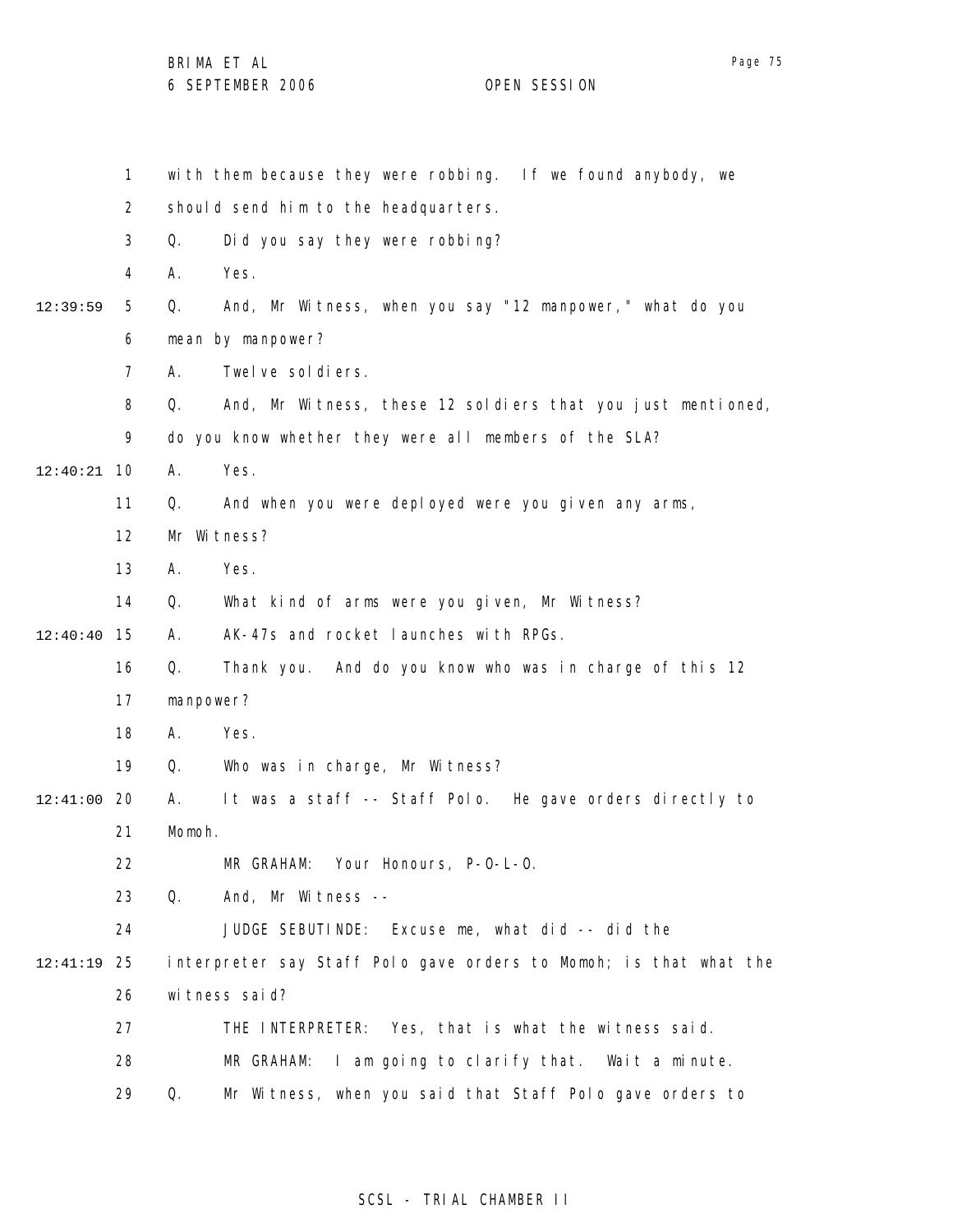|                | $\mathbf{1}$               |                                                       | with them because they were robbing. If we found anybody, we      |  |
|----------------|----------------------------|-------------------------------------------------------|-------------------------------------------------------------------|--|
|                | 2                          | should send him to the headquarters.                  |                                                                   |  |
|                | 3                          | Q.                                                    | Did you say they were robbing?                                    |  |
|                | 4                          | А.                                                    | Yes.                                                              |  |
| 12:39:59       | 5                          | Q.                                                    | And, Mr Witness, when you say "12 manpower," what do you          |  |
|                | 6                          | mean by manpower?                                     |                                                                   |  |
|                | 7                          | А.                                                    | Twelve soldiers.                                                  |  |
|                | 8                          | Q.                                                    | And, Mr Witness, these 12 soldiers that you just mentioned,       |  |
|                | 9                          | do you know whether they were all members of the SLA? |                                                                   |  |
| 12:40:21       | 10                         | А.                                                    | Yes.                                                              |  |
|                | 11                         | Q.                                                    | And when you were deployed were you given any arms,               |  |
|                | 12                         | Mr Witness?                                           |                                                                   |  |
|                | 13                         | Α.                                                    | Yes.                                                              |  |
|                | 14                         | Q.                                                    | What kind of arms were you given, Mr Witness?                     |  |
| 15<br>12:40:40 |                            | А.                                                    | AK-47s and rocket launches with RPGs.                             |  |
| Q.<br>16       |                            |                                                       | Thank you. And do you know who was in charge of this 12           |  |
|                | 17                         | manpower?                                             |                                                                   |  |
|                | 18                         | А.                                                    | Yes.                                                              |  |
|                | 19                         | Q.                                                    | Who was in charge, Mr Witness?                                    |  |
| 12:41:00       | 20                         | А.                                                    | It was a staff -- Staff Polo. He gave orders directly to          |  |
|                | Momoh.<br>21               |                                                       |                                                                   |  |
|                | 22                         |                                                       | MR GRAHAM: Your Honours, P-O-L-O.                                 |  |
|                | 23                         | Q.                                                    | And, Mr Witness --                                                |  |
|                | 24                         |                                                       | JUDGE SEBUTINDE: Excuse me, what did -- did the                   |  |
| 12:41:19       | 25<br>wi tness said?<br>26 |                                                       | interpreter say Staff Polo gave orders to Momoh; is that what the |  |
|                |                            |                                                       |                                                                   |  |
|                | 27                         |                                                       | THE INTERPRETER: Yes, that is what the witness said.              |  |
|                | 28                         |                                                       | I am going to clarify that. Wait a minute.<br>MR GRAHAM:          |  |
|                | 29                         | Q.                                                    | Mr Witness, when you said that Staff Polo gave orders to          |  |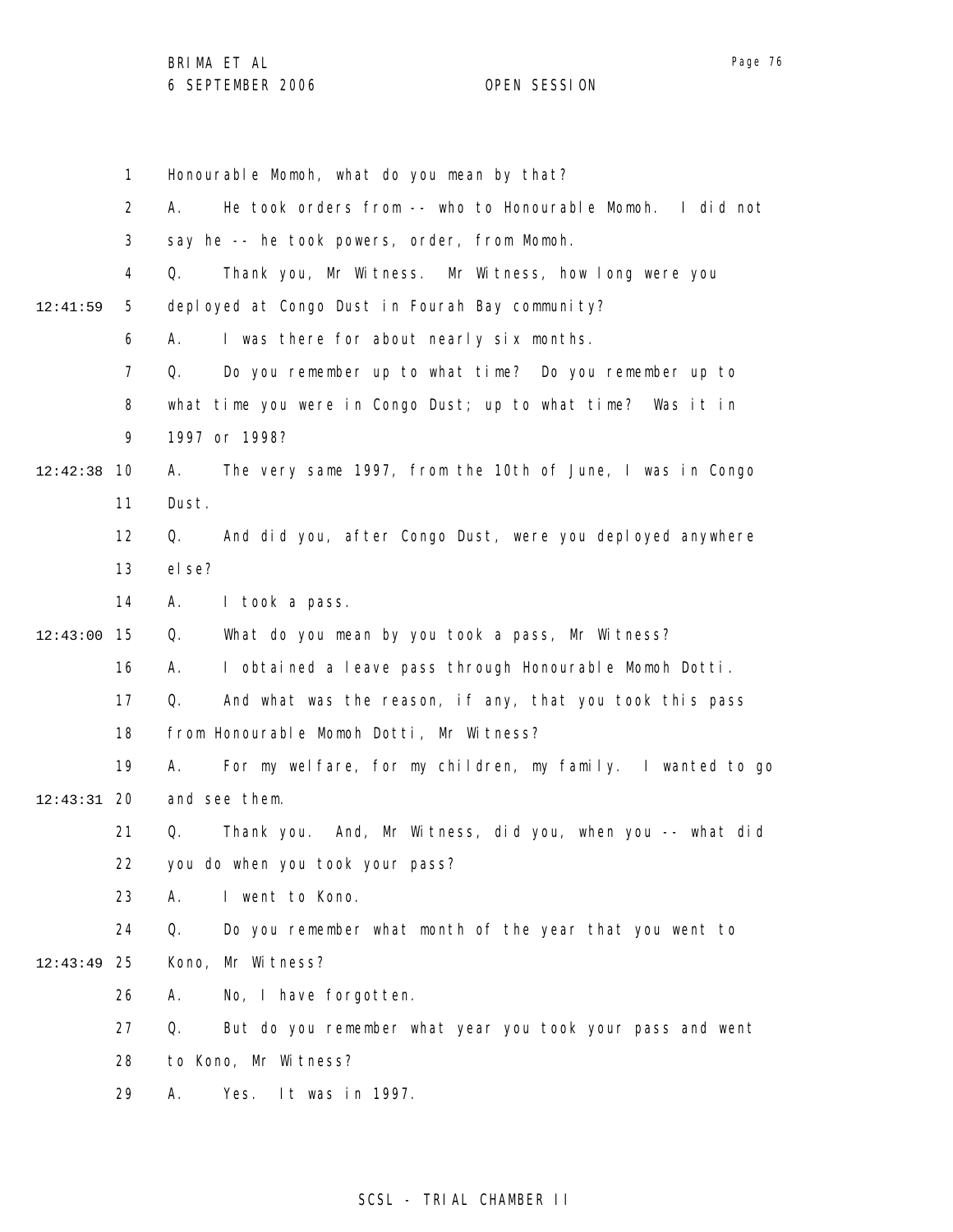1 2 3 4 5 6 7 8 9 10 12:42:38 11 12 13 14 15 12:43:00 16 17 18 19 20 12:43:31 21 22 23 24 25 12:43:49 26 27 28 29 12:41:59 Honourable Momoh, what do you mean by that? A. He took orders from -- who to Honourable Momoh. I did not say he -- he took powers, order, from Momoh. Q. Thank you, Mr Witness. Mr Witness, how long were you deployed at Congo Dust in Fourah Bay community? A. I was there for about nearly six months. Q. Do you remember up to what time? Do you remember up to what time you were in Congo Dust; up to what time? Was it in 1997 or 1998? A. The very same 1997, from the 10th of June, I was in Congo Dust. Q. And did you, after Congo Dust, were you deployed anywhere else? A. I took a pass. Q. What do you mean by you took a pass, Mr Witness? A. I obtained a leave pass through Honourable Momoh Dotti. Q. And what was the reason, if any, that you took this pass from Honourable Momoh Dotti, Mr Witness? A. For my welfare, for my children, my family. I wanted to go and see them. Q. Thank you. And, Mr Witness, did you, when you -- what did you do when you took your pass? A. I went to Kono. Q. Do you remember what month of the year that you went to Kono, Mr Witness? A. No, I have forgotten. Q. But do you remember what year you took your pass and went to Kono, Mr Witness? A. Yes. It was in 1997.

## SCSL - TRIAL CHAMBER II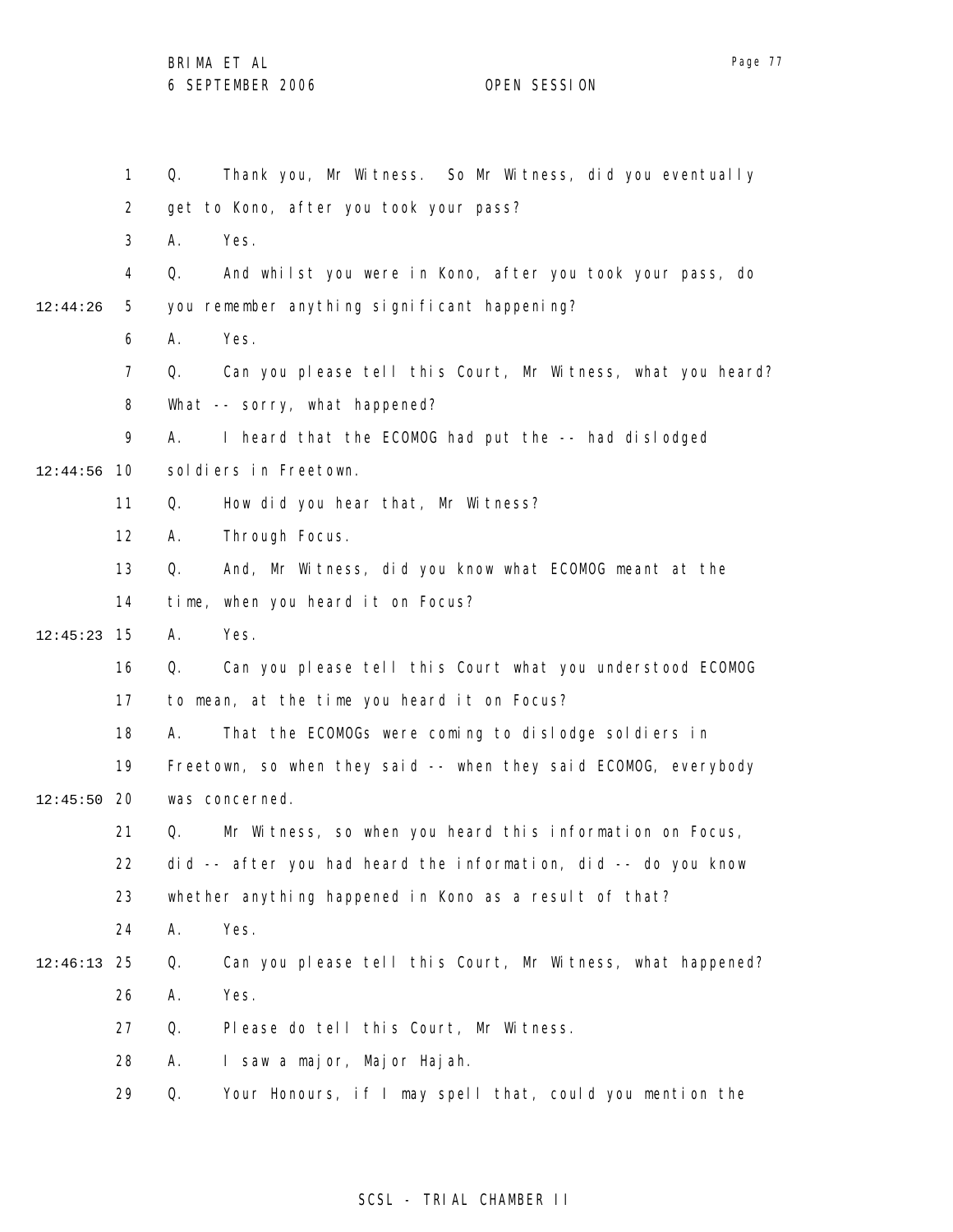1 2 3 4 5 6 7 8 9 10 12:44:56 11 12 13 14 15 12:45:23 16 17 18 19 12:45:50 20 21 22 23 24 25 12:46:13 26 27 28 29 12:44:26 Q. Thank you, Mr Witness. So Mr Witness, did you eventually get to Kono, after you took your pass? A. Yes. Q. And whilst you were in Kono, after you took your pass, do you remember anything significant happening? A. Yes. Q. Can you please tell this Court, Mr Witness, what you heard? What -- sorry, what happened? A. I heard that the ECOMOG had put the -- had dislodged soldiers in Freetown. Q. How did you hear that, Mr Witness? A. Through Focus. Q. And, Mr Witness, did you know what ECOMOG meant at the time, when you heard it on Focus? A. Yes. Q. Can you please tell this Court what you understood ECOMOG to mean, at the time you heard it on Focus? A. That the ECOMOGs were coming to dislodge soldiers in Freetown, so when they said -- when they said ECOMOG, everybody was concerned. Q. Mr Witness, so when you heard this information on Focus, did -- after you had heard the information, did -- do you know whether anything happened in Kono as a result of that? A. Yes. Q. Can you please tell this Court, Mr Witness, what happened? A. Yes. Q. Please do tell this Court, Mr Witness. A. I saw a major, Major Hajah. Q. Your Honours, if I may spell that, could you mention the

### SCSL - TRIAL CHAMBER II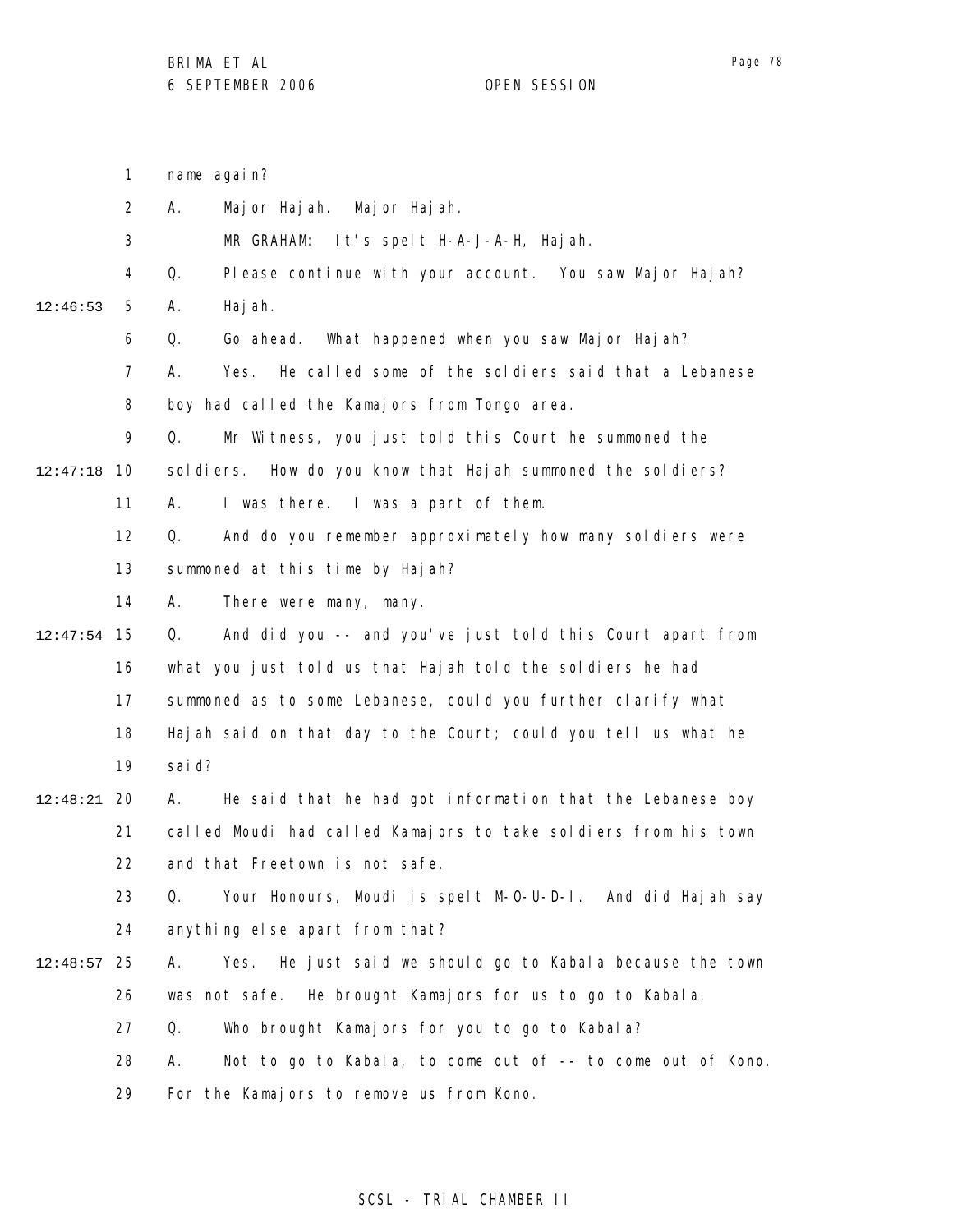1 2 3 4 5 6 7 8 9 10 12:47:18 11 12 13 14 15 12:47:54 16 17 18 19 20 12:48:21 21 22 23 24 25 12:48:57 26 27 28 29 12:46:53 name again? A. Major Hajah. Major Hajah. MR GRAHAM: It's spelt H-A-J-A-H, Hajah. Q. Please continue with your account. You saw Major Hajah? A. Hajah. Q. Go ahead. What happened when you saw Major Hajah? A. Yes. He called some of the soldiers said that a Lebanese boy had called the Kamajors from Tongo area. Q. Mr Witness, you just told this Court he summoned the sol diers. How do you know that Hajah summoned the sol diers? A. I was there. I was a part of them. Q. And do you remember approximately how many soldiers were summoned at this time by Hajah? A. There were many, many. Q. And did you -- and you've just told this Court apart from what you just told us that Hajah told the soldiers he had summoned as to some Lebanese, could you further clarify what Hajah said on that day to the Court; could you tell us what he said? A. He said that he had got information that the Lebanese boy called Moudi had called Kamajors to take soldiers from his town and that Freetown is not safe. Q. Your Honours, Moudi is spelt M-O-U-D-I. And did Hajah say anything else apart from that? A. Yes. He just said we should go to Kabala because the town was not safe. He brought Kamajors for us to go to Kabala. Q. Who brought Kamajors for you to go to Kabala? A. Not to go to Kabala, to come out of -- to come out of Kono. For the Kamajors to remove us from Kono.

### SCSL - TRIAL CHAMBER II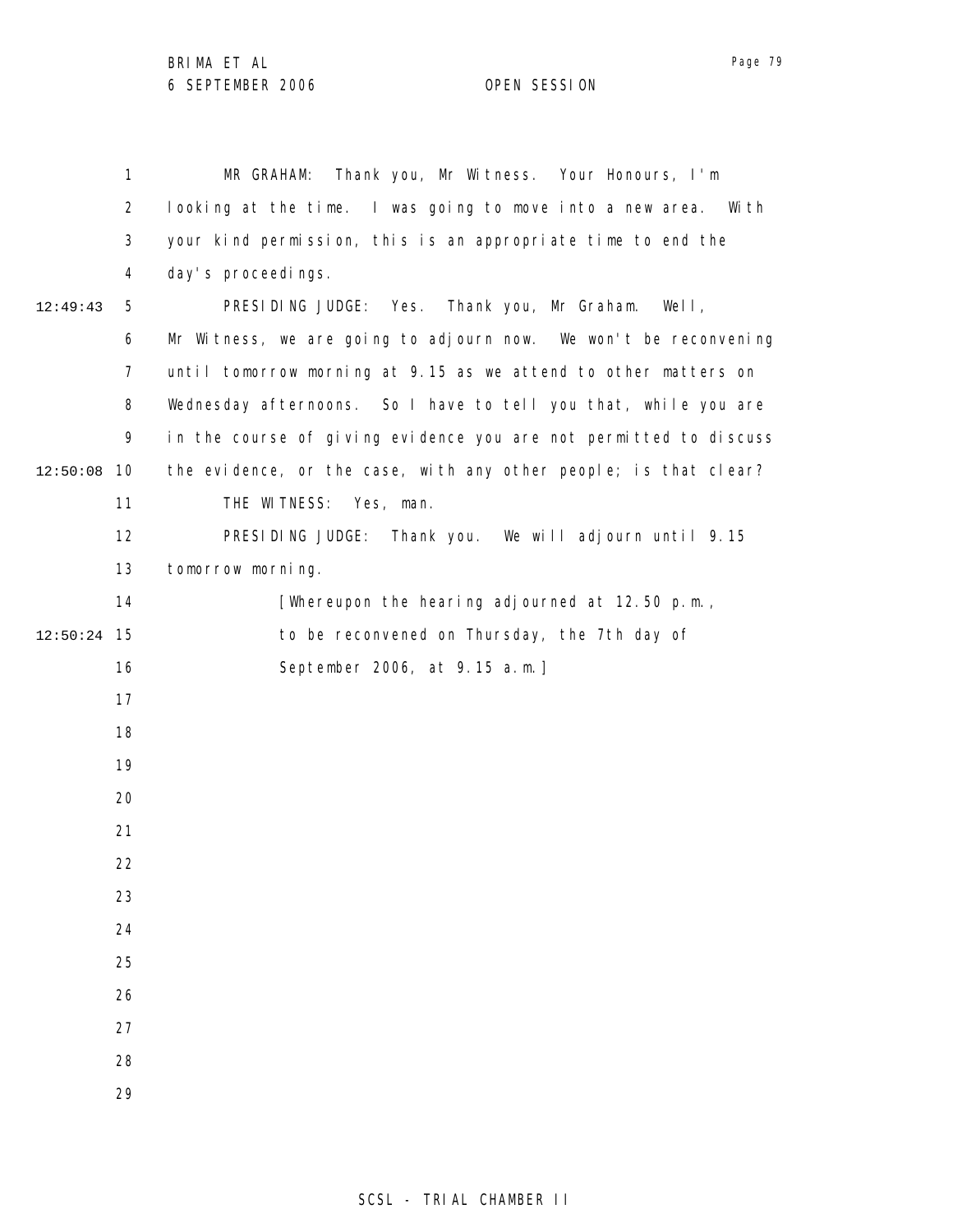|          | 1              | Thank you, Mr Witness. Your Honours, I'm<br>MR GRAHAM:             |
|----------|----------------|--------------------------------------------------------------------|
|          | 2              | looking at the time. I was going to move into a new area.<br>Wi th |
|          | 3              | your kind permission, this is an appropriate time to end the       |
|          | 4              | day's proceedings.                                                 |
| 12:49:43 | 5              | PRESIDING JUDGE: Yes. Thank you, Mr Graham.<br>Well,               |
|          | 6              | Mr Witness, we are going to adjourn now. We won't be reconvening   |
|          | $\overline{7}$ | until tomorrow morning at 9.15 as we attend to other matters on    |
|          | 8              | Wednesday afternoons. So I have to tell you that, while you are    |
|          | 9              | in the course of giving evidence you are not permitted to discuss  |
| 12:50:08 | 10             | the evidence, or the case, with any other people; is that clear?   |
|          | 11             | THE WITNESS: Yes, man.                                             |
|          | 12             | PRESIDING JUDGE: Thank you. We will adjourn until 9.15             |
|          | 13             | tomorrow morning.                                                  |
|          | 14             | [Whereupon the hearing adjourned at 12.50 p.m.,                    |
| 12:50:24 | - 15           | to be reconvened on Thursday, the 7th day of                       |
|          | 16             | September 2006, at 9.15 a.m.]                                      |
|          | 17             |                                                                    |
|          | 18             |                                                                    |
|          | 19             |                                                                    |
|          | 20             |                                                                    |
|          | 21             |                                                                    |
|          | 22             |                                                                    |
|          | 23             |                                                                    |
|          | 24             |                                                                    |
|          | 25             |                                                                    |
|          | 26             |                                                                    |
|          | 27             |                                                                    |
|          | 28             |                                                                    |
|          | 29             |                                                                    |